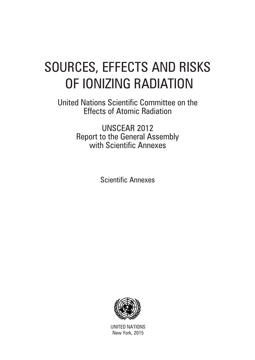# SOURCES, EFFECTS AND RISKS OF IONIZING RADIATION

United Nations Scientific Committee on the Effects of Atomic Radiation

> UNSCEAR 2012 Report to the General Assembly with Scientific Annexes

> > Scientific Annexes



UNITED NATIONS New York, 2015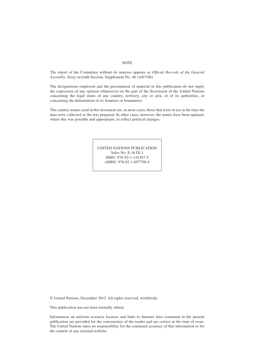#### **NOTE**

The report of the Committee without its annexes appears as *Official Records of the General Assembly*, Sixty-seventh Session, Supplement No. 46 (A/67/46).

The designations employed and the presentation of material in this publication do not imply the expression of any opinion whatsoever on the part of the Secretariat of the United Nations concerning the legal status of any country, territory, city or area, or of its authorities, or concerning the delimitation of its frontiers or boundaries.

The country names used in this document are, in most cases, those that were in use at the time the data were collected or the text prepared. In other cases, however, the names have been updated, where this was possible and appropriate, to reflect political changes.

> UNITED NATIONS PUBLICATION Sales No. E.16.IX.1 ISBN: 978-92-1-142307-5 eISBN: 978-92-1-057798-4

© United Nations, December 2015. All rights reserved, worldwide.

This publication has not been formally edited.

Information on uniform resource locators and links to Internet sites contained in the present publication are provided for the convenience of the reader and are correct at the time of issue. The United Nations takes no responsibility for the continued accuracy of that information or for the content of any external website.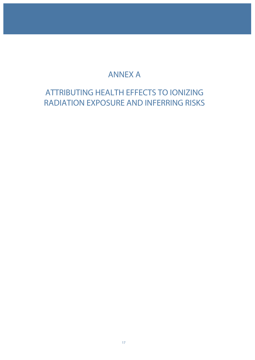## ANNEX A

# ATTRIBUTING HEALTH EFFECTS TO IONIZING RADIATION EXPOSURE AND INFERRING RISKS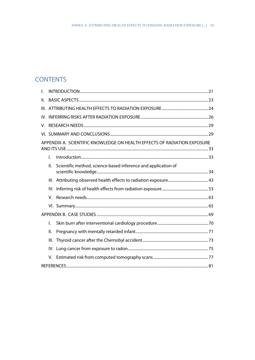### **CONTENTS**

| $\mathsf{L}$ |      |                                                                          |  |
|--------------|------|--------------------------------------------------------------------------|--|
| II.          |      |                                                                          |  |
| III.         |      |                                                                          |  |
|              |      |                                                                          |  |
| V.           |      |                                                                          |  |
|              |      |                                                                          |  |
|              |      | APPENDIX A. SCIENTIFIC KNOWLEDGE ON HEALTH EFFECTS OF RADIATION EXPOSURE |  |
|              | I.   |                                                                          |  |
|              | Ш.   | Scientific method, science-based inference and application of            |  |
|              |      |                                                                          |  |
|              |      |                                                                          |  |
|              | V.   |                                                                          |  |
|              |      |                                                                          |  |
|              |      |                                                                          |  |
|              | I.   |                                                                          |  |
|              | ΙΙ.  |                                                                          |  |
|              | III. |                                                                          |  |
|              |      |                                                                          |  |
|              |      |                                                                          |  |
|              |      |                                                                          |  |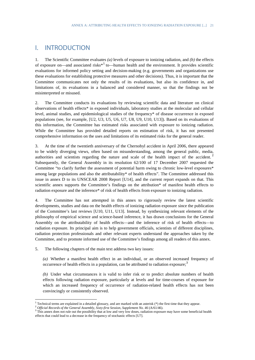#### <span id="page-6-0"></span>I. INTRODUCTION

1. The Scientific Committee evaluates *(a)* levels of exposure to ionizing radiation, and *(b)* the effects of exposure on—and associated risks<sup> $*1$  $*1$ </sup> to—human health and the environment. It provides scientific evaluations for informed policy setting and decision-making (e.g. governments and organizations use these evaluations for establishing protective measures and other decisions). Thus, it is important that the Committee communicates not only the results of its evaluations, but also its confidence in, and limitations of, its evaluations in a balanced and considered manner, so that the findings not be misinterpreted or misused.

2. The Committee conducts its evaluations by reviewing scientific data and literature on clinical observations of health effects\* in exposed individuals, laboratory studies at the molecular and cellular level, animal studies, and epidemiological studies of the frequency\* of disease occurrence in exposed populations (see, for example, [U2, U3, U5, U6, U7, U8, U9, U10, U13]). Based on its evaluations of this information, the Committee has estimated risks associated with exposure to ionizing radiation. While the Committee has provided detailed reports on estimation of risk, it has not presented comprehensive information on the uses and limitations of its estimated risks for the general reader.

3. At the time of the twentieth anniversary of the Chernobyl accident in April 2006, there appeared to be widely diverging views, often based on misunderstanding, among the general public, media, authorities and scientists regarding the nature and scale of the health impact of the accident.<sup>[2](#page-6-2)</sup> Subsequently, the General Assembly in its resolution 62/100 of 17 December 2007 requested the Committee "to clarify further the assessment of potential harm owing to chronic low-level exposures\* among large populations and also the attributability\* of health effects". The Committee addressed this issue in annex D to its UNSCEAR 2008 Report [U14], and the current report expands on that. This scientific annex supports the Committee's findings on the attribution\* of manifest health effects to radiation exposure and the inference\* of risk of health effects from exposure to ionizing radiation.

4. The Committee has not attempted in this annex to rigorously review the latest scientific developments, studies and data on the health effects of ionizing radiation exposure since the publication of the Committee's last reviews [U10, U11, U13]. Instead, by synthesizing relevant elements of the philosophy of empirical science and science-based inference, it has drawn conclusions for the General Assembly on the attributability of health effects—and the inference of risk of health effects—to radiation exposure. Its principal aim is to help government officials, scientists of different disciplines, radiation protection professionals and other relevant experts understand the approaches taken by the Committee, and to promote informed use of the Committee's findings among all readers of this annex.

5. The following chapters of the main text address two key issues:

*(a)* Whether a manifest health effect in an individual, or an observed increased frequency of occurrence of health effects in a population, can be attributed to radiation exposure;<sup>[3](#page-6-3)</sup>

*(b)* Under what circumstances it is valid to infer risk or to predict absolute numbers of health effects following radiation exposure, particularly at levels and for time-courses of exposure for which an increased frequency of occurrence of radiation-related health effects has not been convincingly or consistently observed.

 $\overline{\phantom{a}}$ 

<span id="page-6-1"></span><sup>&</sup>lt;sup>1</sup> Technical terms are explained in a detailed glossary, and are marked with an asterisk (\*) the first time that they appear.<br><sup>2</sup> Official Records of the General Assembly, Sixty-first Session, Supplement No. 46 (A/61/46)

<span id="page-6-3"></span><span id="page-6-2"></span><sup>&</sup>lt;sup>3</sup>This annex does not rule out the possibility that at low and very low doses, radiation exposure may have some beneficial health effects that could lead to a decrease in the frequency of stochastic effects [U7].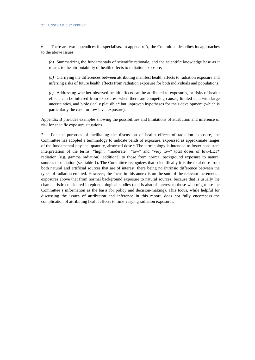#### 22 UNSCEAR 2012 REPORT

6. There are two appendices for specialists. In appendix A, the Committee describes its approaches to the above issues:

*(a)* Summarizing the fundamentals of scientific rationale, and the scientific knowledge base as it relates to the attributability of health effects to radiation exposure;

*(b)* Clarifying the differences between attributing manifest health effects to radiation exposure and inferring risks of future health effects from radiation exposure for both individuals and populations;

*(c)* Addressing whether observed health effects can be attributed to exposures, or risks of health effects can be inferred from exposures, when there are competing causes, limited data with large uncertainties, and biologically plausible\* but unproven hypotheses for their development (which is particularly the case for low-level exposure).

Appendix B provides examples showing the possibilities and limitations of attribution and inference of risk for specific exposure situations.

7. For the purposes of facilitating the discussion of health effects of radiation exposure, the Committee has adopted a terminology to indicate bands of exposure, expressed as approximate ranges of the fundamental physical quantity, absorbed dose.\* The terminology is intended to foster consistent interpretation of the terms: "high", "moderate", "low" and "very low" total doses of low-LET\* radiation (e.g. gamma radiation), additional to those from normal background exposure to natural sources of radiation (see table 1). The Committee recognizes that scientifically it is the total dose from both natural and artificial sources that are of interest, there being no intrinsic difference between the types of radiation emitted. However, the focus in this annex is on the sum of the relevant incremental exposures above that from normal background exposure to natural sources, because that is usually the characteristic considered in epidemiological studies (and is also of interest to those who might use the Committee's information as the basis for policy and decision-making). This focus, while helpful for discussing the issues of attribution and inference in this report, does not fully encompass the complication of attributing health effects to time-varying radiation exposures.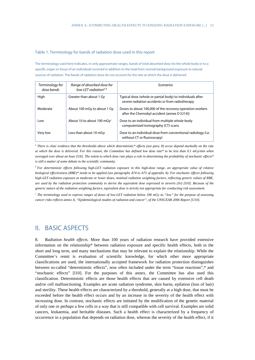#### Table 1. Terminology for bands of radiation dose used in this report

The terminology used here indicates, in only approximate ranges, bands of total absorbed dose (to the whole body or to a specific organ or tissue of an individual) received in addition to the total from normal background exposure to natural sources of radiation. The bands of radiation dose do not account for the rate at which the dose is delivered

| Terminology for<br>dose bands | Range of absorbed dose for<br>low-LET radiation <sup>a, b</sup> | Scenarios                                                                                                    |
|-------------------------------|-----------------------------------------------------------------|--------------------------------------------------------------------------------------------------------------|
| High                          | Greater than about 1 Gy                                         | Typical dose (whole or partial body) to individuals after<br>severe radiation accidents or from radiotherapy |
| Moderate                      | About 100 mGy to about 1 Gy                                     | Doses to about 100,000 of the recovery operation workers<br>after the Chernobyl accident (annex D [U14])     |
| Low                           | About 10 to about 100 mGy <sup>c</sup>                          | Dose to an individual from multiple whole-body<br>computerized tomography (CT) scans                         |
| Very low                      | Less than about 10 mGy                                          | Dose to an individual dose from conventional radiology (i.e.<br>without CT or fluoroscopy)                   |

*<sup>a</sup> There is clear evidence that the thresholds above which deterministic\* effects (see para. 8) occur depend markedly on the rate at which the dose is delivered. For this reason, the Committee has defined low dose rate\* to be less than 0.1 mGy/min when averaged over about an hour [U6]. The extent to which dose rate plays a role in determining the probability of stochastic effects\* is still a matter of some debate in the scientific community.*

*b For deterministic effects following high-LET radiation exposure in this high-dose range, an appropriate value of relative biological effectiveness (RBE)\* needs to be applied (see paragraphs A74 to A75 of appendix A). For stochastic effects following high-LET radiation exposure at moderate or lower doses, nominal radiation weighting factors, reflecting generic values of RBE, are used by the radiation protection community to derive the equivalent dose expressed in sieverts (Sv) [I10]. Because of the generic nature of the radiation weighting factors, equivalent dose is strictly not appropriate for conducting risk assessment.*

<span id="page-8-0"></span>*<sup>c</sup> The terminology used to express ranges of doses of low-LET radiation below 100 mGy as "low" for the purpose of assessing cancer risks reflects annex A, "Epidemiological studies of radiation and cancer", of the UNSCEAR 2006 Report [U10].*

### II. BASIC ASPECTS

8. *Radiation health effects.* More than 100 years of radiation research have provided extensive information on the relationship\* between radiation exposure and specific health effects, both in the short and long term, and many mechanisms that may be relevant to explain the relationship. While the Committee's remit is evaluation of scientific knowledge, for which other more appropriate classifications are used, the internationally accepted framework for radiation protection distinguishes between so-called "deterministic effects", now often included under the term "tissue reactions",\* and "stochastic effects" [I10]. For the purposes of this annex, the Committee has also used this classification. Deterministic effects are those health effects that are caused by extensive cell death and/or cell malfunctioning. Examples are acute radiation syndrome, skin burns, epilation (loss of hair) and sterility. These health effects are characterized by a threshold, generally at a high dose, that must be exceeded before the health effect occurs and by an increase in the severity of the health effect with increasing dose. In contrast, stochastic effects are initiated by the modification of the genetic material of only one or perhaps a few cells in a way that is still compatible with cell survival. Examples are solid cancers, leukaemia, and heritable diseases. Such a health effect is characterized by a frequency of occurrence in a population that depends on radiation dose, whereas the severity of the health effect, if it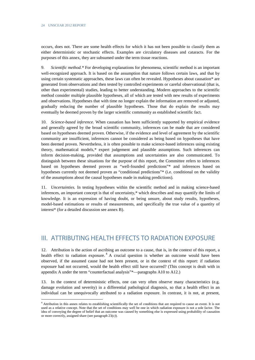#### 24 UNSCEAR 2012 REPORT

-

occurs, does not. There are some health effects for which it has not been possible to classify them as either deterministic or stochastic effects. Examples are circulatory diseases and cataracts. For the purposes of this annex, they are subsumed under the term tissue reactions.

9. *Scientific method.\** For developing explanations for phenomena, scientific method is an important well-recognized approach. It is based on the assumption that nature follows certain laws, and that by using certain systematic approaches, these laws can often be revealed. Hypotheses about causation\* are generated from observations and then tested by controlled experiments or careful observational (that is, other than experimental) studies, leading to better understanding. Modern approaches to the scientific method consider multiple plausible hypotheses, all of which are tested with new results of experiments and observations. Hypotheses that with time no longer explain the information are removed or adjusted, gradually reducing the number of plausible hypotheses. Those that do explain the results may eventually be deemed proven by the larger scientific community as established scientific fact.

<span id="page-9-2"></span>10. *Science-based inference.* When causation has been sufficiently supported by empirical evidence and generally agreed by the broad scientific community, inferences can be made that are considered based on hypotheses deemed proven. Otherwise, if the evidence and level of agreement by the scientific community are insufficient, inferences cannot be considered as being based on hypotheses that have been deemed proven. Nevertheless, it is often possible to make science-based inferences using existing theory, mathematical models,\* expert judgement and plausible assumptions. Such inferences can inform decision-making, provided that assumptions and uncertainties are also communicated. To distinguish between these situations for the purpose of this report, the Committee refers to inferences based on hypotheses deemed proven as "well-founded predictions"\* and inferences based on hypotheses currently not deemed proven as "conditional predictions"\* (i.e. conditional on the validity of the assumptions about the causal hypotheses made in making predictions).

11. *Uncertainties.* In testing hypotheses within the scientific method and in making science-based inferences, an important concept is that of uncertainty,\* which describes and may quantify the limits of knowledge. It is an expression of having doubt, or being unsure, about study results, hypotheses, model-based estimations or results of measurements, and specifically the true value of a quantity of interest\* (for a detailed discussion see annex B).

### <span id="page-9-0"></span>III. ATTRIBUTING HEALTH EFFECTS TO RADIATION EXPOSURE

12. Attribution is the action of ascribing an outcome to a cause, that is, in the context of this report, a health effect to radiation exposure.<sup>[4](#page-9-1)</sup> A crucial question is whether an outcome would have been observed, if the assumed cause had not been present, or in the context of this report: if radiation exposure had not occurred, would the health effect still have occurred? (This concept is dealt with in appendix A under the term "counterfactual analysis"\*—paragraphs A10 to A12.)

13. In the context of deterministic effects, one can very often observe many characteristics (e.g. damage evolution and severity) in a differential pathological diagnosis, so that a health effect in an individual can be unequivocally attributed to a radiation exposure. In contrast, it is not, at present,

<span id="page-9-1"></span><sup>4</sup> Attribution in this annex relates to establishing scientifically the set of conditions that are required to cause an event. It is not used as a relative concept. Note that the set of conditions may well be one in which radiation exposure is not a sole factor. The idea of conveying the degree of belief that an outcome was caused by something else is expressed using probability of causation or more correctly, assigned share (see paragraph 23*(c)*).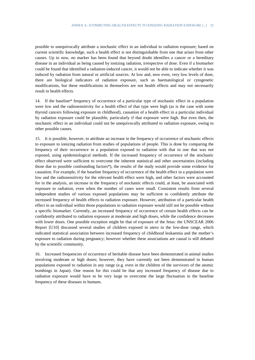possible to unequivocally attribute a stochastic effect in an individual to radiation exposure; based on current scientific knowledge, such a health effect is not distinguishable from one that arises from other causes. Up to now, no marker has been found that beyond doubt identifies a cancer or a hereditary disease in an individual as being caused by ionizing radiation, irrespective of dose. Even if a biomarker could be found that identified a radiation-induced cancer, it would not be able to indicate whether it was induced by radiation from natural or artificial sources. At low and, now even, very low levels of dose, there are biological indicators of radiation exposure, such as haematological or cytogenetic modifications, but these modifications in themselves are not health effects and may not necessarily result in health effects.

14. If the baseline\* frequency of occurrence of a particular type of stochastic effect in a population were low and the radiosensitivity for a health effect of that type were high (as is the case with some thyroid cancers following exposure in childhood), causation of a health effect in a particular individual by radiation exposure could be plausible, particularly if that exposure were high. But even then, the stochastic effect in an individual could not be unequivocally attributed to radiation exposure, owing to other possible causes.

15. It is possible, however, to attribute an increase in the frequency of occurrence of stochastic effects to exposure to ionizing radiation from studies of populations of people. This is done by comparing the frequency of their occurrence in a population exposed to radiation with that in one that was not exposed, using epidemiological methods. If the increased frequency of occurrence of the stochastic effect observed were sufficient to overcome the inherent statistical and other uncertainties (including those due to possible confounding factors\*), the results of the study would provide some evidence for causation. For example, if the baseline frequency of occurrence of the health effect in a population were low and the radiosensitivity for the relevant health effect were high, and other factors were accounted for in the analysis, an increase in the frequency of stochastic effects could, at least, be associated with exposure to radiation, even when the number of cases were small. Consistent results from several independent studies of various exposed populations may be sufficient to confidently attribute the increased frequency of health effects to radiation exposure. However, attribution of a particular health effect in an individual within those populations to radiation exposure would still not be possible without a specific biomarker. Currently, an increased frequency of occurrence of certain health effects can be confidently attributed to radiation exposure at moderate and high doses, while the confidence decreases with lower doses. One possible exception might be that of exposure of the fetus: the UNSCEAR 2006 Report [U10] discussed several studies of children exposed in utero in the low-dose range, which indicated statistical association between increased frequency of childhood leukaemia and the mother's exposure to radiation during pregnancy; however whether these associations are causal is still debated by the scientific community.

16. Increased frequencies of occurrence of heritable disease have been demonstrated in animal studies involving moderate or high doses; however, they have currently not been demonstrated in human populations exposed to radiation in any range (e.g. even in the children of the survivors of the atomic bombings in Japan). One reason for this could be that any increased frequency of disease due to radiation exposure would have to be very large to overcome the large fluctuation in the baseline frequency of these diseases in humans.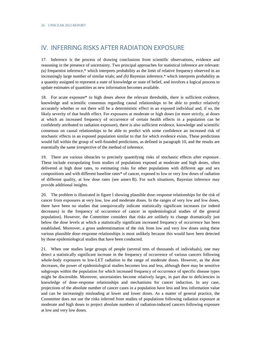### <span id="page-11-0"></span>IV. INFERRING RISKS AFTER RADIATION EXPOSURE

17. Inference is the process of drawing conclusions from scientific observations, evidence and reasoning in the presence of uncertainty. Two principal approaches for statistical inference are relevant: *(a)* frequentist inference,\* which interprets probability as the limit of relative frequency observed in an increasingly large number of similar trials; and *(b)* Bayesian inference,\* which interprets probability as a quantity assigned to represent a state of knowledge or state of belief, and involves a logical process to update estimates of quantities as new information becomes available.

18. For acute exposure\* to high doses above the relevant thresholds, there is sufficient evidence, knowledge and scientific consensus regarding causal relationships to be able to predict relatively accurately whether or not there will be a deterministic effect in an exposed individual and, if so, the likely severity of that health effect. For exposures at moderate or high doses (or more strictly, at doses at which an increased frequency of occurrence of certain health effects in a population can be confidently attributed to radiation exposure), there is also sufficient evidence, knowledge and scientific consensus on causal relationships to be able to predict with some confidence an increased risk of stochastic effects in an exposed population similar to that for which evidence exists. These predictions would fall within the group of well-founded predictions, as defined in paragraph [10,](#page-9-2) and the results are essentially the same irrespective of the method of inference.

19. There are various obstacles to precisely quantifying risks of stochastic effects after exposure. These include extrapolating from studies of populations exposed at moderate and high doses, often delivered at high dose rates, to estimating risks for other populations with different age and sex compositions and with different baseline rates\* of cancer, exposed to low or very low doses of radiation of different quality, at low dose rates (see annex B). For such situations, Bayesian inference may provide additional insights.

20. The problem is illustrated in figure I showing plausible dose–response relationships for the risk of cancer from exposures at very low, low and moderate doses. In the ranges of very low and low doses, there have been no studies that unequivocally indicate statistically significant increases (or indeed decreases) in the frequency of occurrence of cancer in epidemiological studies of the general population). However, the Committee considers that risks are unlikely to change dramatically just below the dose levels at which a statistically significant increased frequency of occurrence has been established. Moreover, a gross underestimation of the risk from low and very low doses using these various plausible dose–response relationships is most unlikely because this would have been detected by those epidemiological studies that have been conducted.

21. When one studies large groups of people (several tens of thousands of individuals), one may detect a statistically significant increase in the frequency of occurrence of various cancers following whole-body exposures to low-LET radiation in the range of moderate doses. However, as the dose decreases, the power of epidemiological studies becomes less and less, although there may be sensitive subgroups within the population for which increased frequency of occurrence of specific disease types might be discernible. Moreover, uncertainties become relatively larger, in part due to deficiencies in knowledge of dose–response relationships and mechanisms for cancer induction. In any case, projections of the absolute number of cancer cases in a population have less and less information value and can be increasingly misleading at lower and lower doses. As a matter of general practice, the Committee does not use the risks inferred from studies of populations following radiation exposure at moderate and high doses to project absolute numbers of radiation-induced cancers following exposure at low and very low doses.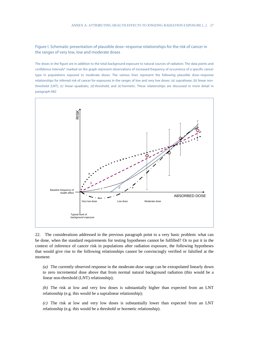Figure I. Schematic presentation of plausible dose–response relationships for the risk of cancer in the ranges of very low, low and moderate doses

The doses in the figure are in addition to the total background exposure to natural sources of radiation. The data points and confidence intervals\* marked on the graph represent observations of increased frequency of occurrence of a specific cancer type in populations exposed to moderate doses. The various lines represent the following plausible dose–response relationships for inferred risk of cancer for exposures in the ranges of low and very low doses: *(a)* supralinear; *(b)* linear nonthreshold (LNT); *(c)* linear–quadratic; *(d)* threshold; and *(e)* hormetic. These relationships are discussed in more detail in paragraph A82



22. The considerations addressed in the previous paragraph point to a very basic problem: what can be done, when the standard requirements for testing hypotheses cannot be fulfilled? Or to put it in the context of inference of cancer risk in populations after radiation exposure, the following hypotheses that would give rise to the following relationships cannot be convincingly verified or falsified at the moment:

*(a)* The currently observed response in the moderate-dose range can be extrapolated linearly down to zero incremental dose above that from normal natural background radiation (this would be a linear non-threshold (LNT) relationship);

*(b)* The risk at low and very low doses is substantially higher than expected from an LNT relationship (e.g. this would be a supralinear relationship);

*(c)* The risk at low and very low doses is substantially lower than expected from an LNT relationship (e.g. this would be a threshold or hormetic relationship).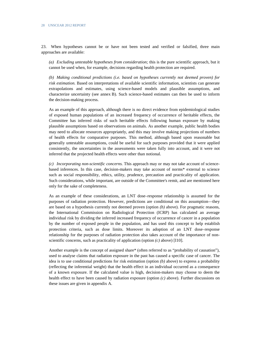#### 28 UNSCEAR 2012 REPORT

23. When hypotheses cannot be or have not been tested and verified or falsified, three main approaches are available:

*(a) Excluding untestable hypotheses from consideration;* this is the pure scientific approach, but it cannot be used when, for example, decisions regarding health protection are required.

*(b) Making conditional predictions (i.e. based on hypotheses currently not deemed proven) for risk estimation.* Based on interpretations of available scientific information, scientists can generate extrapolations and estimates, using science-based models and plausible assumptions, and characterize uncertainty (see annex B). Such science-based estimates can then be used to inform the decision-making process.

As an example of this approach, although there is no direct evidence from epidemiological studies of exposed human populations of an increased frequency of occurrence of heritable effects, the Committee has inferred risks of such heritable effects following human exposure by making plausible assumptions based on observations on animals. As another example, public health bodies may need to allocate resources appropriately, and this may involve making projections of numbers of health effects for comparative purposes. This method, although based upon reasonable but generally untestable assumptions, could be useful for such purposes provided that it were applied consistently, the uncertainties in the assessments were taken fully into account, and it were not inferred that the projected health effects were other than notional.

*(c) Incorporating non-scientific concerns.* This approach may or may not take account of sciencebased inferences. In this case, decision-makers may take account of norms\* external to science such as social responsibility, ethics, utility, prudence, precaution and practicality of application. Such considerations, while important, are outside of the Committee's remit, and are mentioned here only for the sake of completeness.

As an example of these considerations, an LNT dose–response relationship is assumed for the purposes of radiation protection. However, predictions are conditional on this assumption—they are based on a hypothesis currently not deemed proven (option *(b)* above). For pragmatic reasons, the International Commission on Radiological Protection (ICRP) has calculated an average individual risk by dividing the inferred increased frequency of occurrence of cancer in a population by the number of exposed people in the population, and has used this concept to help establish protection criteria, such as dose limits. Moreover its adoption of an LNT dose–response relationship for the purposes of radiation protection also takes account of the importance of nonscientific concerns, such as practicality of application (option *(c)* above) [I10].

Another example is the concept of assigned share\* (often referred to as "probability of causation"), used to analyse claims that radiation exposure in the past has caused a specific case of cancer. The idea is to use conditional predictions for risk estimation (option *(b)* above) to express a probability (reflecting the inferential weight) that the health effect in an individual occurred as a consequence of a known exposure. If the calculated value is high, decision-makers may choose to deem the health effect to have been caused by radiation exposure (option *(c)* above). Further discussions on these issues are given in appendix A.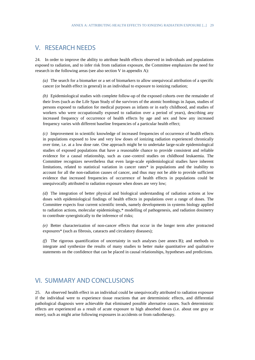### <span id="page-14-0"></span>V. RESEARCH NEEDS

24. In order to improve the ability to attribute health effects observed in individuals and populations exposed to radiation, and to infer risk from radiation exposure, the Committee emphasizes the need for research in the following areas (see also section V in appendix A):

*(a)* The search for a biomarker or a set of biomarkers to allow unequivocal attribution of a specific cancer (or health effect in general) in an individual to exposure to ionizing radiation;

*(b)* Epidemiological studies with complete follow-up of the exposed cohorts over the remainder of their lives (such as the Life Span Study of the survivors of the atomic bombings in Japan, studies of persons exposed to radiation for medical purposes as infants or in early childhood, and studies of workers who were occupationally exposed to radiation over a period of years), describing any increased frequency of occurrence of health effects by age and sex and how any increased frequency varies with different baseline frequencies of a particular health effect;

*(c)* Improvement in scientific knowledge of increased frequencies of occurrence of health effects in populations exposed to low and very low doses of ionizing radiation experienced chronically over time, i.e. at a low dose rate. One approach might be to undertake large-scale epidemiological studies of exposed populations that have a reasonable chance to provide consistent and reliable evidence for a causal relationship, such as case–control studies on childhood leukaemia. The Committee recognizes nevertheless that even large-scale epidemiological studies have inherent limitations, related to statistical variation in cancer rates\* in populations and the inability to account for all the non-radiation causes of cancer, and thus may not be able to provide sufficient evidence that increased frequencies of occurrence of health effects in populations could be unequivocally attributed to radiation exposure when doses are very low;

*(d)* The integration of better physical and biological understanding of radiation actions at low doses with epidemiological findings of health effects in populations over a range of doses. The Committee expects four current scientific trends, namely developments in systems biology applied to radiation actions, molecular epidemiology,\* modelling of pathogenesis, and radiation dosimetry to contribute synergistically to the inference of risks;

*(e)* Better characterization of non-cancer effects that occur in the longer term after protracted exposures\* (such as fibrosis, cataracts and circulatory diseases);

<span id="page-14-1"></span>*(f)* The rigorous quantification of uncertainty in such analyses (see annex B); and methods to integrate and synthesize the results of many studies to better make quantitative and qualitative statements on the confidence that can be placed in causal relationships, hypotheses and predictions.

#### VI. SUMMARY AND CONCLUSIONS

25. An observed health effect in an individual could be unequivocally attributed to radiation exposure if the individual were to experience tissue reactions that are deterministic effects, and differential pathological diagnosis were achievable that eliminated possible alternative causes. Such deterministic effects are experienced as a result of acute exposure to high absorbed doses (i.e. about one gray or more), such as might arise following exposures in accidents or from radiotherapy.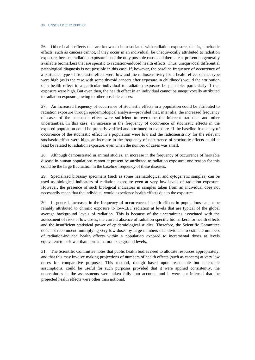26. Other health effects that are known to be associated with radiation exposure, that is, stochastic effects, such as cancers cannot, if they occur in an individual, be unequivocally attributed to radiation exposure, because radiation exposure is not the only possible cause and there are at present no generally available biomarkers that are specific to radiation-induced health effects. Thus, unequivocal differential pathological diagnosis is not possible in this case. If, however, the baseline frequency of occurrence of a particular type of stochastic effect were low and the radiosensitivity for a health effect of that type were high (as is the case with some thyroid cancers after exposure in childhood) would the attribution of a health effect in a particular individual to radiation exposure be plausible, particularly if that exposure were high. But even then, the health effect in an individual cannot be unequivocally attributed to radiation exposure, owing to other possible causes.

27. An increased frequency of occurrence of stochastic effects in a population could be attributed to radiation exposure through epidemiological analysis—provided that, inter alia, the increased frequency of cases of the stochastic effect were sufficient to overcome the inherent statistical and other uncertainties. In this case, an increase in the frequency of occurrence of stochastic effects in the exposed population could be properly verified and attributed to exposure. If the baseline frequency of occurrence of the stochastic effect in a population were low and the radiosensitivity for the relevant stochastic effect were high, an increase in the frequency of occurrence of stochastic effects could at least be related to radiation exposure, even when the number of cases was small.

28. Although demonstrated in animal studies, an increase in the frequency of occurrence of heritable disease in human populations cannot at present be attributed to radiation exposure; one reason for this could be the large fluctuation in the baseline frequency of these diseases.

29. Specialized bioassay specimens (such as some haematological and cytogenetic samples) can be used as biological indicators of radiation exposure even at very low levels of radiation exposure. However, the presence of such biological indicators in samples taken from an individual does not necessarily mean that the individual would experience health effects due to the exposure.

30. In general, increases in the frequency of occurrence of health effects in populations cannot be reliably attributed to chronic exposure to low-LET radiation at levels that are typical of the global average background levels of radiation. This is because of the uncertainties associated with the assessment of risks at low doses, the current absence of radiation-specific biomarkers for health effects and the insufficient statistical power of epidemiological studies. Therefore, the Scientific Committee does not recommend multiplying very low doses by large numbers of individuals to estimate numbers of radiation-induced health effects within a population exposed to incremental doses at levels equivalent to or lower than normal natural background levels.

31. The Scientific Committee notes that public health bodies need to allocate resources appropriately, and that this may involve making projections of numbers of health effects (such as cancers) at very low doses for comparative purposes. This method, though based upon reasonable but untestable assumptions, could be useful for such purposes provided that it were applied consistently, the uncertainties in the assessments were taken fully into account, and it were not inferred that the projected health effects were other than notional.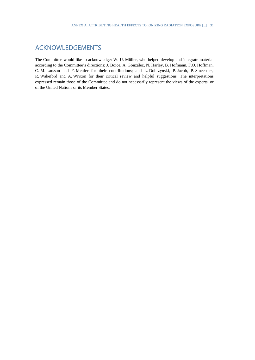### ACKNOWLEDGEMENTS

The Committee would like to acknowledge: W.-U. Müller, who helped develop and integrate material according to the Committee's directions; J. Boice, A. González, N. Harley, B. Hofmann, F.O. Hoffman, C.-M. Larsson and F. Mettler for their contributions; and L. Dobrzyński, P. Jacob, P. Smeesters, R. Wakeford and A. Wrixon for their critical review and helpful suggestions. The interpretations expressed remain those of the Committee and do not necessarily represent the views of the experts, or of the United Nations or its Member States.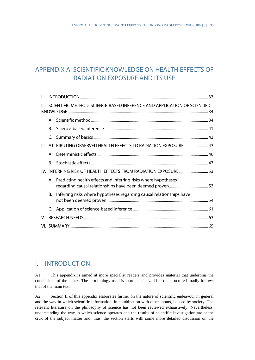### <span id="page-18-0"></span>APPENDIX A. SCIENTIFIC KNOWLEDGE ON HEALTH EFFECTS OF RADIATION EXPOSURE AND ITS USE

| II. |    | SCIENTIFIC METHOD, SCIENCE-BASED INFERENCE AND APPLICATION OF SCIENTIFIC |  |
|-----|----|--------------------------------------------------------------------------|--|
|     |    |                                                                          |  |
|     | В. |                                                                          |  |
|     |    |                                                                          |  |
|     |    | III. ATTRIBUTING OBSERVED HEALTH EFFECTS TO RADIATION EXPOSURE 43        |  |
|     | A. |                                                                          |  |
|     | В. |                                                                          |  |
|     |    | IV. INFERRING RISK OF HEALTH EFFECTS FROM RADIATION EXPOSURE 53          |  |
|     |    | A. Predicting health effects and inferring risks where hypotheses        |  |
|     | В. | Inferring risks where hypotheses regarding causal relationships have     |  |
|     |    |                                                                          |  |
| V.  |    |                                                                          |  |
|     |    |                                                                          |  |

### <span id="page-18-1"></span>I. INTRODUCTION

A1. This appendix is aimed at more specialist readers and provides material that underpins the conclusions of the annex. The terminology used is more specialized but the structure broadly follows that of the main text.

A2. Section II of this appendix elaborates further on the nature of scientific endeavour in general and the way in which scientific information, in combination with other inputs, is used by society. The relevant literature on the philosophy of science has not been reviewed exhaustively. Nevertheless, understanding the way in which science operates and the results of scientific investigation are at the crux of the subject matter and, thus, the section starts with some more detailed discussion on the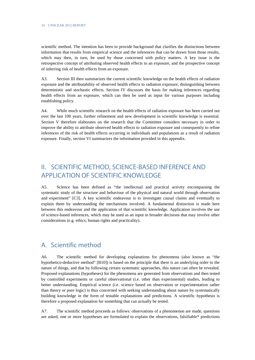scientific method. The intention has been to provide background that clarifies the distinctions between information that results from empirical science and the inferences that can be drawn from those results, which may then, in turn, be used by those concerned with policy matters. A key issue is the retrospective concept of attributing observed health effects to an exposure, and the prospective concept of inferring risk of health effects from an exposure.

A3. Section III then summarizes the current scientific knowledge on the health effects of radiation exposure and the attributability of observed health effects to radiation exposure, distinguishing between deterministic and stochastic effects. Section IV discusses the basis for making inferences regarding health effects from an exposure, which can then be used as input for various purposes including establishing policy.

A4. While much scientific research on the health effects of radiation exposure has been carried out over the last 100 years, further refinement and new development in scientific knowledge is essential. Section V therefore elaborates on the research that the Committee considers necessary in order to improve the ability to attribute observed health effects to radiation exposure and consequently to refine inferences of the risk of health effects occurring in individuals and populations as a result of radiation exposure. Finally, section VI summarizes the information provided in this appendix.

### <span id="page-19-0"></span>II. SCIENTIFIC METHOD, SCIENCE-BASED INFERENCE AND APPLICATION OF SCIENTIFIC KNOWLEDGE

A5. Science has been defined as "the intellectual and practical activity encompassing the systematic study of the structure and behaviour of the physical and natural world through observation and experiment" [C3]. A key scientific endeavour is to investigate causal claims and eventually to explain them by understanding the mechanisms involved. A fundamental distinction is made here between this endeavour and the application of that scientific knowledge. Application involves the use of science-based inferences, which may be used as an input to broader decisions that may involve other considerations (e.g. ethics, human rights and practicality).

### <span id="page-19-1"></span>A. Scientific method

A6. The scientific method for developing explanations for phenomena (also known as "the hypothetico-deductive method" [B10]) is based on the principle that there is an underlying order to the nature of things, and that by following certain systematic approaches, this nature can often be revealed. Proposed explanations (hypotheses) for the phenomena are generated from observations and then tested by controlled experiments or careful observational (i.e. other than experimental) studies, leading to better understanding. Empirical science (i.e. science based on observation or experimentation rather than theory or pure logic) is thus concerned with seeking understanding about nature by systematically building knowledge in the form of testable explanations and predictions. A scientific hypothesis is therefore a proposed explanation for something that can actually be tested.

A7. The scientific method proceeds as follows: observations of a phenomenon are made, questions are asked, one or more hypotheses are formulated to explain the observations, falsifiable\* predictions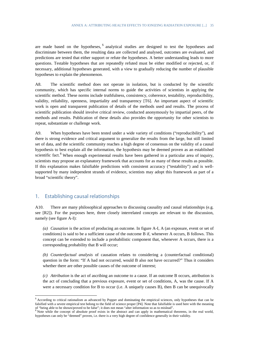are made based on the hypotheses, <sup>[5](#page-20-0)</sup> analytical studies are designed to test the hypotheses and discriminate between them, the resulting data are collected and analysed, outcomes are evaluated, and predictions are tested that either support or refute the hypotheses. A better understanding leads to more questions. Testable hypotheses that are repeatedly refuted must be either modified or rejected, or, if necessary, additional hypotheses generated, with a view to gradually reducing the number of plausible hypotheses to explain the phenomenon.

A8. The scientific method does not operate in isolation, but is conducted by the scientific community, which has specific internal norms to guide the activities of scientists in applying the scientific method. These norms include truthfulness, consistency, coherence, testability, reproducibility, validity, reliability, openness, impartiality and transparency [T6]. An important aspect of scientific work is open and transparent publication of details of the methods used and results. The process of scientific publication should involve critical review, conducted anonymously by impartial peers, of the methods and results. Publication of these details also provides the opportunity for other scientists to repeat, substantiate or challenge work.

A9. When hypotheses have been tested under a wide variety of conditions ("reproducibility"), and there is strong evidence and critical argument to generalize the results from the large, but still limited set of data, and the scientific community reaches a high degree of consensus on the validity of a causal hypothesis to best explain all the information, the hypothesis may be deemed proven as an established scientific fact.<sup>[6](#page-20-1)</sup> When enough experimental results have been gathered in a particular area of inquiry, scientists may propose an explanatory framework that accounts for as many of these results as possible. If this explanation makes falsifiable predictions with consistent accuracy ("testability") and is wellsupported by many independent strands of evidence, scientists may adopt this framework as part of a broad "scientific theory".

#### 1. Establishing causal relationships

A10. There are many philosophical approaches to discussing causality and causal relationships (e.g. see [R2]). For the purposes here, three closely interrelated concepts are relevant to the discussion, namely (see figure A-I):

*(a) Causation* is the action of producing an outcome. In figure A-I, A (an exposure, event or set of conditions) is said to be a sufficient cause of the outcome B if, whenever A occurs, B follows. This concept can be extended to include a probabilistic component that, whenever A occurs, there is a corresponding probability that B will occur;

*(b) Counterfactual analysis* of causation relates to considering a (counterfactual conditional) question in the form: "If A had not occurred, would B also not have occurred?" Thus it considers whether there are other possible causes of the outcome of interest;

*(c) Attribution* is the act of ascribing an outcome to a cause. If an outcome B occurs, attribution is the act of concluding that a previous exposure, event or set of conditions, A, was the cause. If A were a necessary condition for B to occur (i.e. A uniquely causes B), then B can be unequivocally

<span id="page-20-0"></span><sup>&</sup>lt;sup>5</sup> According to critical rationalism as advanced by Popper and dominating the empirical sciences, only hypotheses that can be falsified with a severe empirical test belong to the field of science proper [P4]. Note that falsifiable is used here with the meaning of "being able to be shown/proved to be false"; it does not mean "alter information so as to mislead".<br><sup>6</sup> Note while the concept of absolute proof exists in the abstract and can apply in mathematical theorems, in the real  $\overline{a}$ 

<span id="page-20-1"></span>hypotheses can only be "deemed" proven, i.e. there is a very high degree of confidence generally in their validity.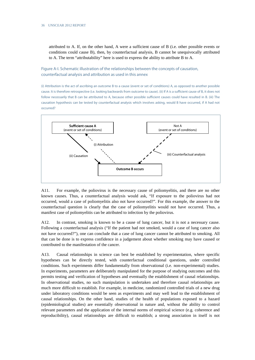attributed to A. If, on the other hand, A were a sufficient cause of B (i.e. other possible events or conditions could cause B), then, by counterfactual analysis, B cannot be unequivocally attributed to A. The term "attributability" here is used to express the ability to attribute B to A.

Figure A-I. Schematic illustration of the relationships between the concepts of causation, counterfactual analysis and attribution as used in this annex

(i) Attribution is the act of ascribing an outcome B to a cause (event or set of conditions) A, as opposed to another possible cause. It is therefore retrospective (i.e. looking backwards from outcome to cause). (ii) If A is a sufficient cause of B, it does not follow necessarily that B can be attributed to A, because other possible sufficient causes could have resulted in B. (iii) The causation hypothesis can be tested by counterfactual analysis which involves asking, would B have occurred, if A had not occurred?



A11. For example, the poliovirus is the necessary cause of poliomyelitis, and there are no other known causes. Thus, a counterfactual analysis would ask, "If exposure to the poliovirus had not occurred, would a case of poliomyelitis also not have occurred?". For this example, the answer to the counterfactual question is clearly that the case of poliomyelitis would not have occurred. Thus, a manifest case of poliomyelitis can be attributed to infection by the poliovirus.

A12. In contrast, smoking is known to be a cause of lung cancer, but it is not a necessary cause. Following a counterfactual analysis ("If the patient had not smoked, would a case of lung cancer also not have occurred?"), one can conclude that a case of lung cancer cannot be attributed to smoking. All that can be done is to express confidence in a judgement about whether smoking may have caused or contributed to the manifestation of the cancer.

A13. Causal relationships in science can best be established by experimentation, where specific hypotheses can be directly tested, with counterfactual conditional questions, under controlled conditions. Such experiments differ fundamentally from observational (i.e. non-experimental) studies. In experiments, parameters are deliberately manipulated for the purpose of studying outcomes and this permits testing and verification of hypotheses and eventually the establishment of causal relationships. In observational studies, no such manipulation is undertaken and therefore causal relationships are much more difficult to establish. For example, in medicine, randomized controlled trials of a new drug under laboratory conditions would be seen as experiments and may well lead to the establishment of causal relationships. On the other hand, studies of the health of populations exposed to a hazard (epidemiological studies) are essentially observational in nature and, without the ability to control relevant parameters and the application of the internal norms of empirical science (e.g. coherence and reproducibility), causal relationships are difficult to establish; a strong association in itself is not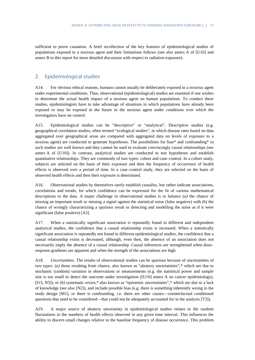sufficient to prove causation. A brief recollection of the key features of epidemiological studies of populations exposed to a noxious agent and their limitations follows (see also annex A of [U10] and annex B to this report for more detailed discussion with respect to radiation exposure).

#### 2. Epidemiological studies

A14. For obvious ethical reasons, humans cannot usually be deliberately exposed to a noxious agent under experimental conditions. Thus, observational (epidemiological) studies are essential if one wishes to determine the actual health impact of a noxious agent on human populations. To conduct these studies, epidemiologists have to take advantage of situations in which populations have already been exposed or may be exposed in the future to the noxious agent under conditions over which the investigators have no control.

A15. Epidemiological studies can be "descriptive" or "analytical". Descriptive studies (e.g. geographical correlation studies, often termed "ecological studies", in which disease rates based on data aggregated over geographical areas are compared with aggregated data on levels of exposure to a noxious agent) are conducted to generate hypotheses. The possibilities for bias\* and confounding\* in such studies are well known and they cannot be used to evaluate convincingly causal relationships (see annex A of [U10]). In contrast, analytical studies are conducted to test hypotheses and establish quantitative relationships. They are commonly of two types: cohort and case–control. In a cohort study, subjects are selected on the basis of their exposure and then the frequency of occurrence of health effects is observed over a period of time. In a case–control study, they are selected on the basis of observed health effects and then their exposure is determined.

A16. Observational studies by themselves rarely establish causality, but rather indicate associations, correlations and trends, for which confidence can be expressed for the fit of various mathematical descriptions to the data. A major challenge in observational studies is to balance *(a)* the chance of missing an important result or missing a signal against the statistical noise (false negative) with *(b)* the chance of wrongly characterizing a spurious result or detecting and modelling the noise as if it were significant (false positive) [A3].

A17. When a statistically significant association is repeatedly found in different and independent analytical studies, the confidence that a causal relationship exists is increased. When a statistically significant association is repeatedly not found in different epidemiological studies, the confidence that a causal relationship exists is decreased, although, even then, the absence of an association does not necessarily imply the absence of a causal relationship. Causal inferences are strengthened when dose– response gradients are apparent and when the strength of the associations are high.

A18*. Uncertainties.* The results of observational studies can be spurious because of uncertainties of two types: *(a)* those resulting from chance, also known as "aleatory uncertainties",\* which are due to stochastic (random) variation in observations or measurements (e.g. the statistical power and sample size is too small to detect the outcome under investigation ([U10] annex A on cancer epidemiology), [I13, N5]); or *(b)* systematic errors,\* also known as "epistemic uncertainties",\* which are due to a lack of knowledge (see also [N2]), and include possible bias (e.g. there is something inherently wrong in the study design [M1], or there is confounding, i.e. there are other causes—counterfactual conditional questions that need to be considered—that could not be adequately accounted for in the analysis [T3]).

A19. A major source of aleatory uncertainty in epidemiological studies relates to the random fluctuations in the numbers of health effects observed in any given time interval. This influences the ability to discern small changes relative to the baseline frequency of disease occurrence. This problem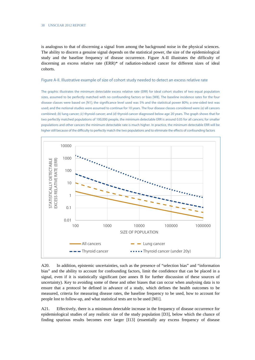is analogous to that of discerning a signal from among the background noise in the physical sciences. The ability to discern a genuine signal depends on the statistical power, the size of the epidemiological study and the baseline frequency of disease occurrence. Figure A-II illustrates the difficulty of discerning an excess relative rate (ERR)\* of radiation-induced cancer for different sizes of ideal cohorts.

#### Figure A-II. Illustrative example of size of cohort study needed to detect an excess relative rate

The graphic illustrates the minimum detectable excess relative rate (ERR) for ideal cohort studies of two equal population sizes, assumed to be perfectly matched with no confounding factors or bias [W8]. The baseline incidence rates for the four disease classes were based on [N1]; the significance level used was 5% and the statistical power 80%; a one-sided test was used; and the notional studies were assumed to continue for 10 years. The four disease classes considered were *(a)* all cancers combined; *(b)* lung cancer; *(c)* thyroid cancer; and *(d)* thyroid cancer diagnosed below age 20 years. The graph shows that for two perfectly matched populations of 100,000 people, the minimum detectable ERR is around 0.05 for all cancers; for smaller populations and other cancers the minimum detectable rate is much higher. In practice, the minimum detectable ERR will be higher still because of the difficulty to perfectly match the two populations and to eliminate the effects of confounding factors



A20. In addition, epistemic uncertainties, such as the presence of "selection bias" and "information bias" and the ability to account for confounding factors, limit the confidence that can be placed in a signal, even if it is statistically significant (see annex B for further discussion of these sources of uncertainty). Key to avoiding some of these and other biases that can occur when analysing data is to ensure that a protocol be defined in advance of a study, which defines the health outcomes to be measured, criteria for measuring disease rates, the baseline frequency to be used, how to account for people lost to follow-up, and what statistical tests are to be used [M1].

A21. Effectively, there is a minimum detectable increase in the frequency of disease occurrence for epidemiological studies of any realistic size of the study population [D3], below which the chance of finding spurious results becomes ever larger [I13] (essentially any excess frequency of disease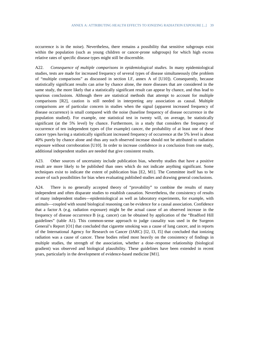occurrence is in the noise). Nevertheless, there remains a possibility that sensitive subgroups exist within the population (such as young children or cancer-prone subgroups) for which high excess relative rates of specific disease types might still be discernible.

A22. *Consequence of multiple comparisons in epidemiological studies.* In many epidemiological studies, tests are made for increased frequency of several types of disease simultaneously (the problem of "multiple comparisons" as discussed in section I.F, annex A of [U10]). Consequently, because statistically significant results can arise by chance alone, the more diseases that are considered in the same study, the more likely that a statistically significant result can appear by chance, and thus lead to spurious conclusions. Although there are statistical methods that attempt to account for multiple comparisons [R2], caution is still needed in interpreting any association as causal. Multiple comparisons are of particular concern in studies when the signal (apparent increased frequency of disease occurrence) is small compared with the noise (baseline frequency of disease occurrence in the population studied). For example, one statistical test in twenty will, on average, be statistically significant (at the 5% level) by chance. Furthermore, in a study that considers the frequency of occurrence of ten independent types of (for example) cancer, the probability of at least one of these cancer types having a statistically significant increased frequency of occurrence at the 5% level is about 40% purely by chance alone and thus any such observed increase should not be attributed to radiation exposure without corroboration [U10]. In order to increase confidence in a conclusion from one study, additional independent studies are needed that give consistent results.

A23. Other sources of uncertainty include publication bias, whereby studies that have a positive result are more likely to be published than ones which do not indicate anything significant. Some techniques exist to indicate the extent of publication bias [E2, M1]. The Committee itself has to be aware of such possibilities for bias when evaluating published studies and drawing general conclusions.

A24. There is no generally accepted theory of "provability" to combine the results of many independent and often disparate studies to establish causation. Nevertheless, the consistency of results of many independent studies—epidemiological as well as laboratory experiments, for example, with animals—coupled with sound biological reasoning can be evidence for a causal association. Confidence that a factor A (e.g. radiation exposure) might be the actual cause of an observed increase in the frequency of disease occurrence B (e.g. cancer) can be obtained by application of the "Bradford Hill guidelines" (table A1). This common-sense approach to judge causality was used in the Surgeon General's Report [O1] that concluded that cigarette smoking was a cause of lung cancer, and in reports of the International Agency for Research on Cancer (IARC) [I2, I3, I5] that concluded that ionizing radiation was a cause of cancer. These bodies relied most heavily on the consistency of findings in multiple studies, the strength of the association, whether a dose–response relationship (biological gradient) was observed and biological plausibility. These guidelines have been extended in recent years, particularly in the development of evidence-based medicine [M1].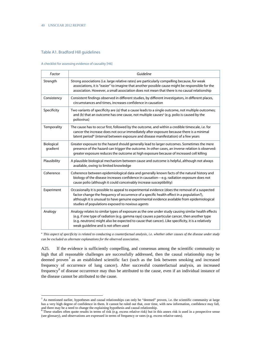$\overline{\phantom{a}}$ 

#### Table A1. Bradford Hill guidelines

#### A checklist for assessing evidence of causality [H6]

| Factor                 | Guideline                                                                                                                                                                                                                                                                                                                                          |
|------------------------|----------------------------------------------------------------------------------------------------------------------------------------------------------------------------------------------------------------------------------------------------------------------------------------------------------------------------------------------------|
| Strength               | Strong associations (i.e. large relative rates) are particularly compelling because, for weak<br>associations, it is "easier" to imagine that another possible cause might be responsible for the<br>association. However, a small association does not mean that there is no causal relationship                                                  |
| Consistency            | Consistent findings observed in different studies, by different investigators, in different places,<br>circumstances and times, increases confidence in causation                                                                                                                                                                                  |
| Specificity            | Two variants of specificity are $(a)$ that a cause leads to a single outcome, not multiple outcomes;<br>and (b) that an outcome has one cause, not multiple causes <sup><math>a</math></sup> (e.g. polio is caused by the<br>poliovirus)                                                                                                           |
| Temporality            | The cause has to occur first, followed by the outcome, and within a credible timescale, i.e. for<br>cancer the increase does not occur immediately after exposure because there is a minimal<br>latent period* (interval between exposure and disease manifestation) of a few years                                                                |
| Biological<br>gradient | Greater exposure to the hazard should generally lead to larger outcomes. Sometimes the mere<br>presence of the hazard can trigger the outcome. In other cases, an inverse relation is observed:<br>greater exposure reduces the outcome at high exposure because of increased cell killing                                                         |
| Plausibility           | A plausible biological mechanism between cause and outcome is helpful, although not always<br>available, owing to limited knowledge                                                                                                                                                                                                                |
| Coherence              | Coherence between epidemiological data and generally known facts of the natural history and<br>biology of the disease increases confidence in causation-e.g. radiation exposure does not<br>cause polio (although it could conceivably increase susceptibility)                                                                                    |
| Experiment             | Occasionally it is possible to appeal to experimental evidence (does the removal of a suspected<br>factor change the frequency of occurrence of a specific health effect in a population?),<br>although it is unusual to have genuine experimental evidence available from epidemiological<br>studies of populations exposed to noxious agents     |
| Analogy                | Analogy relates to similar types of exposure as the one under study causing similar health effects<br>(e.g. if one type of radiation (e.g. gamma rays) causes a particular cancer, then another type<br>(e.g. neutrons) might also be expected to cause that cancer). Like specificity, it is a relatively<br>weak guideline and is not often used |

*<sup>a</sup> This aspect of specificity is related to conducting a counterfactual analysis, i.e. whether other causes of the disease under study can be excluded as alternate explanations for the observed association.*

A25. If the evidence is sufficiently compelling, and consensus among the scientific community so high that all reasonable challenges are successfully addressed, then the causal relationship may be deemed proven<sup>[7](#page-25-0)</sup> as an established scientific fact (such as the link between smoking and increased frequency of occurrence of lung cancer). After successful counterfactual analysis, an increased frequency<sup>[8](#page-25-1)</sup> of disease occurrence may thus be attributed to the cause, even if an individual instance of the disease cannot be attributed to the cause.

<span id="page-25-0"></span> $<sup>7</sup>$  As mentioned earlier, hypotheses and causal relationships can only be "deemed" proven, i.e. the scientific community at large</sup> has a very high degree of confidence in them. It cannot be ruled out that, over time, with new information, confidence may fall, and there may be a need to change the explaining hypothesis and causal relationship.

<span id="page-25-1"></span>These studies often quote results in terms of risk (e.g. excess relative risk) but in this annex risk is used in a prospective sense (see glossary), and observations are expressed in terms of frequency or rates (e.g. excess relative rates).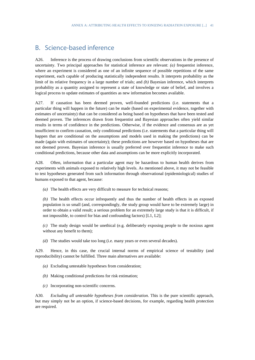### <span id="page-26-0"></span>B. Science-based inference

A26. Inference is the process of drawing conclusions from scientific observations in the presence of uncertainty. Two principal approaches for statistical inference are relevant: *(a)* frequentist inference, where an experiment is considered as one of an infinite sequence of possible repetitions of the same experiment, each capable of producing statistically independent results. It interprets probability as the limit of its relative frequency in a large number of trials; and *(b)* Bayesian inference, which interprets probability as a quantity assigned to represent a state of knowledge or state of belief, and involves a logical process to update estimates of quantities as new information becomes available.

A27. If causation has been deemed proven, well-founded predictions (i.e. statements that a particular thing will happen in the future) can be made (based on experimental evidence, together with estimates of uncertainty) that can be considered as being based on hypotheses that have been tested and deemed proven. The inferences drawn from frequentist and Bayesian approaches often yield similar results in terms of confidence in the predictions. Otherwise, if the evidence and consensus are as yet insufficient to confirm causation, only conditional predictions (i.e. statements that a particular thing will happen that are conditional on the assumptions and models used in making the predictions) can be made (again with estimates of uncertainty); these predictions are however based on hypotheses that are not deemed proven. Bayesian inference is usually preferred over frequentist inference to make such conditional predictions, because other data and assumptions can be more explicitly incorporated.

A28. Often, information that a particular agent may be hazardous to human health derives from experiments with animals exposed to relatively high levels. As mentioned above, it may not be feasible to test hypotheses generated from such information through observational (epidemiological) studies of humans exposed to that agent, because:

*(a)* The health effects are very difficult to measure for technical reasons;

*(b)* The health effects occur infrequently and thus the number of health effects in an exposed population is so small (and, correspondingly, the study group would have to be extremely large) in order to obtain a valid result; a serious problem for an extremely large study is that it is difficult, if not impossible, to control for bias and confounding factors) [L1, L2];

*(c)* The study design would be unethical (e.g. deliberately exposing people to the noxious agent without any benefit to them);

*(d)* The studies would take too long (i.e. many years or even several decades).

A29. Hence, in this case, the crucial internal norms of empirical science of testability (and reproducibility) cannot be fulfilled. Three main alternatives are available:

- *(a)* Excluding untestable hypotheses from consideration;
- *(b)* Making conditional predictions for risk estimation;
- *(c)* Incorporating non-scientific concerns.

A30*. Excluding all untestable hypotheses from consideration*. This is the pure scientific approach, but may simply not be an option, if science-based decisions, for example, regarding health protection are required.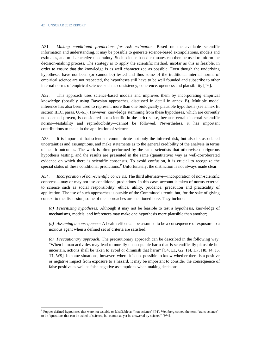-

A31. *Making conditional predictions for risk estimation.* Based on the available scientific information and understanding, it may be possible to generate science-based extrapolations, models and estimates, and to characterize uncertainty. Such science-based estimates can then be used to inform the decision-making process. The strategy is to apply the scientific method, insofar as this is feasible, in order to ensure that the knowledge is as well characterized as possible. Even though the underlying hypotheses have not been (or cannot be) tested and thus some of the traditional internal norms of empirical science are not respected, the hypotheses still have to be well founded and subscribe to other internal norms of empirical science, such as consistency, coherence, openness and plausibility [T6].

A32. This approach uses science-based models and improves them by incorporating empirical knowledge (possibly using Bayesian approaches, discussed in detail in annex B). Multiple model inference has also been used to represent more than one biologically plausible hypothesis (see annex B, section III.C, paras. 60-61). However, knowledge stemming from these hypotheses, which are currently not deemed proven, is considered not scientific in the strict sense, because certain internal scientific norms—testability and reproducibility—cannot be followed. Nevertheless, it has important contributions to make in the application of science.

A33. It is important that scientists communicate not only the inferred risk, but also its associated uncertainties and assumptions, and make statements as to the general credibility of the analysis in terms of health outcomes. The work is often performed by the same scientists that otherwise do rigorous hypothesis testing, and the results are presented in the same (quantitative) way as well-corroborated evidence on which there is scientific consensus. To avoid confusion, it is crucial to recognize the special status of these conditional predictions.<sup>[9](#page-27-0)</sup> Unfortunately, the distinction is not always made clear.

A34. *Incorporation of non-scientific concerns*. The third alternative—incorporation of non-scientific concerns—may or may not use conditional predictions. In this case, account is taken of norms external to science such as social responsibility, ethics, utility, prudence, precaution and practicality of application. The use of such approaches is outside of the Committee's remit, but, for the sake of giving context to the discussion, some of the approaches are mentioned here. They include:

*(a) Prioritizing hypotheses:* Although it may not be feasible to test a hypothesis, knowledge of mechanisms, models, and inferences may make one hypothesis more plausible than another;

*(b) Assuming a consequence:* A health effect can be assumed to be a consequence of exposure to a noxious agent when a defined set of criteria are satisfied;

*(c) Precautionary approach:* The precautionary approach can be described in the following way: "When human activities may lead to morally unacceptable harm that is scientifically plausible but uncertain, actions shall be taken to avoid or diminish that harm" [C4, E1, G2, H4, H7, H8, J4, J5, T1, W9]. In some situations, however, where it is not possible to know whether there is a positive or negative impact from exposure to a hazard, it may be important to consider the consequence of false positive as well as false negative assumptions when making decisions.

<span id="page-27-0"></span><sup>9</sup> Popper defined hypotheses that were not testable or falsifiable as "non-science" [P4]. Weinberg coined the term "trans-science" to be "questions that can be asked of science, but cannot as yet be answered by science" [W4].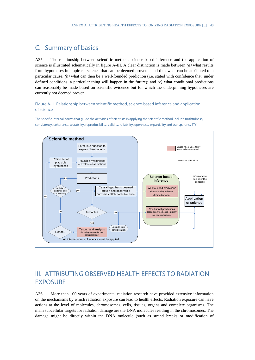### <span id="page-28-1"></span>C. Summary of basics

A35. The relationship between scientific method, science-based inference and the application of science is illustrated schematically in figure A-III. A clear distinction is made between *(a)* what results from hypotheses in empirical science that can be deemed proven—and thus what can be attributed to a particular cause; *(b)* what can then be a well-founded prediction (i.e. stated with confidence that, under defined conditions, a particular thing will happen in the future); and *(c)* what conditional predictions can reasonably be made based on scientific evidence but for which the underpinning hypotheses are currently not deemed proven.

Figure A-III. Relationship between scientific method, science-based inference and application of science



The specific internal norms that guide the activities of scientists in applying the scientific method include truthfulness, consistency, coherence, testability, reproducibility, validity, reliability, openness, impartiality and transparency [T6]

### <span id="page-28-0"></span>III. ATTRIBUTING OBSERVED HEALTH EFFECTS TO RADIATION **EXPOSURE**

A36. More than 100 years of experimental radiation research have provided extensive information on the mechanisms by which radiation exposure can lead to health effects. Radiation exposure can have actions at the level of molecules, chromosomes, cells, tissues, organs and complete organisms. The main subcellular targets for radiation damage are the DNA molecules residing in the chromosomes. The damage might be directly within the DNA molecule (such as strand breaks or modification of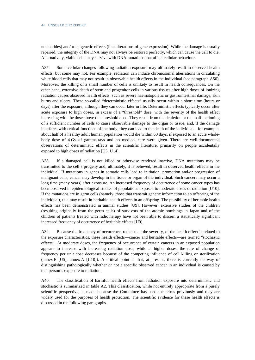#### 44 UNSCEAR 2012 REPORT

nucleotides) and/or epigenetic effects (like alterations of gene expression). While the damage is usually repaired, the integrity of the DNA may not always be restored perfectly, which can cause the cell to die. Alternatively, viable cells may survive with DNA mutations that affect cellular behaviour.

A37. Some cellular changes following radiation exposure may ultimately result in observed health effects, but some may not. For example, radiation can induce chromosomal aberrations in circulating white blood cells that may not result in observable health effects in the individual (see paragraph A50). Moreover, the killing of a small number of cells is unlikely to result in health consequences. On the other hand, extensive death of stem and progenitor cells in various tissues after high doses of ionizing radiation causes observed health effects, such as severe haematopoietic or gastrointestinal damage, skin burns and ulcers. These so-called "deterministic effects" usually occur within a short time (hours or days) after the exposure, although they can occur later in life. Deterministic effects typically occur after acute exposure to high doses, in excess of a "threshold" dose, with the severity of the health effect increasing with the dose above this threshold dose. They result from the depletion or the malfunctioning of a sufficient number of cells to cause observable damage to the organ or tissue, and, if the damage interferes with critical functions of the body, they can lead to the death of the individual—for example, about half of a healthy adult human population would die within 60 days, if exposed to an acute wholebody dose of 4 Gy of gamma rays and no medical care were given. There are well-documented observations of deterministic effects in the scientific literature, primarily on people accidentally exposed to high doses of radiation [U5, U14].

A38. If a damaged cell is not killed or otherwise rendered inactive, DNA mutations may be transmitted to the cell's progeny and, ultimately, it is believed, result in observed health effects in the individual. If mutations in genes in somatic cells lead to initiation, promotion and/or progression of malignant cells, cancer may develop in the tissue or organ of the individual. Such cancers may occur a long time (many years) after exposure. An increased frequency of occurrence of some cancer types has been observed in epidemiological studies of populations exposed to moderate doses of radiation [U10]. If the mutations are in germ cells (namely, those that transmit genetic information to an offspring of the individual), this may result in heritable health effects in an offspring. The possibility of heritable health effects has been demonstrated in animal studies [U9]. However, extensive studies of the children (resulting originally from the germ cells) of survivors of the atomic bombings in Japan and of the children of patients treated with radiotherapy have not been able to discern a statistically significant increased frequency of occurrence of heritable effects [U9].

A39. Because the frequency of occurrence, rather than the severity, of the health effect is related to the exposure characteristics, these health effects—cancer and heritable effects—are termed "stochastic effects". At moderate doses, the frequency of occurrence of certain cancers in an exposed population appears to increase with increasing radiation dose, while at higher doses, the rate of change of frequency per unit dose decreases because of the competing influence of cell killing or sterilization (annex F [U5], annex A [U10]). A critical point is that, at present, there is currently no way of distinguishing pathologically whether or not a specific observed cancer in an individual is caused by that person's exposure to radiation.

A40. The classification of harmful health effects from radiation exposure into deterministic and stochastic is summarized in table A2. This classification, while not entirely appropriate from a purely scientific perspective, is made because the Committee has used the terms previously and they are widely used for the purposes of health protection. The scientific evidence for these health effects is discussed in the following paragraphs.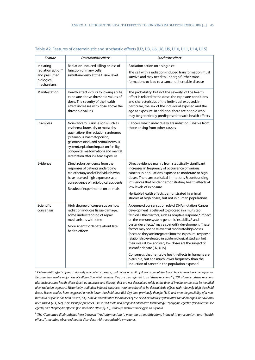| Feature                                                                                 | Deterministic effect <sup>a</sup>                                                                                                                                                                                                                                                                                  | Stochastic effect <sup>a</sup>                                                                                                                                                                                                                                                                                                                                                                                                                                                                                                                                                                                                                                                                                              |
|-----------------------------------------------------------------------------------------|--------------------------------------------------------------------------------------------------------------------------------------------------------------------------------------------------------------------------------------------------------------------------------------------------------------------|-----------------------------------------------------------------------------------------------------------------------------------------------------------------------------------------------------------------------------------------------------------------------------------------------------------------------------------------------------------------------------------------------------------------------------------------------------------------------------------------------------------------------------------------------------------------------------------------------------------------------------------------------------------------------------------------------------------------------------|
| Initiating<br>radiation action <sup>b</sup><br>and presumed<br>biological<br>mechanisms | Radiation-induced killing or loss of<br>function of many cells<br>simultaneously at the tissue level                                                                                                                                                                                                               | Radiation action on a single cell<br>The cell with a radiation-induced transformation must<br>survive and may need to undergo further trans-<br>formations to lead to a cancer or heritable disease                                                                                                                                                                                                                                                                                                                                                                                                                                                                                                                         |
| Manifestation                                                                           | Health effect occurs following acute<br>exposure above threshold values of<br>dose. The severity of the health<br>effect increases with dose above the<br>threshold values                                                                                                                                         | The probability, but not the severity, of the health<br>effect is related to the dose, the exposure conditions<br>and characteristics of the individual exposed, in<br>particular, the sex of the individual exposed and the<br>age at exposure; in addition, there are people who<br>may be genetically predisposed to such health effects                                                                                                                                                                                                                                                                                                                                                                                 |
| Examples                                                                                | Non-cancerous skin lesions (such as<br>erythema, burns, dry or moist des-<br>quamation), the radiation syndromes<br>(cutaneous, haematopoietic,<br>gastrointestinal, and central nervous<br>system), epilation; impact on fertility;<br>congenital malformations and mental<br>retardation after in utero exposure | Cancers which individually are indistinguishable from<br>those arising from other causes                                                                                                                                                                                                                                                                                                                                                                                                                                                                                                                                                                                                                                    |
| Evidence                                                                                | Direct robust evidence from the<br>responses of patients undergoing<br>radiotherapy and of individuals who<br>have received high exposures as a<br>consequence of radiological accidents<br>Results of experiments on animals                                                                                      | Direct evidence mainly from statistically significant<br>increases in frequency of occurrence of various<br>cancers in populations exposed to moderate or high<br>doses. There are statistical limitations & confounding<br>influences that hinder demonstrating health effects at<br>low levels of exposure<br>Heritable health effects demonstrated in animal<br>studies at high doses, but not in human populations                                                                                                                                                                                                                                                                                                      |
| Scientific<br>consensus                                                                 | High degree of consensus on how<br>radiation induces tissue damage;<br>some understanding of repair<br>mechanisms with time<br>More scientific debate about late<br>health effects                                                                                                                                 | A degree of consensus on role of DNA mutation. Cancer<br>development is believed to proceed in a multistep<br>fashion. Other factors, such as adaptive response,* impact<br>on the immune system, genomic instability,* and<br>bystander effects,* may also modify development. These<br>factors may not be relevant at moderate/high doses<br>(because they are integrated into the exposure-response<br>relationship evaluated in epidemiological studies), but<br>their roles at low and very low doses are the subject of<br>scientific debate [U7, U15]<br>Consensus that heritable health effects in humans are<br>plausible, but at a much lower frequency than the<br>induction of cancer in the population exposed |

| Table A2. Features of deterministic and stochastic effects [U2, U3, U6, U8, U9, U10, U11, U14, U15] |  |
|-----------------------------------------------------------------------------------------------------|--|
|-----------------------------------------------------------------------------------------------------|--|

*<sup>a</sup> Deterministic effects appear relatively soon after exposure, and not as a result of doses accumulated from chronic low-dose-rate exposure. Because they involve major loss of cell function within a tissue, they are also referred to as "tissue reactions" [I10]. However, tissue reactions also include some health effects (such as cataracts and fibrosis) that are not determined solely at the time of irradiation but can be modified after radiation exposure. Historically, radiation-induced cataracts were considered to be deterministic effects with relatively high threshold doses. Recent studies have suggested a much lower threshold dose (0.5 Gy) than previously thought [I11] and even the possibility of a nonthreshold response has been raised [A1]. Similar uncertainties for diseases of the blood circulatory system after radiation exposure have also been raised [I11, N2]. For scientific purposes, Hulse and Mole had proposed alternative terminology: "polycytic effects" (for deterministic effects) and "haplocytic effects" (for stochastic effects) [H9], although such terminology is rarely used.*

*<sup>b</sup> The Committee distinguishes here between "radiation actions", meaning all modifications induced in an organism, and "health effects", meaning observed health disorders with recognizable symptoms.*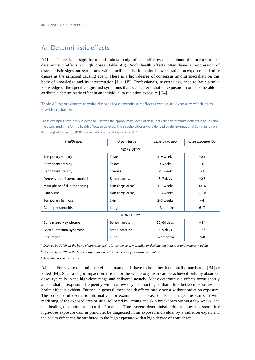### <span id="page-31-0"></span>A. Deterministic effects

A41. There is a significant and robust body of scientific evidence about the occurrence of deterministic effects at high doses (table A3). Such health effects often have a progression of characteristic signs and symptoms, which facilitate discrimination between radiation exposure and other causes as the principal causing agent. There is a high degree of consensus among specialists on this body of knowledge and its interpretation [I11, U5]. Professionals, nevertheless, need to have a solid knowledge of the specific signs and symptoms that occur after radiation exposure in order to be able to attribute a deterministic effect in an individual to radiation exposure [G4].

#### Table A3. Approximate threshold doses for deterministic effects from acute exposure of adults to low-LET radiation

These examples have been selected to illustrate the approximate levels of dose that cause deterministic effects in adults and the associated time for the health effects to develop. The threshold doses were derived by the International Commission on Radiological Protection (ICRP) for radiation protection purposes [I11]

| <b>Health effect</b>         | Organ/tissue       | Time to develop | Acute exposure (Gy)    |
|------------------------------|--------------------|-----------------|------------------------|
| MORBIDITY <sup>a</sup>       |                    |                 |                        |
| Temporary sterility          | <b>Testes</b>      | 3-9 weeks       | $~1$ ~0.1              |
| Permanent sterility          | <b>Testes</b>      | 3 weeks         | ~10                    |
| Permanent sterility          | Ovaries            | <1 week         | ~23                    |
| Depression of haematopoiesis | Bone marrow        | $3-7$ days      | ~10.5                  |
| Main phase of skin reddening | Skin (large areas) | 1-4 weeks       | $<3-6$                 |
| Skin burns                   | Skin (large areas) | 2-3 weeks       | $5 - 10$               |
| Temporary hair loss          | <b>Skin</b>        | 2-3 weeks       | $\sim$ 4               |
| Acute pneumonitis            | Lung               | $1-3$ months    | $6 - 7$                |
| MORTALITY <sup>b</sup>       |                    |                 |                        |
| Bone marrow syndrome         | Bone marrow        | $30-60$ days    | $\sim$ 1 $\epsilon$    |
| Gastro-intestinal syndrome   | Small intestine    | $6-9$ days      | $~\sim 6$ <sup>c</sup> |
| Pneumonitis                  | Lung               | 1-7 months      | $7 - 8$                |

*<sup>a</sup> Derived by ICRP on the basis of approximately 1% incidence of morbidity or dysfunction in tissues and organs in adults.*

*<sup>b</sup> Derived by ICRP on the basis of approximately 1% incidence of mortality in adults.*

*<sup>c</sup> Assuming no medical care.*

A42. For severe deterministic effects, many cells have to be either functionally inactivated [B4] or killed [F4]. Such a major impact on a tissue or the whole organism can be achieved only by absorbed doses typically in the high-dose range and delivered acutely. Many deterministic effects occur shortly after radiation exposure, frequently within a few days or months, so that a link between exposure and health effect is evident. Further, in general, these health effects rarely occur without radiation exposure. The sequence of events is informative: for example, in the case of skin damage, this can start with reddening of the exposed area of skin, followed by itching and skin breakdown within a few weeks, and non-healing ulceration at about 6–12 months. Thus, severe deterministic effects appearing soon after high-dose exposure can, in principle, be diagnosed in an exposed individual by a radiation expert and the health effect can be attributed to the high exposure with a high degree of confidence.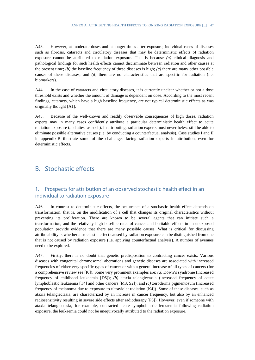A43. However, at moderate doses and at longer times after exposure, individual cases of diseases such as fibrosis, cataracts and circulatory diseases that may be deterministic effects of radiation exposure cannot be attributed to radiation exposure. This is because *(a)* clinical diagnosis and pathological findings for such health effects cannot discriminate between radiation and other causes at the present time; *(b)* the baseline frequency of these diseases is high; *(c)* there are many other possible causes of these diseases; and *(d)* there are no characteristics that are specific for radiation (i.e. biomarkers).

A44. In the case of cataracts and circulatory diseases, it is currently unclear whether or not a dose threshold exists and whether the amount of damage is dependent on dose. According to the most recent findings, cataracts, which have a high baseline frequency, are not typical deterministic effects as was originally thought [A1].

A45. Because of the well-known and readily observable consequences of high doses, radiation experts may in many cases confidently attribute a particular deterministic health effect to acute radiation exposure (and attest as such). In attributing, radiation experts must nevertheless still be able to eliminate possible alternative causes (i.e. by conducting a counterfactual analysis). Case studies I and II in appendix B illustrate some of the challenges facing radiation experts in attribution, even for deterministic effects.

### <span id="page-32-0"></span>B. Stochastic effects

#### 1. Prospects for attribution of an observed stochastic health effect in an individual to radiation exposure

A46. In contrast to deterministic effects, the occurrence of a stochastic health effect depends on transformation, that is, on the modification of a cell that changes its original characteristics without preventing its proliferation. There are known to be several agents that can initiate such a transformation, and the relatively high baseline rates of cancer and heritable effects in an unexposed population provide evidence that there are many possible causes. What is critical for discussing attributability is whether a stochastic effect caused by radiation exposure can be distinguished from one that is not caused by radiation exposure (i.e. applying counterfactual analysis). A number of avenues need to be explored.

A47. Firstly, there is no doubt that genetic predisposition to contracting cancer exists. Various diseases with congenital chromosomal aberrations and genetic diseases are associated with increased frequencies of either very specific types of cancer or with a general increase of all types of cancers (for a comprehensive review see [I6]). Some very prominent examples are: *(a)* Down's syndrome (increased frequency of childhood leukaemia [D5]); *(b)* ataxia telangiectasia (increased frequency of acute lymphoblastic leukaemia [T4] and other cancers [M3, S2]); and *(c)* xeroderma pigmentosum (increased frequency of melanoma due to exposure to ultraviolet radiation [K4]). Some of these diseases, such as ataxia telangiectasia, are characterized by an increase in cancer frequency, but also by an enhanced radiosensitivity resulting in severe side effects after radiotherapy [P3]). However, even if someone with ataxia telangiectasia, for example, contracted acute lymphoblastic leukaemia following radiation exposure, the leukaemia could not be unequivocally attributed to the radiation exposure.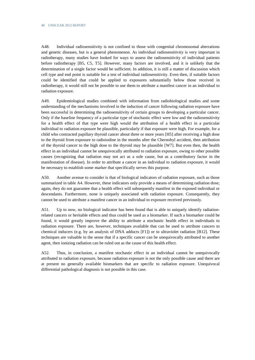A48. Individual radiosensitivity is not confined to those with congenital chromosomal aberrations and genetic diseases, but is a general phenomenon. As individual radiosensitivity is very important in radiotherapy, many studies have looked for ways to assess the radiosensitivity of individual patients before radiotherapy [B5, C5, T5]. However, many factors are involved, and it is unlikely that the determination of a single factor would be sufficient. In addition, it is still a matter of discussion which cell type and end point is suitable for a test of individual radiosensitivity. Even then, if suitable factors could be identified that could be applied to exposures substantially below those received in radiotherapy, it would still not be possible to use them to attribute a manifest cancer in an individual to radiation exposure.

A49. Epidemiological studies combined with information from radiobiological studies and some understanding of the mechanisms involved in the induction of cancer following radiation exposure have been successful in determining the radiosensitivity of certain groups to developing a particular cancer. Only if the baseline frequency of a particular type of stochastic effect were low and the radiosensitivity for a health effect of that type were high would the attribution of a health effect in a particular individual to radiation exposure be plausible, particularly if that exposure were high. For example, for a child who contracted papillary thyroid cancer about three or more years [H5] after receiving a high dose to the thyroid from exposure to radioiodine in the months after the Chernobyl accident, then attribution of the thyroid cancer to the high dose to the thyroid may be plausible [W7]. But even then, the health effect in an individual cannot be unequivocally attributed to radiation exposure, owing to other possible causes (recognizing that radiation may not act as a sole cause, but as a contributory factor in the manifestation of disease). In order to attribute a cancer in an individual to radiation exposure, it would be necessary to establish some marker that specifically serves this purpose.

A50. Another avenue to consider is that of biological indicators of radiation exposure, such as those summarized in table A4. However, these indicators only provide a means of determining radiation dose; again, they do not guarantee that a health effect will subsequently manifest in the exposed individual or descendants. Furthermore, none is uniquely associated with radiation exposure. Consequently, they cannot be used to attribute a manifest cancer in an individual to exposure received previously.

A51. Up to now, no biological indicator has been found that is able to uniquely identify radiationrelated cancers or heritable effects and thus could be used as a biomarker. If such a biomarker could be found, it would greatly improve the ability to attribute a stochastic health effect in individuals to radiation exposure. There are, however, techniques available that can be used to attribute cancers to chemical inducers (e.g. by an analysis of DNA adducts  $[F1]$ ) or to ultraviolet radiation  $[B12]$ . These techniques are valuable in the sense that if a specific cancer can be unequivocally attributed to another agent, then ionizing radiation can be ruled out as the cause of this health effect.

A52. Thus, in conclusion, a manifest stochastic effect in an individual cannot be unequivocally attributed to radiation exposure, because radiation exposure is not the only possible cause and there are at present no generally available biomarkers that are specific to radiation exposure. Unequivocal differential pathological diagnosis is not possible in this case.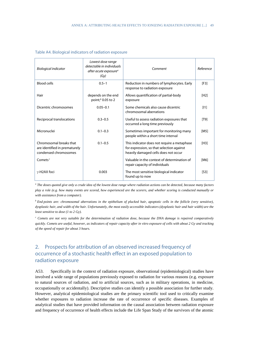| <b>Biological indicator</b>                                                       | Lowest dose range<br>detectable in individuals<br>after acute exposure <sup>a</sup><br>(Gy) | Comment                                                                                                                          | Reference   |
|-----------------------------------------------------------------------------------|---------------------------------------------------------------------------------------------|----------------------------------------------------------------------------------------------------------------------------------|-------------|
| <b>Blood cells</b>                                                                | $0.5 - 1$                                                                                   | Reduction in numbers of lymphocytes. Early<br>response to radiation exposure                                                     | <b>IF31</b> |
| Hair                                                                              | depends on the end<br>point; $b$ 0.05 to 2                                                  | Allows quantification of partial-body<br>exposure                                                                                | [H2]        |
| Dicentric chromosomes                                                             | $0.05 - 0.1$                                                                                | Some chemicals also cause dicentric<br>chromosomal aberrations                                                                   | [11]        |
| Reciprocal translocations                                                         | $0.3 - 0.5$                                                                                 | Useful to assess radiation exposures that<br>occurred a long time previously                                                     | [T9]        |
| Micronuclei                                                                       | $0.1 - 0.3$                                                                                 | Sometimes important for monitoring many<br>people within a short time interval                                                   | [M5]        |
| Chromosomal breaks that<br>are identified in prematurely<br>condensed chromosomes | $0.1 - 0.5$                                                                                 | This indicator does not require a metaphase<br>for expression, so that selection against<br>heavily damaged cells does not occur | [H3]        |
| Comets <sup>c</sup>                                                               |                                                                                             | Valuable in the context of determination of<br>repair capacity of individuals                                                    | [M6]        |
| $\gamma$ -H2AX foci                                                               | 0.003                                                                                       | The most sensitive biological indicator<br>found up to now                                                                       | [S3]        |

#### Table A4. Biological indicators of radiation exposure

*<sup>a</sup> The doses quoted give only a crude idea of the lowest dose range where radiation actions can be detected, because many factors play a role (e.g. how many events are scored, how experienced are the scorers, and whether scoring is conducted manually or with assistance from a computer).*

*b End points are: chromosomal aberrations in the epithelium of plucked hair, apoptotic cells in the follicle (very sensitive), dysplastic hair, and width of the hair. Unfortunately, the most easily accessible indicators (dysplastic hair and hair width) are the least sensitive to dose (1 to 2 Gy).*

*<sup>c</sup> Comets are not very suitable for the determination of radiation dose, because the DNA damage is repaired comparatively quickly. Comets are useful, however, as indicators of repair capacity after in vitro exposure of cells with about 2 Gy and tracking of the speed of repair for about 3 hours.*

#### 2. Prospects for attribution of an observed increased frequency of occurrence of a stochastic health effect in an exposed population to radiation exposure

A53. Specifically in the context of radiation exposure, observational (epidemiological) studies have involved a wide range of populations previously exposed to radiation for various reasons (e.g. exposure to natural sources of radiation, and to artificial sources, such as in military operations, in medicine, occupationally or accidentally). Descriptive studies can identify a possible association for further study. However, analytical epidemiological studies are the primary scientific tool used to critically examine whether exposures to radiation increase the rate of occurrence of specific diseases. Examples of analytical studies that have provided information on the causal association between radiation exposure and frequency of occurrence of health effects include the Life Span Study of the survivors of the atomic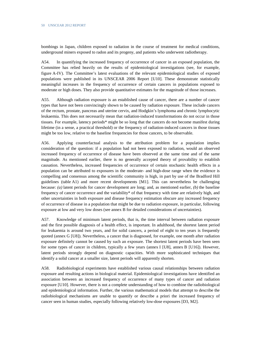bombings in Japan, children exposed to radiation in the course of treatment for medical conditions, underground miners exposed to radon and its progeny, and patients who underwent radiotherapy.

A54. In quantifying the increased frequency of occurrence of cancer in an exposed population, the Committee has relied heavily on the results of epidemiological investigations (see, for example, figure A-IV). The Committee's latest evaluations of the relevant epidemiological studies of exposed populations were published in its UNSCEAR 2006 Report [U10]. These demonstrate statistically meaningful increases in the frequency of occurrence of certain cancers in populations exposed to moderate or high doses. They also provide quantitative estimates for the magnitude of those increases.

A55. Although radiation exposure is an established cause of cancer, there are a number of cancer types that have not been convincingly shown to be caused by radiation exposure. These include cancers of the rectum, prostate, pancreas and uterine cervix, and Hodgkin's lymphoma and chronic lymphocytic leukaemia. This does not necessarily mean that radiation-induced transformations do not occur in those tissues. For example, latency periods\* might be so long that the cancers do not become manifest during lifetime (in a sense, a practical threshold) or the frequency of radiation-induced cancers in those tissues might be too low, relative to the baseline frequencies for those cancers, to be observable.

A56. Applying counterfactual analysis to the attribution problem for a population implies consideration of the question: if a population had not been exposed to radiation, would an observed increased frequency of occurrence of disease have been observed at the same time and of the same magnitude. As mentioned earlier, there is no generally accepted theory of provability to establish causation. Nevertheless, increased frequencies of occurrence of certain stochastic health effects in a population can be attributed to exposures in the moderate- and high-dose range when the evidence is compelling and consensus among the scientific community is high, in part by use of the Bradford Hill guidelines (table A1) and more recent developments [M1]. This can nevertheless be challenging because: *(a)* latent periods for cancer development are long; and, as mentioned earlier, *(b)* the baseline frequency of cancer occurrence and the variability\* of that frequency with time are relatively high, and other uncertainties in both exposure and disease frequency estimation obscure any increased frequency of occurrence of disease in a population that might be due to radiation exposure, in particular, following exposure at low and very low doses (see annex B for detailed considerations of uncertainties).

A57. Knowledge of minimum latent periods, that is, the time interval between radiation exposure and the first possible diagnosis of a health effect, is important. In adulthood, the shortest latent period for leukaemia is around two years, and for solid cancers, a period of eight to ten years is frequently quoted (annex G [U8]). Nevertheless, a cancer that is diagnosed, for example, one month after radiation exposure definitely cannot be caused by such an exposure. The shortest latent periods have been seen for some types of cancer in children, typically a few years (annex I [U8], annex B [U16]). However, latent periods strongly depend on diagnostic capacities. With more sophisticated techniques that identify a solid cancer at a smaller size, latent periods will apparently shorten.

A58. Radiobiological experiments have established various causal relationships between radiation exposure and resulting actions in biological material. Epidemiological investigations have identified an association between an increased frequency of occurrence of many types of cancer and radiation exposure [U10]. However, there is not a complete understanding of how to combine the radiobiological and epidemiological information. Further, the various mathematical models that attempt to describe the radiobiological mechanisms are unable to quantify or describe a priori the increased frequency of cancer seen in human studies, especially following relatively low-dose exposures [D3, M2].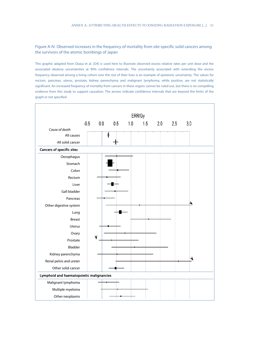Figure A-IV. Observed increases in the frequency of mortality from site-specific solid cancers among the survivors of the atomic bombings of Japan

This graphic adapted from Ozasa et al. [O4] is used here to illustrate observed excess relative rates per unit dose and the associated aleatory uncertainties at 90% confidence intervals. The uncertainty associated with extending the excess frequency observed among a living cohort over the rest of their lives is an example of epistemic uncertainty. The values for rectum, pancreas, uterus, prostate, kidney parenchyma and malignant lymphoma, while positive, are not statistically significant. An increased frequency of mortality from cancers in these organs cannot be ruled out, but there is no compelling evidence from this study to support causation. The arrows indicate confidence intervals that are beyond the limits of the graph or not specified

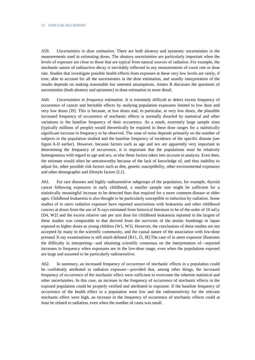A59*. Uncertainties in dose estimation.* There are both aleatory and epistemic uncertainties in the measurements used in estimating doses. The aleatory uncertainties are particularly important when the levels of exposure are close to those that are typical from natural sources of radiation. For example, the stochastic nature of radioactive decay is inevitably reflected in any measurements of count rate or dose rate. Studies that investigate possible health effects from exposure at these very low levels are rarely, if ever, able to account for all the uncertainties in the dose estimation, and usually interpretation of the results depends on making reasonable but untested assumptions. Annex B discusses the questions of uncertainties (both aleatory and epistemic) in dose estimation in more detail.

A60. *Uncertainties in frequency estimation*. It is extremely difficult to detect excess frequency of occurrence of cancer and heritable effects by studying population exposures limited to low dose and very low doses [I9]. This is because, at low doses and, in particular, at very low doses, the plausible increased frequency of occurrence of stochastic effects is normally dwarfed by statistical and other variations in the baseline frequency of their occurrence. As a result, extremely large sample sizes (typically millions of people) would theoretically be required in these dose ranges for a statistically significant increase in frequency to be observed. The zone of noise depends primarily on the number of subjects in the population studied and the baseline frequency of incidence of the specific disease (see figure A-II earlier). However, because factors such as age and sex are apparently very important in determining the frequency of occurrence, it is important that the populations must be relatively homogeneous with regard to age and sex, or else these factors taken into account in analysis. Even then, the estimate would often be untrustworthy because of the lack of knowledge of, and thus inability to adjust for, other possible risk factors such as diet, genetic susceptibility, other environmental exposures and other demographic and lifestyle factors [L1].

A61. For rare diseases and highly radiosensitive subgroups of the population, for example, thyroid cancer following exposures in early childhood, a smaller sample size might be sufficient for a statistically meaningful increase to be detected than that required for a more common disease at older ages. Childhood leukaemia is also thought to be particularly susceptible to induction by radiation. Some studies of in utero radiation exposure have reported associations with leukaemia and other childhood cancers at doses from the use of X-rays estimated from historical literature to be of the order of 10 mGy [D4, W2] and the excess relative rate per unit dose for childhood leukaemia reported in the largest of these studies was comparable to that derived from the survivors of the atomic bombings in Japan exposed to higher doses as young children [W1, W3]. However, the conclusions of these studies are not accepted by many in the scientific community, and the causal nature of the association with low-dose prenatal X-ray examinations is still much debated [B11, I5, I8].The case of in utero exposure illustrates the difficulty in interpreting—and obtaining scientific consensus on the interpretation of—reported increases in frequency when exposures are in the low-dose range, even when the populations exposed are large and assumed to be particularly radiosensitive.

A62. In summary, an increased frequency of occurrence of stochastic effects in a population could be confidently attributed to radiation exposure—provided that, among other things, the increased frequency of occurrence of the stochastic effect were sufficient to overcome the inherent statistical and other uncertainties. In this case, an increase in the frequency of occurrence of stochastic effects in the exposed population could be properly verified and attributed to exposure. If the baseline frequency of occurrence of the health effect in a population were low and the radiosensitivity for the relevant stochastic effect were high, an increase in the frequency of occurrence of stochastic effects could at least be related to radiation, even when the number of cases was small.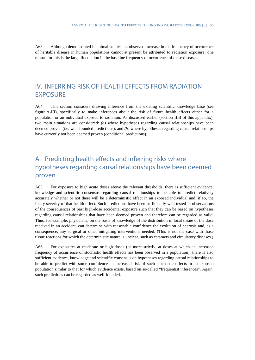A63. Although demonstrated in animal studies, an observed increase in the frequency of occurrence of heritable disease in human populations cannot at present be attributed to radiation exposure; one reason for this is the large fluctuation in the baseline frequency of occurrence of these diseases.

## IV. INFERRING RISK OF HEALTH EFFECTS FROM RADIATION **EXPOSURE**

A64. This section considers drawing inference from the existing scientific knowledge base (see figure A-III), specifically to make inferences about the risk of future health effects either for a population or an individual exposed to radiation. As discussed earlier (section II.B of this appendix), two main situations are considered: *(a)* where hypotheses regarding causal relationships have been deemed proven (i.e. well-founded predictions); and *(b)* where hypotheses regarding causal relationships have currently not been deemed proven (conditional predictions).

# A. Predicting health effects and inferring risks where hypotheses regarding causal relationships have been deemed proven

A65. For exposure to high acute doses above the relevant thresholds, there is sufficient evidence, knowledge and scientific consensus regarding causal relationships to be able to predict relatively accurately whether or not there will be a deterministic effect in an exposed individual and, if so, the likely severity of that health effect. Such predictions have been sufficiently well tested in observations of the consequences of past high-dose accidental exposure such that they can be based on hypotheses regarding causal relationships that have been deemed proven and therefore can be regarded as valid. Thus, for example, physicians, on the basis of knowledge of the distribution in local tissue of the dose received in an accident, can determine with reasonable confidence the evolution of necrosis and, as a consequence, any surgical or other mitigating interventions needed. (This is not the case with those tissue reactions for which the deterministic nature is unclear, such as cataracts and circulatory diseases.)

A66. For exposures at moderate or high doses (or more strictly, at doses at which an increased frequency of occurrence of stochastic health effects has been observed in a population), there is also sufficient evidence, knowledge and scientific consensus on hypotheses regarding causal relationships to be able to predict with some confidence an increased risk of such stochastic effects in an exposed population similar to that for which evidence exists, based on so-called "frequentist inferences". Again, such predictions can be regarded as well-founded.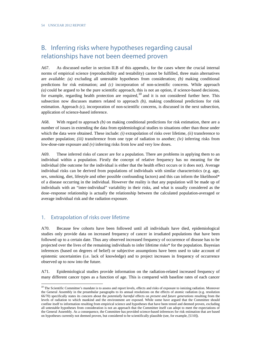# B. Inferring risks where hypotheses regarding causal relationships have not been deemed proven

A67. As discussed earlier in section II.B of this appendix, for the cases where the crucial internal norms of empirical science (reproducibility and testability) cannot be fulfilled, three main alternatives are available: *(a)* excluding all untestable hypotheses from consideration; *(b)* making conditional predictions for risk estimation; and *(c)* incorporation of non-scientific concerns. While approach *(a)* could be argued to be the pure scientific approach, this is not an option, if science-based decisions, for example, regarding health protection are required,<sup>[10](#page-39-0)</sup> and it is not considered further here. This subsection now discusses matters related to approach *(b)*, making conditional predictions for risk estimation. Approach *(c)*, incorporation of non-scientific concerns, is discussed in the next subsection, application of science-based inference.

A68. With regard to approach *(b)* on making conditional predictions for risk estimation, there are a number of issues in extending the data from epidemiological studies to situations other than those under which the data were obtained. These include: *(i)* extrapolation of risks over lifetime, *(ii)* transference to another population; *(iii)* transference from one type of radiation to another; *(iv)* inferring risks from low-dose-rate exposure and *(v)* inferring risks from low and very low doses.

A69. These inferred risks of cancer are for a population. There are problems in applying them to an individual within a population. Firstly the concept of relative frequency has no meaning for the individual (the outcome for the individual is either that the health effect occurs or it does not). Average individual risks can be derived from populations of individuals with similar characteristics (e.g. age, sex, smoking, diet, lifestyle and other possible confounding factors) and this can inform the likelihood\* of a disease occurring in the individual. However the reality is that any population will be made up of individuals with an "inter-individual" variability in their risks, and what is usually considered as the dose–response relationship is actually the relationship between the calculated population-averaged or average individual risk and the radiation exposure.

#### 1. Extrapolation of risks over lifetime

 $\frac{1}{1}$ 

A70. Because few cohorts have been followed until all individuals have died, epidemiological studies only provide data on increased frequency of cancer in irradiated populations that have been followed up to a certain date. Thus any observed increased frequency of occurrence of disease has to be projected over the lives of the remaining individuals to infer lifetime risks\* for the population. Bayesian inferences (based on degrees of belief) or subjective assumptions have been used to take account of epistemic uncertainties (i.e. lack of knowledge) and to project increases in frequency of occurrence observed up to now into the future.

A71. Epidemiological studies provide information on the radiation-related increased frequency of many different cancer types as a function of age. This is compared with baseline rates of each cancer

<span id="page-39-0"></span><sup>&</sup>lt;sup>10</sup> The Scientific Committee's mandate is to assess and report levels, effects and risks of exposure to ionizing radiation. Moreover the General Assembly in the preambular paragraphs to its annual resolutions on the effects of atomic radiation (e.g. resolution 66/70) specifically states its concern about the *potentially harmful* effects on *present and future generations* resulting from the levels of radiation to which mankind and the environment are exposed. While some have argued that the Committee should confine itself to information resulting from empirical science and hypotheses that have been tested and deemed proven, excluding all untestable hypotheses from consideration is not an approach that the Committee itself can adopt to meet the expectations of the General Assembly. As a consequence, the Committee has provided science-based inferences for risk estimation that are based on hypotheses currently not deemed proven, but considered to be scientifically plausible (see, for example, [U10]).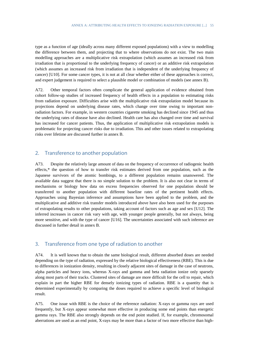type as a function of age (ideally across many different exposed populations) with a view to modelling the difference between them, and projecting that to where observations do not exist. The two main modelling approaches are a multiplicative risk extrapolation (which assumes an increased risk from irradiation that is proportional to the underlying frequency of cancer) or an additive risk extrapolation (which assumes an increased risk from irradiation that is independent of the underlying frequency of cancer) [U10]. For some cancer types, it is not at all clear whether either of these approaches is correct, and expert judgement is required to select a plausible model or combination of models (see annex B).

A72. Other temporal factors often complicate the general application of evidence obtained from cohort follow-up studies of increased frequency of health effects in a population to estimating risks from radiation exposure. Difficulties arise with the multiplicative risk extrapolation model because its projections depend on underlying disease rates, which change over time owing to important nonradiation factors. For example, in western countries cigarette smoking has declined since 1945 and thus the underlying rates of disease have also declined. Health care has also changed over time and survival has increased for cancer patients. Thus, the application of multiplicative risk extrapolation models is problematic for projecting cancer risks due to irradiation. This and other issues related to extrapolating risks over lifetime are discussed further in annex B.

#### 2. Transference to another population

A73. Despite the relatively large amount of data on the frequency of occurrence of radiogenic health effects,\* the question of how to transfer risk estimates derived from one population, such as the Japanese survivors of the atomic bombings, to a different population remains unanswered. The available data suggest that there is no simple solution to the problem. It is also not clear in terms of mechanisms or biology how data on excess frequencies observed for one population should be transferred to another population with different baseline rates of the pertinent health effects. Approaches using Bayesian inference and assumptions have been applied to the problem, and the multiplicative and additive risk transfer models introduced above have also been used for the purposes of extrapolating results to other populations, taking account of factors such as age and sex [U12]. The inferred increases in cancer risk vary with age, with younger people generally, but not always, being more sensitive, and with the type of cancer [U16]. The uncertainties associated with such inference are discussed in further detail in annex B.

#### 3. Transference from one type of radiation to another

A74. It is well known that to obtain the same biological result, different absorbed doses are needed depending on the type of radiation, expressed by the relative biological effectiveness (RBE). This is due to differences in ionization density, resulting in closely adjacent sites of damage in the case of neutrons, alpha particles and heavy ions, whereas X-rays and gamma and beta radiation ionize only sparsely along most parts of their tracks. Clustered sites of damage are more difficult for the cell to repair, which explain in part the higher RBE for densely ionizing types of radiation. RBE is a quantity that is determined experimentally by comparing the doses required to achieve a specific level of biological result.

A75. One issue with RBE is the choice of the reference radiation: X-rays or gamma rays are used frequently, but X-rays appear somewhat more effective in producing some end points than energetic gamma rays. The RBE also strongly depends on the end point studied. If, for example, chromosomal aberrations are used as an end point, X-rays may be more than a factor of two more effective than high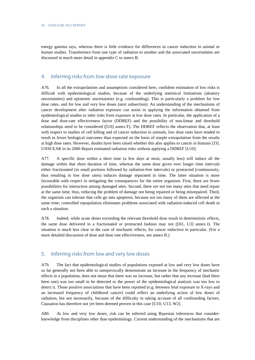energy gamma rays, whereas there is little evidence for differences in cancer induction in animal or human studies. Transference from one type of radiation to another and the associated uncertainties are discussed in much more detail in appendix C to annex B.

#### 4. Inferring risks from low-dose-rate exposure

A76. In all the extrapolations and assumptions considered here, confident estimation of low risks is difficult with epidemiological studies, because of the underlying statistical limitations (aleatory uncertainties) and epistemic uncertainties (e.g. confounding). This is particularly a problem for low dose rates, and for low and very low doses (next subsection). An understanding of the mechanisms of cancer development after radiation exposure can assist in applying the information obtained from epidemiological studies to infer risks from exposure at low dose rates. In particular, the application of a dose and dose-rate effectiveness factor (DDREF) and the possibility of non-linear and threshold relationships need to be considered ([U6] annex F). The DDREF reflects the observation that, at least with respect to studies of cell killing and of cancer induction in animals, low dose rates have tended to result in fewer biological outcomes than expected on the basis of simple extrapolation from the results at high dose rates. However, doubts have been raised whether this also applies to cancer in humans [J3]. UNSCEAR in its 2006 Report estimated radiation risks without applying a DDREF [U10].

A77. A specific dose within a short time (a few days at most, usually less) will induce all the damage within that short duration of time, whereas the same dose given over longer time intervals either fractionated (in small portions followed by radiation-free intervals) or protracted (continuously, thus resulting in low dose rates) induces damage separated in time. The latter situation is more favourable with respect to mitigating the consequences for the entire organism. First, there are fewer possibilities for interaction among damaged sites. Second, there are not too many sites that need repair at the same time, thus, reducing the problem of damage not being repaired or being misrepaired. Third, the organism can tolerate that cells go into apoptosis, because not too many of them are affected at the same time; controlled repopulation eliminates problems associated with radiation-induced cell death in such a situation.

A78. Indeed, while acute doses exceeding the relevant threshold dose result in deterministic effects, the same dose delivered in a fractionated or protracted fashion may not ([H1, U3] annex J). The situation is much less clear in the case of stochastic effects, for cancer induction in particular. (For a more detailed discussion of dose and dose rate effectiveness, see annex B.)

#### 5. Inferring risks from low and very low doses

A79. The fact that epidemiological studies of populations exposed at low and very low doses have so far generally not been able to unequivocally demonstrate an increase in the frequency of stochastic effects in a population, does not mean that there was no increase, but rather that any increase (had there been one) was too small to be detected or the power of the epidemiological analysis was too low to detect it. Those positive associations that have been reported (e.g. between fetal exposure to X-rays and an increased frequency of childhood cancer) could reflect an underlying action of low doses of radiation, but not necessarily, because of the difficulty in taking account of all confounding factors. Causation has therefore not yet been deemed proven in this case [U10, U13, W2].

A80. At low and very low doses, risk can be inferred using Bayesian inferences that consider: knowledge from disciplines other than epidemiology. Current understanding of the mechanisms that are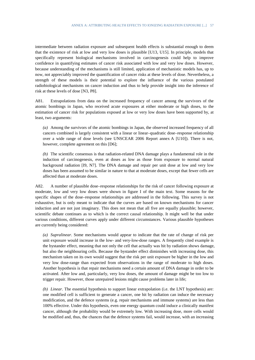intermediate between radiation exposure and subsequent health effects is substantial enough to deem that the existence of risk at low and very low doses is plausible [U13, U15]. In principle, models that specifically represent biological mechanisms involved in carcinogenesis could help to improve confidence in quantifying estimates of cancer risk associated with low and very low doses. However, because understanding of the mechanisms is still limited, application of mechanistic models has, up to now, not appreciably improved the quantification of cancer risks at these levels of dose. Nevertheless, a strength of these models is their potential to explore the influence of the various postulated radiobiological mechanisms on cancer induction and thus to help provide insight into the inference of risk at these levels of dose [N3, P8].

A81. Extrapolations from data on the increased frequency of cancer among the survivors of the atomic bombings in Japan, who received acute exposures at either moderate or high doses, to the estimation of cancer risk for populations exposed at low or very low doses have been supported by, at least, two arguments:

*(a)* Among the survivors of the atomic bombings in Japan, the observed increased frequency of all cancers combined is largely consistent with a linear or linear–quadratic dose–response relationship over a wide range of dose levels (see UNSCEAR 2006 Report annex A [U10]). There is not, however, complete agreement on this [D6];

*(b)* The scientific consensus is that radiation-related DNA damage plays a fundamental role in the induction of carcinogenesis, even at doses as low as those from exposure to normal natural background radiation [I9, N7]. The DNA damage and repair per unit dose at low and very low doses has been assumed to be similar in nature to that at moderate doses, except that fewer cells are affected than at moderate doses.

A82. A number of plausible dose–response relationships for the risk of cancer following exposure at moderate, low and very low doses were shown in figure I of the main text. Some reasons for the specific shapes of the dose–response relationships are addressed in the following. This survey is not exhaustive, but is only meant to indicate that the curves are based on known mechanisms for cancer induction and are not just imaginary. This does not mean that all five are equally plausible; however, scientific debate continues as to which is the correct causal relationship. It might well be that under various conditions, different curves apply under different circumstances. Various plausible hypotheses are currently being considered:

*(a) Supralinear*. Some mechanisms would appear to indicate that the rate of change of risk per unit exposure would increase in the low- and very-low-dose ranges. A frequently cited example is the bystander effect, meaning that not only the cell that actually was hit by radiation shows damage, but also the neighbouring cells. Because the bystander effect diminishes with increasing dose, this mechanism taken on its own would suggest that the risk per unit exposure be higher in the low and very low dose-range than expected from observations in the range of moderate to high doses. Another hypothesis is that repair mechanisms need a certain amount of DNA damage in order to be activated. After low and, particularly, very low doses, the amount of damage might be too low to trigger repair. However, those unrepaired lesions might cause problems later in life;

*(b) Linear.* The essential hypothesis to support linear extrapolation (i.e. the LNT hypothesis) are: one modified cell is sufficient to generate a cancer, one hit by radiation can induce the necessary modification, and the defence systems (e.g. repair mechanisms and immune systems) are less than 100% effective. Under this hypothesis, even one energy quantum could induce a clinically manifest cancer, although the probability would be extremely low. With increasing dose, more cells would be modified and, thus, the chances that the defence systems fail, would increase, with an increasing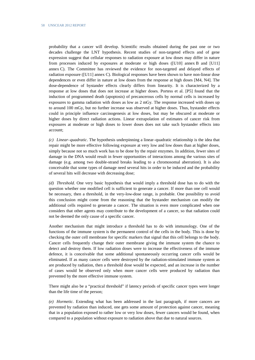#### 58 UNSCEAR 2012 REPORT

probability that a cancer will develop. Scientific results obtained during the past one or two decades challenge the LNT hypothesis. Recent studies of non-targeted effects and of gene expression suggest that cellular responses to radiation exposure at low doses may differ in nature from processes induced by exposures at moderate or high doses ([U10] annex B and [U11] annex C). The Committee has reviewed the evidence for non-targeted and delayed effects of radiation exposure ([U11] annex C). Biological responses have been shown to have non-linear dose dependences or even differ in nature at low doses from the response at high doses [M4, N4]. The dose-dependence of bystander effects clearly differs from linearity. It is characterized by a response at low doses that does not increase at higher doses. Portess et al. [P5] found that the induction of programmed death (apoptosis) of precancerous cells by normal cells is increased by exposures to gamma radiation with doses as low as 2 mGy. The response increased with doses up to around 100 mGy, but no further increase was observed at higher doses. Thus, bystander effects could in principle influence carcinogenesis at low doses, but may be obscured at moderate or higher doses by direct radiation actions. Linear extrapolation of estimates of cancer risk from exposures at moderate or high doses to lower doses does not take such bystander effects into account;

*(c) Linear–quadratic*. The hypothesis underpinning a linear–quadratic relationship is the idea that repair might be more effective following exposure at very low and low doses than at higher doses, simply because not so much work has to be done by the repair enzymes. In addition, fewer sites of damage in the DNA would result in fewer opportunities of interactions among the various sites of damage (e.g. among two double-strand breaks leading to a chromosomal aberration). It is also conceivable that some types of damage need several hits in order to be induced and the probability of several hits will decrease with decreasing dose;

*(d) Threshold.* One very basic hypothesis that would imply a threshold dose has to do with the question whether one modified cell is sufficient to generate a cancer. If more than one cell would be necessary, then a threshold, in the very-low-dose range, is probable. One possibility to avoid this conclusion might come from the reasoning that the bystander mechanism can modify the additional cells required to generate a cancer. The situation is even more complicated when one considers that other agents may contribute to the development of a cancer, so that radiation could not be deemed the only cause of a specific cancer.

Another mechanism that might introduce a threshold has to do with immunology. One of the functions of the immune system is the permanent control of the cells in the body. This is done by checking the outer cell membrane for specific markers that signal that this cell belongs to the body. Cancer cells frequently change their outer membrane giving the immune system the chance to detect and destroy them. If low radiation doses were to increase the effectiveness of the immune defence, it is conceivable that some additional spontaneously occurring cancer cells would be eliminated. If as many cancer cells were destroyed by the radiation-stimulated immune system as are produced by radiation, then a threshold dose would be expected, and an increase in the number of cases would be observed only when more cancer cells were produced by radiation than prevented by the more effective immune system.

There might also be a "practical threshold" if latency periods of specific cancer types were longer than the life time of the person;

*(e) Hormetic.* Extending what has been addressed in the last paragraph, if more cancers are prevented by radiation than induced, one gets some amount of protection against cancer, meaning that in a population exposed to rather low or very low doses, fewer cancers would be found, when compared to a population without exposure to radiation above that due to natural sources.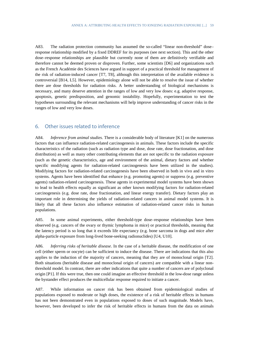A83. The radiation protection community has assumed the so-called "linear non-threshold" dose– response relationship modified by a fixed DDREF for its purposes (see next section). This and the other dose–response relationships are plausible but currently none of them are definitively verifiable and therefore cannot be deemed proven or disproven. Further, some scientists [D6] and organizations such as the French Académie des Sciences have argued in support of a practical threshold for management of the risk of radiation-induced cancer [T7, T8], although this interpretation of the available evidence is controversial [B14, L5]. However, epidemiology alone will not be able to resolve the issue of whether there are dose thresholds for radiation risks. A better understanding of biological mechanisms is necessary, and many deserve attention in the ranges of low and very low doses: e.g. adaptive response, apoptosis, genetic predisposition, and genomic instability. Hopefully, experimentation to test the hypotheses surrounding the relevant mechanisms will help improve understanding of cancer risks in the ranges of low and very low doses.

#### 6. Other issues related to inference

A84. *Inference from animal studies*. There is a considerable body of literature [K1] on the numerous factors that can influence radiation-related carcinogenesis in animals. These factors include the specific characteristics of the radiation (such as radiation type and dose, dose rate, dose fractionation, and dose distribution) as well as many other contributing elements that are not specific to the radiation exposure (such as the genetic characteristics, age and environment of the animal, dietary factors and whether specific modifying agents for radiation-related carcinogenesis have been utilized in the studies). Modifying factors for radiation-related carcinogenesis have been observed in both in vivo and in vitro systems. Agents have been identified that enhance (e.g. promoting agents) or suppress (e.g. preventive agents) radiation-related carcinogenesis. These agents in experimental model systems have been shown to lead to health effects equally as significant as other known modifying factors for radiation-related carcinogenesis (e.g. dose rate, dose fractionation, and linear energy transfer). Dietary factors play an important role in determining the yields of radiation-related cancers in animal model systems. It is likely that all these factors also influence estimation of radiation-related cancer risks in human populations.

A85. In some animal experiments, either threshold-type dose–response relationships have been observed (e.g. cancers of the ovary or thymic lymphoma in mice) or practical thresholds, meaning that the latency period is so long that it exceeds life expectancy (e.g. bone sarcoma in dogs and mice after alpha-particle exposure from long-lived bone-seeking radionuclides) [U4, U10].

A86*. Inferring risks of heritable disease*. In the case of a heritable disease, the modification of one cell (either sperm or oocyte) can be sufficient to induce the disease. There are indications that this also applies to the induction of the majority of cancers, meaning that they are of monoclonal origin [T2]. Both situations (heritable disease and monoclonal origin of cancers) are compatible with a linear nonthreshold model. In contrast, there are other indications that quite a number of cancers are of polyclonal origin [P1]. If this were true, then one could imagine an effective threshold in the low-dose range unless the bystander effect produces the multicellular response required to initiate a cancer.

A87. While information on cancer risk has been obtained from epidemiological studies of populations exposed to moderate or high doses, the existence of a risk of heritable effects in humans has not been demonstrated even in populations exposed to doses of such magnitude. Models have, however, been developed to infer the risk of heritable effects in humans from the data on animals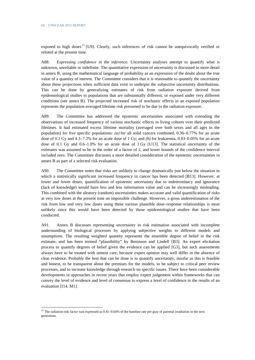#### 60 UNSCEAR 2012 REPORT

-

exposed to high doses  $\frac{11}{2}$  $\frac{11}{2}$  $\frac{11}{2}$  [U9]. Clearly, such inferences of risk cannot be unequivocally verified or refuted at the present time.

A88*. Expressing confidence in the inference*. Uncertainty analyses attempt to quantify what is unknown, unreliable or indefinite. The quantitative expression of uncertainty is discussed in more detail in annex B, using the mathematical language of probability as an expression of the doubt about the true value of a quantity of interest. The Committee considers that it is reasonable to quantify the uncertainty about these projections when sufficient data exist to underpin the subjective uncertainty distributions. This can be done by generalizing estimates of risk from radiation exposure derived from epidemiological studies to populations that are substantially different, or exposed under very different conditions (see annex B). The projected increased risk of stochastic effects in an exposed population represents the population-averaged lifetime risk presumed to be due to the radiation exposure.

A89. The Committee has addressed the epistemic uncertainties associated with extending the observations of increased frequency of various stochastic effects in living cohorts over their predicted lifetimes. It had estimated excess lifetime mortality (averaged over both sexes and all ages in the population) for five specific populations: *(a)* for all solid cancers combined, 0.36–0.77% for an acute dose of 0.1 Gy and 4.3–7.2% for an acute dose of 1 Gy; and *(b)* for leukaemia, 0.03–0.05% for an acute dose of 0.1 Gy and 0.6–1.0% for an acute dose of 1 Gy [U13]. The statistical uncertainty of the estimates was assumed to be in the order of a factor of 2, and lower bounds of the confidence interval included zero. The Committee discusses a more detailed consideration of the epistemic uncertainties in annex B as part of a selected risk evaluation.

A90. The Committee notes that risks are unlikely to change dramatically just below the situation in which a statistically significant increased frequency in cancer has been detected [B13]. However, at lower and lower doses, quantification of epistemic uncertainty due to indeterminacy and ignorance (lack of knowledge) would have less and less information value and can be increasingly misleading. This combined with the aleatory (random) uncertainties makes accurate and valid quantification of risks at very low doses at the present time an impossible challenge. However, a gross underestimation of the risk from low and very low doses using these various plausible dose–response relationships is most unlikely since this would have been detected by those epidemiological studies that have been conducted.

A91. Annex B discusses representing uncertainty in risk estimation associated with incomplete understanding of biological processes by applying subjective weights to different models and assumptions. The resulting weighted quantity represents the ensemble degree of belief in the risk estimate, and has been termed "plausibility" by Beninson and Lindell [B3]. An expert elicitation process to quantify degrees of belief given the evidence can be applied [G3], but such assessments always have to be treated with utmost care, because expert opinion may well differ in the absence of clear evidence. Probably the best that can be done is to quantify uncertainty, insofar as this is feasible and honest, to be transparent about the premises for the models, to be subject to critical peer review processes, and to increase knowledge through research on specific issues. There have been considerable developments in approaches in recent years that employ expert judgement within frameworks that can convey the level of evidence and level of consensus to express a level of confidence in the results of an evaluation [I14, M1].

<span id="page-45-0"></span><sup>&</sup>lt;sup>11</sup> The radiation-risk factor was expressed as  $0.41$ –0.64% of the baseline rate per gray of parental irradiation in the next generation.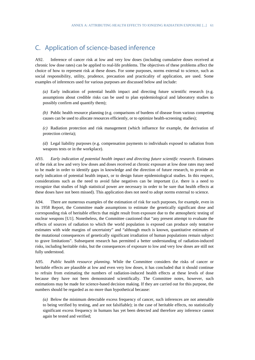## C. Application of science-based inference

A92. Inference of cancer risk at low and very low doses (including cumulative doses received at chronic low dose rates) can be applied to real-life problems. The objectives of these problems affect the choice of how to represent risk at these doses. For some purposes, norms external to science, such as social responsibility, utility, prudence, precaution and practicality of application, are used. Some examples of inferences used for various purposes are discussed below and include:

*(a)* Early indication of potential health impact and directing future scientific research (e.g. assumptions about credible risks can be used to plan epidemiological and laboratory studies to possibly confirm and quantify them);

*(b)* Public health resource planning (e.g. comparisons of burdens of disease from various competing causes can be used to allocate resources efficiently, or to optimize health-screening studies);

*(c)* Radiation protection and risk management (which influence for example, the derivation of protection criteria);

*(d)* Legal liability purposes (e.g. compensation payments to individuals exposed to radiation from weapons tests or in the workplace).

A93. *Early indication of potential health impact and directing future scientific research*. Estimates of the risk at low and very low doses and doses received at chronic exposure at low dose rates may need to be made in order to identify gaps in knowledge and the direction of future research, to provide an early indication of potential health impact, or to design future epidemiological studies. In this respect, considerations such as the need to avoid false negatives can be important (i.e. there is a need to recognize that studies of high statistical power are necessary in order to be sure that health effects at these doses have not been missed). This application does not need to adopt norms external to science.

A94. There are numerous examples of the estimation of risk for such purposes, for example, even in its 1958 Report, the Committee made assumptions to estimate the genetically significant dose and corresponding risk of heritable effects that might result from exposure due to the atmospheric testing of nuclear weapons [U1]. Nonetheless, the Committee cautioned that "any present attempt to evaluate the effects of sources of radiation to which the world population is exposed can produce only tentative estimates with wide margins of uncertainty" and "although much is known, quantitative estimates of the mutational consequences of genetically significant irradiation of human populations remain subject to grave limitations". Subsequent research has permitted a better understanding of radiation-induced risks, including heritable risks, but the consequences of exposure to low and very low doses are still not fully understood.

A95*. Public health resource planning*. While the Committee considers the risks of cancer or heritable effects are plausible at low and even very low doses, it has concluded that it should continue to refrain from estimating the numbers of radiation-induced health effects at these levels of dose because they have not been demonstrated scientifically. The Committee notes, however, such estimations may be made for science-based decision making. If they are carried out for this purpose, the numbers should be regarded as no more than hypothetical because:

*(a)* Below the minimum detectable excess frequency of cancer, such inferences are not amenable to being verified by testing, and are not falsifiable); in the case of heritable effects, no statistically significant excess frequency in humans has yet been detected and therefore any inference cannot again be tested and verified;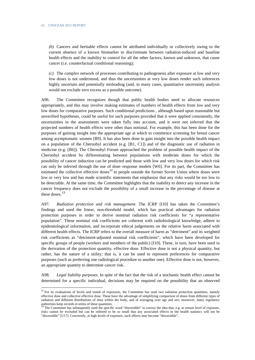$\frac{1}{1}$ 

*(b)* Cancers and heritable effects cannot be attributed individually or collectively owing to the current absence of a known biomarker to discriminate between radiation-induced and baseline health effects and the inability to control for all the other factors, known and unknown, that cause cancer (i.e. counterfactual conditional reasoning);

*(c)* The complex network of processes contributing to pathogenesis after exposure at low and very low doses is not understood, and thus the uncertainties at very low doses render such inferences highly uncertain and potentially misleading (and, in many cases, quantitative uncertainty analysis would not exclude zero excess as a possible outcome).

A96. The Committee recognizes though that public health bodies need to allocate resources appropriately, and this may involve making estimates of numbers of health effects from low and very low doses for comparative purposes. Such conditional predictions , although based upon reasonable but unverified hypotheses, could be useful for such purposes provided that it were applied consistently, the uncertainties in the assessments were taken fully into account, and it were not inferred that the projected numbers of health effects were other than notional. For example, this has been done for the purposes of gaining insight into the appropriate age at which to commence screening for breast cancer among asymptomatic women [B9]. It has also been done to gain insight into the possible health impact on a population of the Chernobyl accident (e.g. [B1, C1]) and of the diagnostic use of radiation in medicine (e.g. [B6]). The Chernobyl Forum approached the problem of possible health impact of the Chernobyl accident by differentiating between populations with moderate doses for which the possibility of cancer induction can be predicted and those with low and very low doses for which risk can only be inferred through the use of dose–response models [W6]. For its part, the Committee has estimated the collective effective doses<sup>[12](#page-47-0)</sup> to people outside the former Soviet Union where doses were low or very low and has made scientific statements that emphasize that any risks would be too low to be detectable. At the same time, the Committee highlights that the inability to detect any increase in the cancer frequency does not exclude the possibility of a small increase in the percentage of disease at these doses. [13](#page-47-1)

A97*. Radiation protection and risk management.* The ICRP [I10] has taken the Committee's findings and used the linear, non-threshold model, which has practical advantages for radiation protection purposes in order to derive nominal radiation risk coefficients for "a representative population". These nominal risk coefficients are coherent with radiobiological knowledge, adhere to epidemiological information, and incorporate ethical judgements on the relative harm associated with different health effects. The ICRP refers to the overall measure of harm as "detriment" and its weighted risk coefficients as "detriment-adjusted nominal risk coefficients", which have been developed for specific groups of people (workers and members of the public) [I10]. These, in turn, have been used in the derivation of the protection quantity, effective dose. Effective dose is not a physical quantity, but rather, has the nature of a utility; that is, it can be used to represent preferences for comparative purposes (such as preferring one radiological procedure to another one). Effective dose is not, however, an appropriate quantity to determine cancer risk.

A98*. Legal liability purposes*. In spite of the fact that the risk of a stochastic health effect cannot be determined for a specific individual, decisions may be required on the possibility that an observed

<span id="page-47-0"></span> $12$  For its evaluations of levels and trends of exposures, the Committee has used two radiation protection quantities, namely effective dose and collective effective dose. These have the advantage of simplifying comparison of doses from different types of radiation and different distributions of dose within the body, and of averaging over age and sex; moreover, many regulatory authorities keep records in terms of these quantities.

<span id="page-47-1"></span><sup>&</sup>lt;sup>13</sup> The Committee has subsequently used the specific word "discernible" to convey the idea that, e.g. at certain level of exposure, risks cannot be excluded but can be inferred to be so small that any associated effects in the health statistics will not be "discernible" [U17]. Conversely, at high levels of exposure, such effects may become "discernible".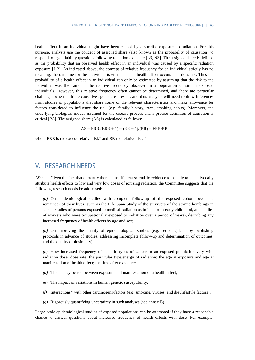health effect in an individual might have been caused by a specific exposure to radiation. For this purpose, analysts use the concept of assigned share (also known as the probability of causation) to respond to legal liability questions following radiation exposure [L3, N3]. The assigned share is defined as the probability that an observed health effect in an individual was caused by a specific radiation exposure [I12]. As indicated above, the concept of relative frequency for an individual strictly has no meaning; the outcome for the individual is either that the health effect occurs or it does not. Thus the probability of a health effect in an individual can only be estimated by assuming that the risk to the individual was the same as the relative frequency observed in a population of similar exposed individuals. However, this relative frequency often cannot be determined, and there are particular challenges when multiple causative agents are present, and thus analysts will need to draw inferences from studies of populations that share some of the relevant characteristics and make allowance for factors considered to influence the risk (e.g. family history, race, smoking habits). Moreover, the underlying biological model assumed for the disease process and a precise definition of causation is critical [B8]. The assigned share (AS) is calculated as follows:

 $AS = ERR/(ERR + 1) = (RR - 1)/(RR) = ERR/RR$ 

where ERR is the excess relative risk\* and RR the relative risk.\*

#### V. RESEARCH NEEDS

A99. Given the fact that currently there is insufficient scientific evidence to be able to unequivocally attribute health effects to low and very low doses of ionizing radiation, the Committee suggests that the following research needs be addressed:

*(a)* On epidemiological studies with complete follow-up of the exposed cohorts over the remainder of their lives (such as the Life Span Study of the survivors of the atomic bombings in Japan, studies of persons exposed to medical radiation as infants or in early childhood, and studies of workers who were occupationally exposed to radiation over a period of years), describing any increased frequency of health effects by age and sex;

*(b)* On improving the quality of epidemiological studies (e.g. reducing bias by publishing protocols in advance of studies, addressing incomplete follow-up and determination of outcomes, and the quality of dosimetry);

*(c)* How increased frequency of specific types of cancer in an exposed population vary with radiation dose; dose rate; the particular type/energy of radiation; the age at exposure and age at manifestation of health effect; the time after exposure;

- *(d)* The latency period between exposure and manifestation of a health effect;
- *(e)* The impact of variations in human genetic susceptibility;
- *(f)* Interactions\* with other carcinogens/factors (e.g. smoking, viruses, and diet/lifestyle factors);
- *(g)* Rigorously quantifying uncertainty in such analyses (see annex B).

Large-scale epidemiological studies of exposed populations can be attempted if they have a reasonable chance to answer questions about increased frequency of health effects with dose. For example,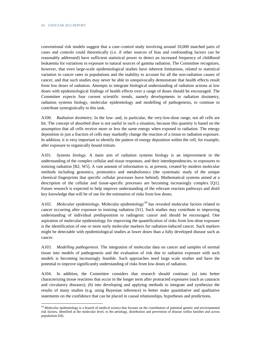$\frac{1}{1}$ 

conventional risk models suggest that a case–control study involving around 10,000 matched pairs of cases and controls could theoretically (i.e. if other sources of bias and confounding factors can be reasonably addressed) have sufficient statistical power to detect an increased frequency of childhood leukaemia for variations in exposure to natural sources of gamma radiation. The Committee recognizes, however, that even large-scale epidemiological studies have inherent limitations, related to statistical variation in cancer rates in populations and the inability to account for all the non-radiation causes of cancer, and that such studies may never be able to unequivocally demonstrate that health effects result from low doses of radiation. Attempts to integrate biological understanding of radiation actions at low doses with epidemiological findings of health effects over a range of doses should be encouraged. The Committee expects four current scientific trends, namely developments in radiation dosimetry, radiation systems biology, molecular epidemiology and modelling of pathogenesis, to continue to contribute synergistically to this task.

A100*. Radiation dosimetry*. In the low- and, in particular, the very-low-dose range, not all cells are hit. The concept of absorbed dose is not useful in such a situation, because this quantity is based on the assumption that all cells receive more or less the same energy when exposed to radiation. The energy deposition in just a fraction of cells may markedly change the reaction of a tissue to radiation exposure. In addition, it is very important to identify the pattern of energy deposition within the cell, for example, after exposure to organically bound tritium.

A101*. Systems biology.* A main aim of radiation systems biology is an improvement in the understanding of the complex cellular and tissue responses, and their interdependencies, to exposures to ionizing radiation [B2, W5]. A vast amount of information is, at present, created by modern molecular methods including genomics, proteomics and metabolomics (the systematic study of the unique chemical fingerprints that specific cellular processes leave behind). Mathematical systems aimed at a description of the cellular and tissue-specific processes are becoming increasingly complex [Q1]. Future research is expected to help improve understanding of the relevant reaction pathways and distil key knowledge that will be of use for the estimation of risks from low doses.

A102*. Molecular epidemiology*. Molecular epidemiology<sup>[14](#page-49-0)</sup> has revealed molecular factors related to cancer occurring after exposure to ionizing radiation [S1]. Such studies may contribute to improving understanding of individual predisposition to radiogenic cancer and should be encouraged. One aspiration of molecular epidemiology for improving the quantification of risks from low-dose exposure is the identification of one or more early molecular markers for radiation-induced cancer. Such markers might be detectable with epidemiological studies at lower doses than a fully developed disease such as cancer.

A103*. Modelling pathogenesis.* The integration of molecular data on cancer and samples of normal tissue into models of pathogenesis and the evaluation of risk due to radiation exposure with such models is becoming increasingly feasible. Such approaches need large scale studies and have the potential to improve significantly understanding of risks from low doses of radiation.

A104. In addition, the Committee considers that research should continue: *(a)* into better characterizing tissue reactions that occur in the longer term after protracted exposures (such as cataracts and circulatory diseases); *(b)* into developing and applying methods to integrate and synthesize the results of many studies (e.g. using Bayesian inference) to better make quantitative and qualitative statements on the confidence that can be placed in causal relationships, hypotheses and predictions.

<span id="page-49-0"></span><sup>&</sup>lt;sup>14</sup> Molecular epidemiology is a branch of medical science that focuses on the contribution of potential genetic and environmental risk factors, identified at the molecular level, to the aetiology, distribution and prevention of disease within families and across populations [I4].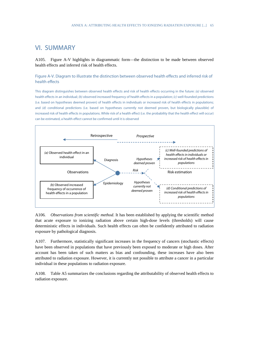#### VI. SUMMARY

A105. Figure A-V highlights in diagrammatic form—the distinction to be made between observed health effects and inferred risk of health effects.

#### Figure A-V. Diagram to illustrate the distinction between observed health effects and inferred risk of health effects

This diagram distinguishes between observed health effects and risk of health effects occurring in the future: *(a)* observed health effects in an individual; *(b)* observed increased frequency of health effects in a population; *(c)* well-founded predictions (i.e. based on hypotheses deemed proven) of health effects in individuals or increased risk of health effects in populations; and (d) conditional predictions (i.e. based on hypotheses currently not deemed proven, but biologically plausible) of increased risk of health effects in populations. While risk of a health effect (i.e. the probability that the health effect will occur) can be estimated, a health effect cannot be confirmed until it is observed



A106*. Observations from scientific method*. It has been established by applying the scientific method that acute exposure to ionizing radiation above certain high-dose levels (thresholds) will cause deterministic effects in individuals. Such health effects can often be confidently attributed to radiation exposure by pathological diagnosis.

A107. Furthermore, statistically significant increases in the frequency of cancers (stochastic effects) have been observed in populations that have previously been exposed to moderate or high doses. After account has been taken of such matters as bias and confounding, these increases have also been attributed to radiation exposure. However, it is currently not possible to attribute a cancer in a particular individual in these populations to radiation exposure.

A108. Table A5 summarizes the conclusions regarding the attributability of observed health effects to radiation exposure.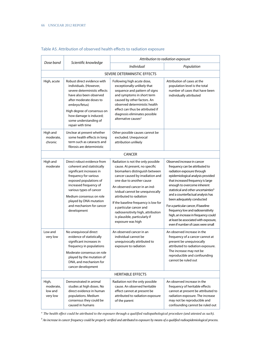| Dose band                                 | Scientific knowledge                                                                                                                                                                                                                                                                           | Attribution to radiation exposure                                                                                                                                                                                                                                                                                                                                                                                                    |                                                                                                                                                                                                                                                                                                                                                                                                                                                                                                                                 |  |
|-------------------------------------------|------------------------------------------------------------------------------------------------------------------------------------------------------------------------------------------------------------------------------------------------------------------------------------------------|--------------------------------------------------------------------------------------------------------------------------------------------------------------------------------------------------------------------------------------------------------------------------------------------------------------------------------------------------------------------------------------------------------------------------------------|---------------------------------------------------------------------------------------------------------------------------------------------------------------------------------------------------------------------------------------------------------------------------------------------------------------------------------------------------------------------------------------------------------------------------------------------------------------------------------------------------------------------------------|--|
|                                           |                                                                                                                                                                                                                                                                                                | <i>Individual</i>                                                                                                                                                                                                                                                                                                                                                                                                                    | Population                                                                                                                                                                                                                                                                                                                                                                                                                                                                                                                      |  |
|                                           |                                                                                                                                                                                                                                                                                                | SEVERE DETERMINISTIC EFFECTS                                                                                                                                                                                                                                                                                                                                                                                                         |                                                                                                                                                                                                                                                                                                                                                                                                                                                                                                                                 |  |
| High, acute                               | Robust direct evidence with<br>individuals. (However,<br>severe deterministic effects<br>have also been observed<br>after moderate doses to<br>embryo/fetus)<br>High degree of consensus on<br>how damage is induced;<br>some understanding of<br>repair with time                             | Following high acute dose,<br>exceptionally unlikely that<br>sequence and pattern of signs<br>and symptoms in short term<br>caused by other factors. An<br>observed deterministic health<br>effect can thus be attributed if<br>diagnosis eliminates possible<br>alternative causes <sup>a</sup>                                                                                                                                     | Attribution of cases at the<br>population level is the total<br>number of cases that have been<br>individually attributed                                                                                                                                                                                                                                                                                                                                                                                                       |  |
| High and<br>moderate,<br>chronic          | Unclear at present whether<br>some health effects in long<br>term such as cataracts and<br>fibrosis are deterministic                                                                                                                                                                          | Other possible causes cannot be<br>excluded. Unequivocal<br>attribution unlikely                                                                                                                                                                                                                                                                                                                                                     |                                                                                                                                                                                                                                                                                                                                                                                                                                                                                                                                 |  |
|                                           |                                                                                                                                                                                                                                                                                                | <b>CANCER</b>                                                                                                                                                                                                                                                                                                                                                                                                                        |                                                                                                                                                                                                                                                                                                                                                                                                                                                                                                                                 |  |
| High and<br>moderate                      | Direct robust evidence from<br>coherent and statistically<br>significant increases in<br>frequency for various<br>exposed populations of<br>increased frequency of<br>various types of cancer<br>Medium consensus on role<br>played by DNA mutation<br>and mechanism for cancer<br>development | Radiation is not the only possible<br>cause. At present, no specific<br>biomarkers distinguish between<br>cancer caused by irradiation and<br>one due to another cause<br>An observed cancer in an ind-<br>ividual cannot be unequivocally<br>attributed to radiation<br>If the baseline frequency is low for<br>a particular cancer and<br>radiosensitivity high, attribution<br>is plausible, particularly if<br>exposure was high | Observed increase in cancer<br>frequency can be attributed to<br>radiation exposure through<br>epidemiological analysis provided<br>that increased frequency is large<br>enough to overcome inherent<br>statistical and other uncertainties <sup>b</sup><br>and a counterfactual analysis has<br>been adequately conducted<br>For a particular cancer, if baseline<br>frequency low and radiosensitivity<br>high, an increase in frequency could<br>at least be associated with exposure,<br>even if number of cases were small |  |
| Low and<br>very low                       | No unequivocal direct<br>evidence of statistically<br>significant increases in<br>frequency in populations<br>Moderate consensus on role<br>played by the mutation of<br>DNA, and mechanism for<br>cancer development                                                                          | An observed cancer in an<br>individual cannot be<br>unequivocally attributed to<br>exposure to radiation                                                                                                                                                                                                                                                                                                                             | An observed increase in the<br>frequency of a cancer cannot at<br>present be unequivocally<br>attributed to radiation exposure.<br>The increase may not be<br>reproducible and confounding<br>cannot be ruled out                                                                                                                                                                                                                                                                                                               |  |
|                                           |                                                                                                                                                                                                                                                                                                | <b>HERITABLE EFFECTS</b>                                                                                                                                                                                                                                                                                                                                                                                                             |                                                                                                                                                                                                                                                                                                                                                                                                                                                                                                                                 |  |
| High,<br>moderate,<br>low and<br>very low | Demonstrated in animal<br>studies at high doses. No<br>direct evidence in human<br>populations. Medium<br>consensus they could be<br>caused in humans                                                                                                                                          | Radiation not the only possible<br>cause. An observed heritable<br>effect cannot at present be<br>attributed to radiation exposure<br>of the parent                                                                                                                                                                                                                                                                                  | An observed increase in the<br>frequency of heritable effects<br>cannot at present be attributed to<br>radiation exposure. The increase<br>may not be reproducible and<br>confounding cannot be ruled out                                                                                                                                                                                                                                                                                                                       |  |

#### Table A5. Attribution of observed health effects to radiation exposure

*a The health effect could be attributed to the exposure through a qualified radiopathological procedure (and attested as such).*

*<sup>b</sup> An increase in cancer frequency could be properly verified and attributed to exposure by means of a qualified radioepidemiological process.*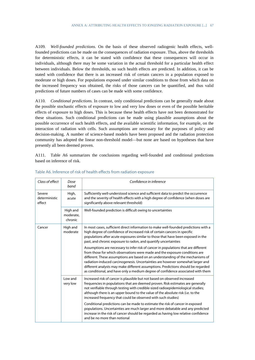A109*. Well-founded predictions.* On the basis of these observed radiogenic health effects, wellfounded predictions can be made on the consequences of radiation exposure. Thus, above the thresholds for deterministic effects, it can be stated with confidence that these consequences will occur in individuals, although there may be some variation in the actual threshold for a particular health effect between individuals. Below the thresholds, no such health effects are predicted. In addition, it can be stated with confidence that there is an increased risk of certain cancers in a population exposed to moderate or high doses. For populations exposed under similar conditions to those from which data on the increased frequency was obtained, the risks of those cancers can be quantified, and thus valid predictions of future numbers of cases can be made with some confidence.

A110*. Conditional predictions.* In contrast, only conditional predictions can be generally made about the possible stochastic effects of exposure to low and very low doses or even of the possible heritable effects of exposure to high doses. This is because these health effects have not been demonstrated for these situations. Such conditional predictions can be made using plausible assumptions about the possible occurrence of such health effects, and the available scientific information, for example, on the interaction of radiation with cells. Such assumptions are necessary for the purposes of policy and decision-making. A number of science-based models have been proposed and the radiation protection community has adopted the linear non-threshold model—but none are based on hypotheses that have presently all been deemed proven.

A111. Table A6 summarizes the conclusions regarding well-founded and conditional predictions based on inference of risk.

| Class of effect                   | Dose<br>band                     | Confidence in inference                                                                                                                                                                                                                                                                                                                                                                                                                                                                                           |
|-----------------------------------|----------------------------------|-------------------------------------------------------------------------------------------------------------------------------------------------------------------------------------------------------------------------------------------------------------------------------------------------------------------------------------------------------------------------------------------------------------------------------------------------------------------------------------------------------------------|
| Severe<br>deterministic<br>effect | High,<br>acute                   | Sufficiently well-understood science and sufficient data to predict the occurrence<br>and the severity of health effects with a high degree of confidence (when doses are<br>significantly above relevant threshold)                                                                                                                                                                                                                                                                                              |
|                                   | High and<br>moderate,<br>chronic | Well-founded prediction is difficult owing to uncertainties                                                                                                                                                                                                                                                                                                                                                                                                                                                       |
| Cancer                            | High and<br>moderate             | In most cases, sufficient direct information to make well-founded predictions with a<br>high degree of confidence of increased risk of certain cancers in specific<br>populations after acute exposures similar to those that have been exposed in the<br>past, and chronic exposure to radon, and quantify uncertainties                                                                                                                                                                                         |
|                                   |                                  | Assumptions are necessary to infer risk of cancer in populations that are different<br>from those for which observations were made and the exposure conditions are<br>different. These assumptions are based on an understanding of the mechanisms of<br>radiation-induced carcinogenesis. Uncertainties are however somewhat larger and<br>different analysts may make different assumptions. Predictions should be regarded<br>as conditional, and have only a medium degree of confidence associated with them |
|                                   | Low and<br>very low              | Increased risk of cancer is plausible but not based on observed increased<br>frequencies in populations that are deemed proven. Risk estimates are generally<br>not verifiable through testing with credible-sized radioepidemiological studies;<br>although there is an upper bound to the value of the absolute risk (i.e. to the<br>increased frequency that could be observed with such studies)                                                                                                              |
|                                   |                                  | Conditional predictions can be made to estimate the risk of cancer in exposed<br>populations. Uncertainties are much larger and more debatable and any predicted<br>increase in the risk of cancer should be regarded as having low relative confidence<br>and be no more than notional                                                                                                                                                                                                                           |

#### Table A6. Inference of risk of health effects from radiation exposure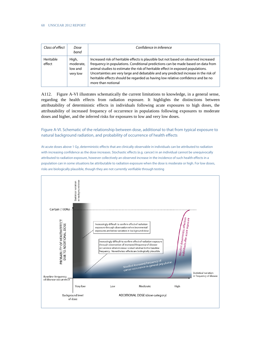#### 68 UNSCEAR 2012 REPORT

| Class of effect     | Dose<br>band                              | Confidence in inference                                                                                                                                                                                                                                                                                                                                                                                                                                       |
|---------------------|-------------------------------------------|---------------------------------------------------------------------------------------------------------------------------------------------------------------------------------------------------------------------------------------------------------------------------------------------------------------------------------------------------------------------------------------------------------------------------------------------------------------|
| Heritable<br>effect | High,<br>moderate,<br>low and<br>very low | Increased risk of heritable effects is plausible but not based on observed increased<br>frequency in populations. Conditional predictions can be made based on data from<br>animal studies to estimate the risk of heritable effect in exposed populations.<br>Uncertainties are very large and debatable and any predicted increase in the risk of<br>heritable effects should be regarded as having low relative confidence and be no<br>more than notional |

A112. Figure A-VI illustrates schematically the current limitations to knowledge, in a general sense, regarding the health effects from radiation exposure. It highlights the distinctions between attributability of deterministic effects in individuals following acute exposures to high doses, the attributability of increased frequency of occurrence in populations following exposures to moderate doses and higher, and the inferred risks for exposures to low and very low doses.

Figure A-VI. Schematic of the relationship between dose, additional to that from typical exposure to natural background radiation, and probability of occurrence of health effects

At acute doses above 1 Gy, deterministic effects that are clinically observable in individuals can be attributed to radiation with increasing confidence as the dose increases. Stochastic effects (e.g. cancer) in an individual cannot be unequivocally attributed to radiation exposure, however collectively an observed increase in the incidence of such health effects in a population can in some situations be attributable to radiation exposure when the dose is moderate or high. For low doses, risks are biologically plausible, though they are not currently verifiable through testing

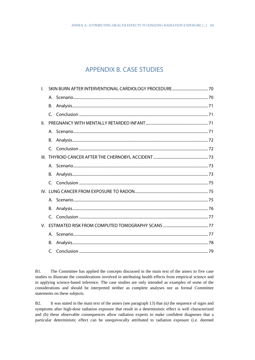# APPENDIX B. CASE STUDIES

|     | В. |  |  |
|-----|----|--|--|
|     |    |  |  |
| II. |    |  |  |
|     |    |  |  |
|     | В. |  |  |
|     | C. |  |  |
|     |    |  |  |
|     |    |  |  |
|     | В. |  |  |
|     |    |  |  |
|     |    |  |  |
|     |    |  |  |
|     | В. |  |  |
|     |    |  |  |
|     |    |  |  |
|     |    |  |  |
|     | В. |  |  |
|     | C. |  |  |

B1. The Committee has applied the concepts discussed in the main text of the annex to five case studies to illustrate the considerations involved in attributing health effects from empirical science and in applying science-based inference. The case studies are only intended as examples of some of the considerations and should be interpreted neither as complete analyses nor as formal Committee statements on these subjects.

B2. It was stated in the main text of the annex (see paragraph 13) that *(a)* the sequence of signs and symptoms after high-dose radiation exposure that result in a deterministic effect is well characterized and *(b)* these observable consequences allow radiation experts to make confident diagnoses that a particular deterministic effect can be unequivocally attributed to radiation exposure (i.e. deemed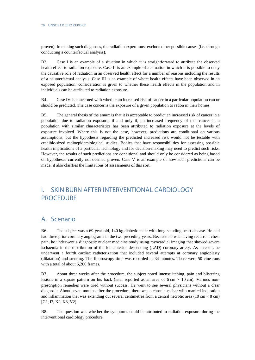proven). In making such diagnoses, the radiation expert must exclude other possible causes (i.e. through conducting a counterfactual analysis).

B3. Case I is an example of a situation in which it is straightforward to attribute the observed health effect to radiation exposure. Case II is an example of a situation in which it is possible to deny the causative role of radiation in an observed health effect for a number of reasons including the results of a counterfactual analysis. Case III is an example of where health effects have been observed in an exposed population; consideration is given to whether these health effects in the population and in individuals can be attributed to radiation exposure.

B4. Case IV is concerned with whether an increased risk of cancer in a particular population can or should be predicted. The case concerns the exposure of a given population to radon in their homes.

B5. The general thesis of the annex is that it is acceptable to predict an increased risk of cancer in a population due to radiation exposure, if and only if, an increased frequency of that cancer in a population with similar characteristics has been attributed to radiation exposure at the levels of exposure involved. Where this is not the case, however, predictions are conditional on various assumptions, but the hypothesis regarding the predicted increased risk would not be testable with credible-sized radioepidemiological studies. Bodies that have responsibilities for assessing possible health implications of a particular technology and for decision-making may need to predict such risks. However, the results of such predictions are conditional and should only be considered as being based on hypotheses currently not deemed proven. Case V is an example of how such predictions can be made; it also clarifies the limitations of assessments of this sort.

## <span id="page-55-0"></span>I. SKIN BURN AFTER INTERVENTIONAL CARDIOLOGY PROCEDURE

### <span id="page-55-1"></span>A. Scenario

B6. The subject was a 69-year-old, 140 kg diabetic male with long-standing heart disease. He had had three prior coronary angiograms in the two preceding years. Because he was having recurrent chest pain, he underwent a diagnostic nuclear medicine study using myocardial imaging that showed severe ischaemia in the distribution of the left anterior descending (LAD) coronary artery. As a result, he underwent a fourth cardiac catheterization that included several attempts at coronary angioplasty (dilatation) and stenting. The fluoroscopy time was recorded as 34 minutes. There were 50 cine runs with a total of about 6,200 frames.

B7. About three weeks after the procedure, the subject noted intense itching, pain and blistering lesions in a square pattern on his back (later reported as an area of 6 cm  $\times$  10 cm). Various nonprescription remedies were tried without success. He went to see several physicians without a clear diagnosis. About seven months after the procedure, there was a chronic eschar with marked induration and inflammation that was extending out several centimetres from a central necrotic area (10 cm  $\times$  8 cm) [G1, I7, K2, K3, V2].

B8. The question was whether the symptoms could be attributed to radiation exposure during the interventional cardiology procedure.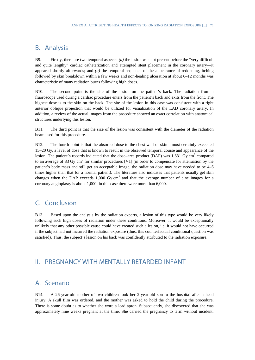#### <span id="page-56-0"></span>B. Analysis

B9. Firstly, there are two temporal aspects: *(a)* the lesion was not present before the "very difficult and quite lengthy" cardiac catheterization and attempted stent placement in the coronary artery—it appeared shortly afterwards; and *(b)* the temporal sequence of the appearance of reddening, itching followed by skin breakdown within a few weeks and non-healing ulceration at about 6–12 months was characteristic of many radiation burns following high doses.

B10. The second point is the site of the lesion on the patient's back. The radiation from a fluoroscope used during a cardiac procedure enters from the patient's back and exits from the front. The highest dose is to the skin on the back. The site of the lesion in this case was consistent with a right anterior oblique projection that would be utilized for visualization of the LAD coronary artery. In addition, a review of the actual images from the procedure showed an exact correlation with anatomical structures underlying this lesion.

B11. The third point is that the size of the lesion was consistent with the diameter of the radiation beam used for this procedure.

B12. The fourth point is that the absorbed dose to the chest wall or skin almost certainly exceeded 15–20 Gy, a level of dose that is known to result in the observed temporal course and appearance of the lesion. The patient's records indicated that the dose–area product (DAP) was  $1,631$  Gy cm<sup>2</sup> compared to an average of 83 Gy  $\text{cm}^2$  for similar procedures [V1] (in order to compensate for attenuation by the patient's body mass and still get an acceptable image, the radiation dose may have needed to be 4–6 times higher than that for a normal patient). The literature also indicates that patients usually get skin changes when the DAP exceeds  $1,000 \text{ Gy cm}^2$  and that the average number of cine images for a coronary angioplasty is about 1,000; in this case there were more than 6,000.

### <span id="page-56-1"></span>C. Conclusion

B13. Based upon the analysis by the radiation experts, a lesion of this type would be very likely following such high doses of radiation under these conditions. Moreover, it would be exceptionally unlikely that any other possible cause could have created such a lesion, i.e. it would not have occurred if the subject had not incurred the radiation exposure (thus, this counterfactual conditional question was satisfied). Thus, the subject's lesion on his back was confidently attributed to the radiation exposure.

### <span id="page-56-2"></span>II. PREGNANCY WITH MENTALLY RETARDED INFANT

### <span id="page-56-3"></span>A. Scenario

B14. A 26-year-old mother of two children took her 2-year-old son to the hospital after a head injury. A skull film was ordered, and the mother was asked to hold the child during the procedure. There is some doubt as to whether she wore a lead apron. Subsequently, she discovered that she was approximately nine weeks pregnant at the time. She carried the pregnancy to term without incident.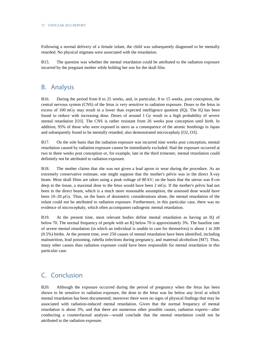Following a normal delivery of a female infant, the child was subsequently diagnosed to be mentally retarded. No physical stigmata were associated with the retardation.

<span id="page-57-0"></span>B15. The question was whether the mental retardation could be attributed to the radiation exposure incurred by the pregnant mother while holding her son for the skull film.

### B. Analysis

B16. During the period from 8 to 25 weeks, and, in particular, 8 to 15 weeks, post conception, the central nervous system (CNS) of the fetus is very sensitive to radiation exposure. Doses to the fetus in excess of 100 mGy may result in a lower than expected intelligence quotient (IQ). The IQ has been found to reduce with increasing dose. Doses of around 1 Gy result in a high probability of severe mental retardation [O3]. The CNS is rather resistant from 26 weeks post conception until birth. In addition, 95% of those who were exposed in utero as a consequence of the atomic bombings in Japan and subsequently found to be mentally retarded, also demonstrated microcephaly [O2, O3].

B17. On the sole basis that the radiation exposure was incurred nine weeks post conception, mental retardation caused by radiation exposure cannot be immediately excluded. Had the exposure occurred at two to three weeks post conception or, for example, late in the third trimester, mental retardation could definitely not be attributed to radiation exposure.

B18. The mother claims that she was not given a lead apron to wear during the procedure. As an extremely conservative estimate, one might suppose that the mother's pelvis was in the direct X-ray beam. Most skull films are taken using a peak voltage of 80 kV; on the basis that the uterus was 8 cm deep in the tissue, a maximal dose to the fetus would have been 2 mGy. If the mother's pelvis had not been in the direct beam, which is a much more reasonable assumption, the assessed dose would have been 10–20 µGy. Thus, on the basis of dosimetric considerations alone, the mental retardation of the infant could not be attributed to radiation exposure. Furthermore, in this particular case, there was no evidence of microcephaly, which often accompanies radiogenic mental retardation.

B19. At the present time, most relevant bodies define mental retardation as having an IQ of below 70. The normal frequency of people with an IQ below 70 is approximately 3%. The baseline rate of severe mental retardation (in which an individual is unable to care for themselves) is about 1 in 200 (0.5%) births. At the present time, over 250 causes of mental retardation have been identified, including malnutrition, lead poisoning, rubella infections during pregnancy, and maternal alcoholism [M7]. Thus, many other causes than radiation exposure could have been responsible for mental retardation in this particular case.

## <span id="page-57-1"></span>C. Conclusion

B20. Although the exposure occurred during the period of pregnancy when the fetus has been shown to be sensitive to radiation exposure, the dose to the fetus was far below any level at which mental retardation has been documented; moreover there were no signs of physical findings that may be associated with radiation-induced mental retardation. Given that the normal frequency of mental retardation is about 3%, and that there are numerous other possible causes, radiation experts—after conducting a counterfactual analysis—would conclude that the mental retardation could not be attributed to the radiation exposure.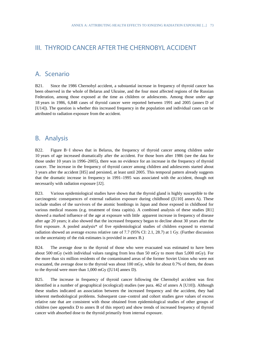#### <span id="page-58-1"></span><span id="page-58-0"></span>III. THYROID CANCER AFTER THE CHERNOBYL ACCIDENT

## A. Scenario

B21. Since the 1986 Chernobyl accident, a substantial increase in frequency of thyroid cancer has been observed in the whole of Belarus and Ukraine, and the four most affected regions of the Russian Federation, among those exposed at the time as children or adolescents. Among those under age 18 years in 1986, 6,848 cases of thyroid cancer were reported between 1991 and 2005 (annex D of [U14]). The question is whether this increased frequency in the population and individual cases can be attributed to radiation exposure from the accident.

# <span id="page-58-2"></span>B. Analysis

B22. [Figure B](#page-59-0)−I shows that in Belarus, the frequency of thyroid cancer among children under 10 years of age increased dramatically after the accident. For those born after 1986 (see the data for those under 10 years in 1996–2005), there was no evidence for an increase in the frequency of thyroid cancer. The increase in the frequency of thyroid cancer among children and adolescents started about 3 years after the accident [H5] and persisted, at least until 2005. This temporal pattern already suggests that the dramatic increase in frequency in 1991–1995 was associated with the accident, though not necessarily with radiation exposure [J2].

B23. Various epidemiological studies have shown that the thyroid gland is highly susceptible to the carcinogenic consequences of external radiation exposure during childhood ([U10] annex A). These include studies of the survivors of the atomic bombings in Japan and those exposed in childhood for various medical reasons (e.g. treatment of tinea capitis). A combined analysis of these studies [R1] showed a marked influence of the age at exposure with little apparent increase in frequency of disease after age 20 years; it also showed that the increased frequency began to decline about 30 years after the first exposure. A pooled analysis\* of five epidemiological studies of children exposed to external radiation showed an average excess relative rate of 7.7 (95% CI: 2.1, 28.7) at 1 Gy. (Further discussion on the uncertainty of the risk estimates is provided in annex B.)

B24. The average dose to the thyroid of those who were evacuated was estimated to have been about 500 mGy (with individual values ranging from less than 50 mGy to more than 5,000 mGy). For the more than six million residents of the contaminated areas of the former Soviet Union who were not evacuated, the average dose to the thyroid was about 100 mGy, while for about 0.7% of them, the doses to the thyroid were more than 1,000 mGy ([U14] annex D).

B25. The increase in frequency of thyroid cancer following the Chernobyl accident was first identified in a number of geographical (ecological) studies (see para. 462 of annex A [U10]). Although these studies indicated an association between the increased frequency and the accident, they had inherent methodological problems. Subsequent case–control and cohort studies gave values of excess relative rate that are consistent with those obtained from epidemiological studies of other groups of children (see appendix D to annex B of this report) and show trends of increased frequency of thyroid cancer with absorbed dose to the thyroid primarily from internal exposure.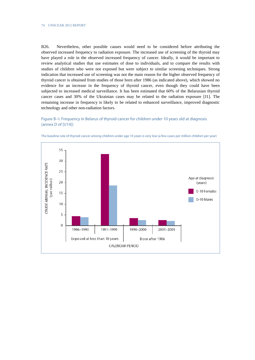B26. Nevertheless, other possible causes would need to be considered before attributing the observed increased frequency to radiation exposure. The increased use of screening of the thyroid may have played a role in the observed increased frequency of cancer. Ideally, it would be important to review analytical studies that use estimates of dose to individuals, and to compare the results with studies of children who were not exposed but were subject to similar screening techniques. Strong indication that increased use of screening was not the main reason for the higher observed frequency of thyroid cancer is obtained from studies of those born after 1986 (as indicated above), which showed no evidence for an increase in the frequency of thyroid cancer, even though they could have been subjected to increased medical surveillance. It has been estimated that 60% of the Belarusian thyroid cancer cases and 30% of the Ukrainian cases may be related to the radiation exposure [J1]. The remaining increase in frequency is likely to be related to enhanced surveillance, improved diagnostic technology and other non-radiation factors.

<span id="page-59-0"></span>



The baseline rate of thyroid cancer among children under age 10 years is very low (a few cases per million children per year)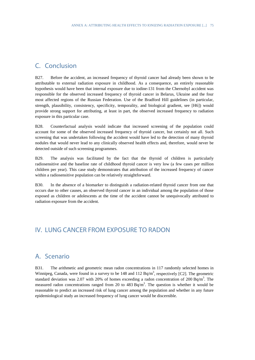### <span id="page-60-0"></span>C. Conclusion

B27. Before the accident, an increased frequency of thyroid cancer had already been shown to be attributable to external radiation exposure in childhood. As a consequence, an entirely reasonable hypothesis would have been that internal exposure due to iodine-131 from the Chernobyl accident was responsible for the observed increased frequency of thyroid cancer in Belarus, Ukraine and the four most affected regions of the Russian Federation. Use of the Bradford Hill guidelines (in particular, strength, plausibility, consistency, specificity, temporality, and biological gradient, see [H6]) would provide strong support for attributing, at least in part, the observed increased frequency to radiation exposure in this particular case.

B28. Counterfactual analysis would indicate that increased screening of the population could account for some of the observed increased frequency of thyroid cancer, but certainly not all. Such screening that was undertaken following the accident would have led to the detection of many thyroid nodules that would never lead to any clinically observed health effects and, therefore, would never be detected outside of such screening programmes.

B29. The analysis was facilitated by the fact that the thyroid of children is particularly radiosensitive and the baseline rate of childhood thyroid cancer is very low (a few cases per million children per year). This case study demonstrates that attribution of the increased frequency of cancer within a radiosensitive population can be relatively straightforward.

<span id="page-60-1"></span>B30. In the absence of a biomarker to distinguish a radiation-related thyroid cancer from one that occurs due to other causes, an observed thyroid cancer in an individual among the population of those exposed as children or adolescents at the time of the accident cannot be unequivocally attributed to radiation exposure from the accident.

## <span id="page-60-2"></span>IV. LUNG CANCER FROM EXPOSURE TO RADON

#### A. Scenario

B31. The arithmetic and geometric mean radon concentrations in 117 randomly selected homes in Winnipeg, Canada, were found in a survey to be 148 and 112  $Bq/m<sup>3</sup>$ , respectively [C2]. The geometric standard deviation was 2.07 with 20% of homes exceeding a radon concentration of 200 Bq/m<sup>3</sup>. The measured radon concentrations ranged from 20 to  $483 \text{ Bq/m}^3$ . The question is whether it would be reasonable to predict an increased risk of lung cancer among the population and whether in any future epidemiological study an increased frequency of lung cancer would be discernible.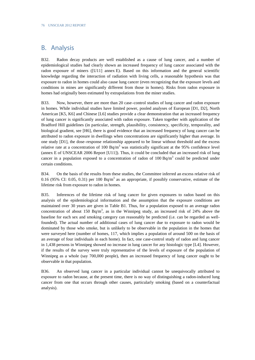### <span id="page-61-0"></span>B. Analysis

B32. Radon decay products are well established as a cause of lung cancer, and a number of epidemiological studies had clearly shown an increased frequency of lung cancer associated with the radon exposure of miners ([U11] annex E). Based on this information and the general scientific knowledge regarding the interaction of radiation with living cells, a reasonable hypothesis was that exposure to radon in homes could also cause lung cancer (even recognizing that the exposure levels and conditions in mines are significantly different from those in homes). Risks from radon exposure in homes had originally been estimated by extrapolations from the miner studies.

B33. Now, however, there are more than 20 case–control studies of lung cancer and radon exposure in homes. While individual studies have limited power, pooled analyses of European [D1, D2], North American [K5, K6] and Chinese [L6] studies provide a clear demonstration that an increased frequency of lung cancer is significantly associated with radon exposure. Taken together with application of the Bradford Hill guidelines (in particular, strength, plausibility, consistency, specificity, temporality, and biological gradient, see [H6], there is good evidence that an increased frequency of lung cancer can be attributed to radon exposure in dwellings when concentrations are significantly higher than average. In one study [D1], the dose–response relationship appeared to be linear without threshold and the excess relative rate at a concentration of 100  $Bq/m<sup>3</sup>$  was statistically significant at the 95% confidence level (annex E of UNSCEAR 2006 Report [U11]). Thus, it could be concluded that an increased risk of lung cancer in a population exposed to a concentration of radon of  $100 \text{ Bq/m}^3$  could be predicted under certain conditions.

B34. On the basis of the results from these studies, the Committee inferred an excess relative risk of 0.16 (95% CI: 0.05, 0.31) per 100  $Bq/m<sup>3</sup>$  as an appropriate, if possibly conservative, estimate of the lifetime risk from exposure to radon in homes.

B35. Inferences of the lifetime risk of lung cancer for given exposures to radon based on this analysis of the epidemiological information and the assumption that the exposure conditions are maintained over 30 years are given in [Table B](#page-62-3)1. Thus, for a population exposed to an average radon concentration of about 150 Bq/m<sup>3</sup>, as in the Winnipeg study, an increased risk of 24% above the baseline for each sex and smoking category can reasonably be predicted (i.e. can be regarded as wellfounded). The actual number of additional cases of lung cancer due to exposure to radon would be dominated by those who smoke, but is unlikely to be observable in the population in the homes that were surveyed here (number of homes, 117, which implies a population of around 500 on the basis of an average of four individuals in each home). In fact, one case-control study of radon and lung cancer in 1,438 persons in Winnipeg showed no increase in lung cancer for any histologic type [L4]. However, if the results of the survey were truly representative of the levels of exposure of the population of Winnipeg as a whole (say 700,000 people), then an increased frequency of lung cancer ought to be observable in that population.

B36. An observed lung cancer in a particular individual cannot be unequivocally attributed to exposure to radon because, at the present time, there is no way of distinguishing a radon-induced lung cancer from one that occurs through other causes, particularly smoking (based on a counterfactual analysis).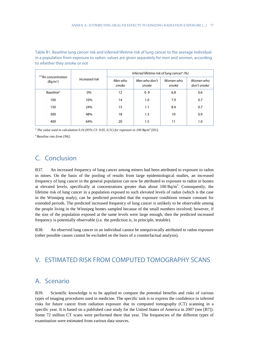<span id="page-62-3"></span>Table B1. Baseline lung cancer risk and inferred lifetime risk of lung cancer to the average individual in a population from exposure to radon: values are given separately for men and women, according to whether they smoke or not

|                                               | Increased risk | Inferred lifetime risk of lung cancer <sup>a</sup> (%) |                        |                    |                          |
|-----------------------------------------------|----------------|--------------------------------------------------------|------------------------|--------------------|--------------------------|
| <sup>222</sup> Rn concentration<br>$(Bq/m^3)$ |                | Men who<br>smoke                                       | Men who don't<br>smoke | Women who<br>smoke | Women who<br>don't smoke |
| Baseline <sup>b</sup>                         | 0%             | 12                                                     | 0.9                    | 6.8                | 0.6                      |
| 100                                           | 16%            | 14                                                     | 1.0                    | 7.9                | 0.7                      |
| 150                                           | 24%            | 15                                                     | 1.1                    | 8.4                | 0.7                      |
| 300                                           | 48%            | 18                                                     | 1.3                    | 10                 | 0.9                      |
| 400                                           | 64%            | 20                                                     | 1.5                    | 11                 | 1.0                      |

<sup>*a*</sup> *The value used in calculation 0.16 (95% CI: 0.05, 0.31) for exposure to 100 Bq/m<sup>3</sup> [D1].* 

<span id="page-62-0"></span>*b Baseline rate from [N6].*

## C. Conclusion

B37. An increased frequency of lung cancer among miners had been attributed to exposure to radon in mines. On the basis of the pooling of results from large epidemiological studies, an increased frequency of lung cancer in the general population can now be attributed to exposure to radon in homes at elevated levels, specifically at concentrations greater than about  $100 \text{ Bq/m}^3$ . Consequently, the lifetime risk of lung cancer in a population exposed to such elevated levels of radon (which is the case in the Winnipeg study), can be predicted provided that the exposure conditions remain constant for extended periods. The predicted increased frequency of lung cancer is unlikely to be observable among the people living in the Winnipeg homes sampled because of the small numbers involved; however, if the size of the population exposed at the same levels were large enough, then the predicted increased frequency is potentially observable (i.e. the prediction is, in principle, testable).

<span id="page-62-1"></span>B38. An observed lung cancer in an individual cannot be unequivocally attributed to radon exposure (other possible causes cannot be excluded on the basis of a counterfactual analysis).

### V. ESTIMATED RISK FROM COMPUTED TOMOGRAPHY SCANS

## <span id="page-62-2"></span>A. Scenario

B39. Scientific knowledge is to be applied to compare the potential benefits and risks of various types of imaging procedures used in medicine. The specific task is to express the confidence in inferred risks for future cancer from radiation exposure due to computed tomography (CT) scanning in a specific year. It is based on a published case study for the United States of America in 2007 (see [B7]). Some 72 million CT scans were performed there that year. The frequencies of the different types of examination were estimated from various data sources.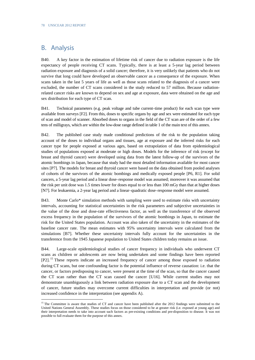### <span id="page-63-0"></span>B. Analysis

-

B40. A key factor in the estimation of lifetime risk of cancer due to radiation exposure is the life expectancy of people receiving CT scans. Typically, there is at least a 5-year lag period between radiation exposure and diagnosis of a solid cancer; therefore, it is very unlikely that patients who do not survive that long could have developed an observable cancer as a consequence of the exposure. When scans taken in the last 5 years of life as well as those scans related to the diagnosis of a cancer were excluded, the number of CT scans considered in the study reduced to 57 million. Because radiationrelated cancer risks are known to depend on sex and age at exposure, data were obtained on the age and sex distribution for each type of CT scan.

B41. Technical parameters (e.g. peak voltage and tube current–time product) for each scan type were available from surveys [F2]. From this, doses to specific organs by age and sex were estimated for each type of scan and model of scanner. Absorbed doses to organs in the field of the CT scan are of the order of a few tens of milligrays, which are within the low-dose range defined in table 1 of the main text of this annex.

B42. The published case study made conditional predictions of the risk to the population taking account of the doses to individual organs and tissues, age at exposure and the inferred risks for each cancer type for people exposed at various ages, based on extrapolation of data from epidemiological studies of populations exposed at moderate or high doses. Models for the inference of risk (except for breast and thyroid cancer) were developed using data from the latest follow-up of the survivors of the atomic bombings in Japan, because that study had the most detailed information available for most cancer sites [P7]. The models for breast and thyroid cancer were based on the data obtained from pooled analyses of cohorts of the survivors of the atomic bombings and medically exposed people [P6, R1]. For solid cancers, a 5-year lag period and a linear dose–response model was assumed; moreover it was assumed that the risk per unit dose was 1.5 times lower for doses equal to or less than 100 mGy than that at higher doses [N7]. For leukaemia, a 2-year lag period and a linear–quadratic dose–response model were assumed.

B43. Monte Carlo\* simulation methods with sampling were used to estimate risks with uncertainty intervals, accounting for statistical uncertainties in the risk parameters and subjective uncertainties in the value of the dose and dose-rate effectiveness factor, as well as the transference of the observed excess frequency in the population of the survivors of the atomic bombings in Japan, to estimate the risk for the United States population. Account was also taken of the uncertainty in the estimates of the baseline cancer rate. The mean estimates with 95% uncertainty intervals were calculated from the simulations [B7]. Whether these uncertainty intervals fully account for the uncertainties in the transference from the 1945 Japanese population to United States children today remains an issue.

B44. Large-scale epidemiological studies of cancer frequency in individuals who underwent CT scans as children or adolescents are now being undertaken and some findings have been reported [P2].<sup>[15](#page-63-1)</sup> These reports indicate an increased frequency of cancer among those exposed to radiation during CT scans, but one confounding factor is the potential influence of reverse causation: i.e. that the cancer, or factors predisposing to cancer, were present at the time of the scan, so that the cancer caused the CT scan rather than the CT scan caused the cancer [U16]. While current studies may not demonstrate unambiguously a link between radiation exposure due to a CT scan and the development of cancer, future studies may overcome current difficulties in interpretation and provide (or not) increased confidence in the interpretation (see appendix A).

<span id="page-63-1"></span><sup>&</sup>lt;sup>15</sup> The Committee is aware that studies of CT and cancer have been published after the 2012 findings were submitted to the United Nations General Assembly. These studies focus on those considered to be at greater risk (i.e. exposed at young age) and their interpretation needs to take into account such factors as pre-existing conditions and pre-disposition to disease. It was not possible to full evaluate them for the purpose of this annex.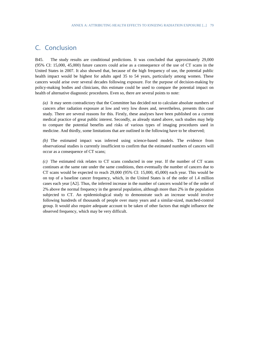#### <span id="page-64-0"></span>C. Conclusion

B45. The study results are conditional predictions. It was concluded that approximately 29,000 (95% CI: 15,000, 45,000) future cancers could arise as a consequence of the use of CT scans in the United States in 2007. It also showed that, because of the high frequency of use, the potential public health impact would be highest for adults aged 35 to 54 years, particularly among women. These cancers would arise over several decades following exposure. For the purpose of decision-making by policy-making bodies and clinicians, this estimate could be used to compare the potential impact on health of alternative diagnostic procedures. Even so, there are several points to note:

*(a)* It may seem contradictory that the Committee has decided not to calculate absolute numbers of cancers after radiation exposure at low and very low doses and, nevertheless, presents this case study. There are several reasons for this. Firstly, these analyses have been published on a current medical practice of great public interest. Secondly, as already stated above, such studies may help to compare the potential benefits and risks of various types of imaging procedures used in medicine. And thirdly, some limitations that are outlined in the following have to be observed;

*(b)* The estimated impact was inferred using science-based models. The evidence from observational studies is currently insufficient to confirm that the estimated numbers of cancers will occur as a consequence of CT scans;

*(c)* The estimated risk relates to CT scans conducted in one year. If the number of CT scans continues at the same rate under the same conditions, then eventually the number of cancers due to CT scans would be expected to reach 29,000 (95% CI: 15,000, 45,000) each year. This would be on top of a baseline cancer frequency, which, in the United States is of the order of 1.4 million cases each year [A2]. Thus, the inferred increase in the number of cancers would be of the order of 2% above the normal frequency in the general population, although more than 2% in the population subjected to CT. An epidemiological study to demonstrate such an increase would involve following hundreds of thousands of people over many years and a similar-sized, matched-control group. It would also require adequate account to be taken of other factors that might influence the observed frequency, which may be very difficult.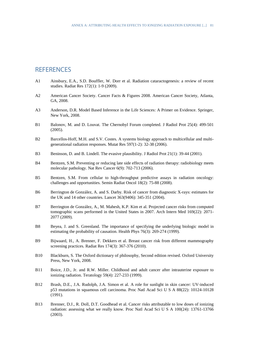#### **REFERENCES**

- A1 Ainsbury, E.A., S.D. Bouffler, W. Dorr et al. Radiation cataractogenesis: a review of recent studies. Radiat Res 172(1): 1-9 (2009).
- A2 American Cancer Society. Cancer Facts & Figures 2008. American Cancer Society, Atlanta, GA, 2008.
- A3 Anderson, D.R. Model Based Inference in the Life Sciences: A Primer on Evidence. Springer, New York, 2008.
- B1 Balonov, M. and D. Louvat. The Chernobyl Forum completed. J Radiol Prot 25(4): 499-501 (2005).
- B2 Barcellos-Hoff, M.H. and S.V. Costes. A systems biology approach to multicellular and multigenerational radiation responses. Mutat Res 597(1-2): 32-38 (2006).
- B3 Beninson, D. and B. Lindell. The evasive plausibility. J Radiol Prot 21(1): 39-44 (2001).
- B4 Bentzen, S.M. Preventing or reducing late side effects of radiation therapy: radiobiology meets molecular pathology. Nat Rev Cancer 6(9): 702-713 (2006).
- B5 Bentzen, S.M. From cellular to high-throughput predictive assays in radiation oncology: challenges and opportunities. Semin Radiat Oncol 18(2): 75-88 (2008).
- B6 Berrington de González, A. and S. Darby. Risk of cancer from diagnostic X-rays: estimates for the UK and 14 other countries. Lancet 363(9406): 345-351 (2004).
- B7 Berrington de González, A., M. Mahesh, K.P. Kim et al. Projected cancer risks from computed tomographic scans performed in the United States in 2007. Arch Intern Med 169(22): 2071- 2077 (2009).
- B8 Beyea, J. and S. Greenland. The importance of specifying the underlying biologic model in estimating the probability of causation. Health Phys 76(3): 269-274 (1999).
- B9 Bijwaard, H., A. Brenner, F. Dekkers et al. Breast cancer risk from different mammography screening practices. Radiat Res 174(3): 367-376 (2010).
- B10 Blackburn, S. The Oxford dictionary of philosophy, Second edition revised. Oxford University Press, New York, 2008.
- B11 Boice, J.D., Jr. and R.W. Miller. Childhood and adult cancer after intrauterine exposure to ionizing radiation. Teratology 59(4): 227-233 (1999).
- B12 Brash, D.E., J.A. Rudolph, J.A. Simon et al. A role for sunlight in skin cancer: UV-induced p53 mutations in squamous cell carcinoma. Proc Natl Acad Sci U S A 88(22): 10124-10128 (1991).
- B13 Brenner, D.J., R. Doll, D.T. Goodhead et al. Cancer risks attributable to low doses of ionizing radiation: assessing what we really know. Proc Natl Acad Sci U S A 100(24): 13761-13766 (2003).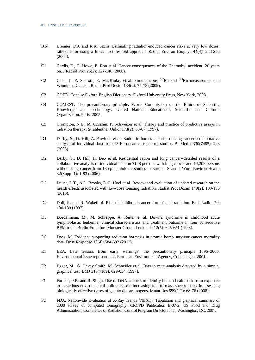- B14 Brenner, D.J. and R.K. Sachs. Estimating radiation-induced cancer risks at very low doses: rationale for using a linear no-threshold approach. Radiat Environ Biophys 44(4): 253-256 (2006).
- C1 Cardis, E., G. Howe, E. Ron et al. Cancer consequences of the Chernobyl accident: 20 years on. J Radiol Prot 26(2): 127-140 (2006).
- C2 Chen, J., E. Schroth, E. MacKinlay et al. Simultaneous  $^{222}$ Rn and  $^{220}$ Rn measurements in Winnipeg, Canada. Radiat Prot Dosim 134(2): 75-78 (2009).
- C3 COED. Concise Oxford English Dictionary. Oxford University Press, New York, 2008.
- C4 COMEST. The precautionary principle. World Commission on the Ethics of Scientific Knowledge and Technology. United Nations Educational, Scientific and Cultural Organization, Paris, 2005.
- C5 Crompton, N.E., M. Ozsahin, P. Schweizer et al. Theory and practice of predictive assays in radiation therapy. Strahlenther Onkol 173(2): 58-67 (1997).
- D1 Darby, S., D. Hill, A. Auvinen et al. Radon in homes and risk of lung cancer: collaborative analysis of individual data from 13 European case-control studies. Br Med J 330(7485): 223 (2005).
- D2 Darby, S., D. Hill, H. Deo et al. Residential radon and lung cancer--detailed results of a collaborative analysis of individual data on 7148 persons with lung cancer and 14,208 persons without lung cancer from 13 epidemiologic studies in Europe. Scand J Work Environ Health 32(Suppl 1): 1-83 (2006).
- D3 Dauer, L.T., A.L. Brooks, D.G. Hoel et al. Review and evaluation of updated research on the health effects associated with low-dose ionising radiation. Radiat Prot Dosim 140(2): 103-136 (2010).
- D4 Doll, R. and R. Wakeford. Risk of childhood cancer from fetal irradiation. Br J Radiol 70: 130-139 (1997).
- D5 Dordelmann, M., M. Schrappe, A. Reiter et al. Down's syndrome in childhood acute lymphoblastic leukemia: clinical characteristics and treatment outcome in four consecutive BFM trials. Berlin-Frankfurt-Munster Group. Leukemia 12(5): 645-651 (1998).
- D6 Doss, M. Evidence supporting radiation hormesis in atomic bomb survivor cancer mortality data. Dose Response 10(4): 584-592 (2012).
- E1 EEA. Late lessons from early warnings: the precautionary principle 1896–2000. Environmental issue report no. 22. European Environment Agency, Copenhagen, 2001.
- E2 Egger, M., G. Davey Smith, M. Schneider et al. Bias in meta-analysis detected by a simple, graphical test. BMJ 315(7109): 629-634 (1997).
- F1 Farmer, P.B. and R. Singh. Use of DNA adducts to identify human health risk from exposure to hazardous environmental pollutants: the increasing role of mass spectrometry in assessing biologically effective doses of genotoxic carcinogens. Mutat Res 659(1-2): 68-76 (2008).
- F2 FDA. Nationwide Evaluation of X-Ray Trends (NEXT): Tabulation and graphical summary of 2000 survey of computed tomography. CRCPD Publication E-07-2. US Food and Drug Administration, Conference of Radiation Control Program Directors Inc., Washington, DC, 2007.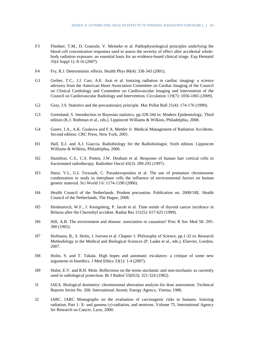- F3 Fliedner, T.M., D. Graessle, V. Meineke et al. Pathophysiological principles underlying the blood cell concentration responses used to assess the severity of effect after accidental wholebody radiation exposure: an essential basis for an evidence-based clinical triage. Exp Hematol 35(4 Suppl 1): 8-16 (2007).
- F4 Fry, R.J. Deterministic effects. Health Phys 80(4): 338-343 (2001).
- G1 Gerber, T.C., J.J. Carr, A.E. Arai et al. Ionizing radiation in cardiac imaging: a science advisory from the American Heart Association Committee on Cardiac Imaging of the Council on Clinical Cardiology and Committee on Cardiovascular Imaging and Intervention of the Council on Cardiovascular Radiology and Intervention. Circulation 119(7): 1056-1065 (2009).
- G2 Gray, J.S. Statistics and the precautionary principle. Mar Pollut Bull 21(4): 174-176 (1990).
- G3 Greenland, S. Introduction to Bayesian statistics. pp.328-344 in: Modern Epidemiology, Third edition (K.J. Rothman et al., eds.). Lippincott Williams & Wilkins, Philadelphia, 2008.
- G4 Gusev, I.A., A.K. Guskova and F.A. Mettler Jr. Medical Management of Radiation Accidents. Second edition. CRC Press, New York, 2001.
- H1 Hall, E.J. and A.J. Giaccia. Radiobiology for the Radiobiologist. Sixth edition. Lippincott Williams & Wilkins, Philadelphia, 2006.
- H2 Hamilton, C.S., C.S. Potten, J.W. Denham et al. Response of human hair cortical cells to fractionated radiotherapy. Radiother Oncol 43(3): 289-292 (1997).
- H3 Hatzi, V.I., G.I. Terzoudi, C. Paraskevopoulou et al. The use of premature chromosome condensation to study in interphase cells the influence of environmental factors on human genetic material. Sci World J 6: 1174-1190 (2006).
- H4 Health Council of the Netherlands. Prudent precaution. Publication no. 2008/18E. Health Council of the Netherlands, The Hague, 2008.
- H5 Heidenreich, W.F., J. Kenigsberg, P. Jacob et al. Time trends of thyroid cancer incidence in Belarus after the Chernobyl accident. Radiat Res 151(5): 617-625 (1999).
- H6 Hill, A.B. The environment and disease: association or causation? Proc R Soc Med 58: 295- 300 (1965).
- H7 Hofmann, B., S. Holm, J. Iversen et al. Chapter 1: Philosophy of Science. pp.1-32 in: Research Methodology in the Medical and Biological Sciences (P. Laake et al., eds.). Elsevier, London, 2007.
- H8 Holm, S. and T. Takala. High hopes and automatic escalators: a critique of some new arguments in bioethics. J Med Ethics 33(1): 1-4 (2007).
- H9 Hulse, E.V. and R.H. Mole. Reflections on the terms stochastic and non-stochastic as currently used in radiological protection. Br J Radiol 55(653): 321-324 (1982).
- I1 IAEA. Biological dosimetry: chromosomal aberration analysis for dose assessment. Technical Reports Series No. 260. International Atomic Energy Agency, Vienna, 1986.
- I2 IARC. IARC Monographs on the evaluation of carcinogenic risks to humans. Ionizing radiation, Part 1: X- and gamma (γ)-radiation, and neutrons. Volume 75. International Agency for Research on Cancer, Lyon, 2000.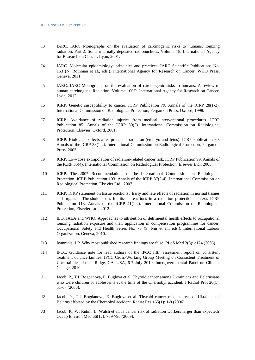- I3 IARC. IARC Monographs on the evaluation of carcinogenic risks to humans. Ionizing radiation, Part 2: Some internally deposited radionuclides. Volume 78. International Agency for Research on Cancer, Lyon, 2001.
- I4 IARC. Molecular epidemiology: principles and practices. IARC Scientific Publications No. 163 (N. Rothman et al., eds.). International Agency for Research on Cancer, WHO Press, Geneva, 2011.
- I5 IARC. IARC Monographs on the evaluation of carcinogenic risks to humans. A review of human carcinogens. Radiation. Volume 100D. International Agency for Research on Cancer, Lyon, 2012.
- I6 ICRP. Genetic susceptibility to cancer. ICRP Publication 79. Annals of the ICRP 28(1-2). International Commission on Radiological Protection, Pergamon Press, Oxford, 1998.
- I7 ICRP. Avoidance of radiation injuries from medical interventional procedures. ICRP Publication 85. Annals of the ICRP 30(2). International Commission on Radiological Protection, Elsevier, Oxford, 2001.
- I8 ICRP. Biological effects after prenatal irradiation (embryo and fetus). ICRP Publication 90. Annals of the ICRP 33(1-2). International Commission on Radiological Protection, Pergamon Press, 2003.
- I9 ICRP. Low-dose extrapolation of radiation-related cancer risk. ICRP Publication 99. Annals of the ICRP 35(4). International Commission on Radiological Protection, Elsevier Ltd., 2005.
- I10 ICRP. The 2007 Recommendations of the International Commission on Radiological Protection. ICRP Publication 103. Annals of the ICRP 37(2-4). International Commission on Radiological Protection, Elsevier Ltd., 2007.
- I11 ICRP. ICRP statement on tissue reactions / Early and late effects of radiation in normal tissues and organs – Threshold doses for tissue reactions in a radiation protection context. ICRP Publication 118. Annals of the ICRP 41(1-2). International Commission on Radiological Protection, Elsevier Ltd., 2012.
- I12 ILO, IAEA and WHO. Approaches to attribution of detrimental health effects to occupational ionizing radiation exposure and their application in compensation programmes for cancer. Occupational Safety and Health Series No. 73 (S. Nui et al., eds.). International Labour Organization, Geneva, 2010.
- I13 Ioannidis, J.P. Why most published research findings are false. PLoS Med 2(8): e124 (2005).
- I14 IPCC. Guidance note for lead authors of the IPCC fifth assessment report on consistent treatment of uncertainties. IPCC Cross-Working Group Meeting on Consistent Treatment of Uncertainties, Jasper Ridge, CA, USA, 6-7 July 2010. Intergovernmental Panel on Climate Change, 2010.
- J1 Jacob, P., T.I. Bogdanova, E. Buglova et al. Thyroid cancer among Ukrainians and Belarusians who were children or adolescents at the time of the Chernobyl accident. J Radiol Prot 26(1): 51-67 (2006).
- J2 Jacob, P., T.I. Bogdanova, E. Buglova et al. Thyroid cancer risk in areas of Ukraine and Belarus affected by the Chernobyl accident. Radiat Res 165(1): 1-8 (2006).
- J3 Jacob, P., W. Ruhm, L. Walsh et al. Is cancer risk of radiation workers larger than expected? Occup Environ Med 66(12): 789-796 (2009).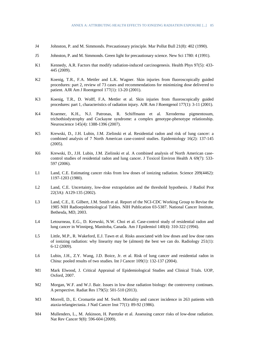- J4 Johnston, P. and M. Simmonds. Precautionary principle. Mar Pollut Bull 21(8): 402 (1990).
- J5 Johnston, P. and M. Simmonds. Green light for precautionary science. New Sci 1780: 4 (1991).
- K1 Kennedy, A.R. Factors that modify radiation-induced carcinogenesis. Health Phys 97(5): 433-445 (2009).
- K2 Koenig, T.R., F.A. Mettler and L.K. Wagner. Skin injuries from fluoroscopically guided procedures: part 2, review of 73 cases and recommendations for minimizing dose delivered to patient. AJR Am J Roentgenol 177(1): 13-20 (2001).
- K3 Koenig, T.R., D. Wolff, F.A. Mettler et al. Skin injuries from fluoroscopically guided procedures: part 1, characteristics of radiation injury. AJR Am J Roentgenol 177(1): 3-11 (2001).
- K4 Kraemer, K.H., N.J. Patronas, R. Schiffmann et al. Xeroderma pigmentosum, trichothiodystrophy and Cockayne syndrome: a complex genotype-phenotype relationship. Neuroscience 145(4): 1388-1396 (2007).
- K5 Krewski, D., J.H. Lubin, J.M. Zielinski et al. Residential radon and risk of lung cancer: a combined analysis of 7 North American case-control studies. Epidemiology 16(2): 137-145 (2005).
- K6 Krewski, D., J.H. Lubin, J.M. Zielinski et al. A combined analysis of North American casecontrol studies of residential radon and lung cancer. J Toxicol Environ Health A 69(7): 533- 597 (2006).
- L1 Land, C.E. Estimating cancer risks from low doses of ionizing radiation. Science 209(4462): 1197-1203 (1980).
- L2 Land, C.E. Uncertainty, low-dose extrapolation and the threshold hypothesis. J Radiol Prot 22(3A): A129-135 (2002).
- L3 Land, C.E., E. Gilbert, J.M. Smith et al. Report of the NCI-CDC Working Group to Revise the 1985 NIH Radioepidemiological Tables. NIH Publication 03-5387. National Cancer Institute, Bethesda, MD, 2003.
- L4 Letourneau, E.G., D. Krewski, N.W. Choi et al. Case-control study of residential radon and lung cancer in Winnipeg, Manitoba, Canada. Am J Epidemiol 140(4): 310-322 (1994).
- L5 Little, M.P., R. Wakeford, E.J. Tawn et al. Risks associated with low doses and low dose rates of ionizing radiation: why linearity may be (almost) the best we can do. Radiology 251(1): 6-12 (2009).
- L6 Lubin, J.H., Z.Y. Wang, J.D. Boice, Jr. et al. Risk of lung cancer and residential radon in China: pooled results of two studies. Int J Cancer 109(1): 132-137 (2004).
- M1 Mark Elwood, J. Critical Appraisal of Epidemiological Studies and Clinical Trials. UOP, Oxford, 2007.
- M2 Morgan, W.F. and W.J. Bair. Issues in low dose radiation biology: the controversy continues. A perspective. Radiat Res 179(5): 501-510 (2013).
- M3 Morrell, D., E. Cromartie and M. Swift. Mortality and cancer incidence in 263 patients with ataxia-telangiectasia. J Natl Cancer Inst 77(1): 89-92 (1986).
- M4 Mullenders, L., M. Atkinson, H. Paretzke et al. Assessing cancer risks of low-dose radiation. Nat Rev Cancer 9(8): 596-604 (2009).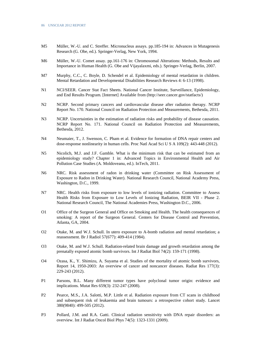- M5 Müller, W.-U. and C. Streffer. Micronucleus assays. pp.185-194 in: Advances in Mutagenesis Research (G. Obe, ed.). Springer-Verlag, New York, 1994.
- M6 Müller, W.-U. Comet assay. pp.161-176 in: Chromosomal Alterations: Methods, Results and Importance in Human Health (G. Obe and Vijayalaxmi, eds.). Springer-Verlag, Berlin, 2007.
- M7 Murphy, C.C., C. Boyle, D. Schendel et al. Epidemiology of mental retardation in children. Mental Retardation and Developmental Disabilities Research Reviews 4: 6-13 (1998).
- N1 NCI/SEER. Cancer Stat Fact Sheets. National Cancer Institute, Surveillance, Epidemiology, and End Results Program. [Internet] Available from (http://seer.cancer.gov/statfacts/)
- N2 NCRP. Second primary cancers and cardiovascular disease after radiation therapy. NCRP Report No. 170. National Council on Radiation Protection and Measurements, Bethesda, 2011.
- N3 NCRP. Uncertainties in the estimation of radiation risks and probability of disease causation. NCRP Report No. 171. National Council on Radiation Protection and Measurements, Bethesda, 2012.
- N4 Neumaier, T., J. Swenson, C. Pham et al. Evidence for formation of DNA repair centers and dose-response nonlinearity in human cells. Proc Natl Acad Sci U S A 109(2): 443-448 (2012).
- N5 Nicolich, M.J. and J.F. Gamble. What is the minimum risk that can be estimated from an epidemiology study? Chapter 1 in: Advanced Topics in Environmental Health and Air Pollution Case Studies (A. Moldoveanu, ed.). InTech, 2011.
- N6 NRC. Risk assessment of radon in drinking water (Committee on Risk Assessment of Exposure to Radon in Drinking Water). National Research Council, National Academy Press, Washington, D.C., 1999.
- N7 NRC. Health risks from exposure to low levels of ionizing radiation. Committee to Assess Health Risks from Exposure to Low Levels of Ionizing Radiation, BEIR VII - Phase 2. National Research Council, The National Academies Press, Washington D.C., 2006.
- O1 Office of the Surgeon General and Office on Smoking and Health. The health consequences of smoking: A report of the Surgeon General. Centers for Disease Control and Prevention, Atlanta, GA, 2004.
- O2 Otake, M. and W.J. Schull. In utero exposure to A-bomb radiation and mental retardation; a reassessment. Br J Radiol 57(677): 409-414 (1984).
- O3 Otake, M. and W.J. Schull. Radiation-related brain damage and growth retardation among the prenatally exposed atomic bomb survivors. Int J Radiat Biol 74(2): 159-171 (1998).
- O4 Ozasa, K., Y. Shimizu, A. Suyama et al. Studies of the mortality of atomic bomb survivors, Report 14, 1950-2003: An overview of cancer and noncancer diseases. Radiat Res 177(3): 229-243 (2012).
- P1 Parsons, B.L. Many different tumor types have polyclonal tumor origin: evidence and implications. Mutat Res 659(3): 232-247 (2008).
- P2 Pearce, M.S., J.A. Salotti, M.P. Little et al. Radiation exposure from CT scans in childhood and subsequent risk of leukaemia and brain tumours: a retrospective cohort study. Lancet 380(9840): 499-505 (2012).
- P3 Pollard, J.M. and R.A. Gatti. Clinical radiation sensitivity with DNA repair disorders: an overview. Int J Radiat Oncol Biol Phys 74(5): 1323-1331 (2009).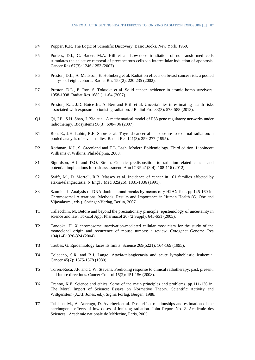- P4 Popper, K.R. The Logic of Scientific Discovery. Basic Books, New York, 1959.
- P5 Portess, D.I., G. Bauer, M.A. Hill et al. Low-dose irradiation of nontransformed cells stimulates the selective removal of precancerous cells via intercellular induction of apoptosis. Cancer Res 67(3): 1246-1253 (2007).
- P6 Preston, D.L., A. Mattsson, E. Holmberg et al. Radiation effects on breast cancer risk: a pooled analysis of eight cohorts. Radiat Res 158(2): 220-235 (2002).
- P7 Preston, D.L., E. Ron, S. Tokuoka et al. Solid cancer incidence in atomic bomb survivors: 1958-1998. Radiat Res 168(1): 1-64 (2007).
- P8 Preston, R.J., J.D. Boice Jr., A. Bertrand Brill et al. Uncertainties in estimating health risks associated with exposure to ionising radiation. J Radiol Prot 33(3): 573-588 (2013).
- Q1 Qi, J.P., S.H. Shao, J. Xie et al. A mathematical model of P53 gene regulatory networks under radiotherapy. Biosystems 90(3): 698-706 (2007).
- R1 Ron, E., J.H. Lubin, R.E. Shore et al. Thyroid cancer after exposure to external radiation: a pooled analysis of seven studies. Radiat Res 141(3): 259-277 (1995).
- R2 Rothman, K.J., S. Greenland and T.L. Lash. Modern Epidemiology. Third edition. Lippincott Williams & Wilkins, Philadelphia, 2008.
- S1 Sigurdson, A.J. and D.O. Stram. Genetic predisposition to radiation-related cancer and potential implications for risk assessment. Ann ICRP 41(3-4): 108-116 (2012).
- S2 Swift, M., D. Morrell, R.B. Massey et al. Incidence of cancer in 161 families affected by ataxia-telangiectasia. N Engl J Med 325(26): 1831-1836 (1991).
- S3 Szumiel, I. Analysis of DNA double-strand breaks by means of γ-H2AX foci. pp.145-160 in: Chromosomal Alterations: Methods, Results and Importance in Human Health (G. Obe and Vijayalaxmi, eds.). Springer-Verlag, Berlin, 2007.
- T1 Tallacchini, M. Before and beyond the precautionary principle: epistemology of uncertainty in science and law. Toxicol Appl Pharmacol 207(2 Suppl): 645-651 (2005).
- T2 Tanooka, H. X chromosome inactivation-mediated cellular mosaicism for the study of the monoclonal origin and recurrence of mouse tumors: a review. Cytogenet Genome Res 104(1-4): 320-324 (2004).
- T3 Taubes, G. Epidemiology faces its limits. Science 269(5221): 164-169 (1995).
- T4 Toledano, S.R. and B.J. Lange. Ataxia-telangiectasia and acute lymphoblastic leukemia. Cancer 45(7): 1675-1678 (1980).
- T5 Torres-Roca, J.F. and C.W. Stevens. Predicting response to clinical radiotherapy: past, present, and future directions. Cancer Control 15(2): 151-156 (2008).
- T6 Tranøy, K.E. Science and ethics. Some of the main principles and problems. pp.111-136 in: The Moral Import of Science: Essays on Normative Theory, Scientific Activity and Wittgenstein (A.J.I. Jones, ed.). Sigma Forlag, Bergen, 1988.
- T7 Tubiana, M., A. Aurengo, D. Averbeck et al. Dose-effect relationships and estimation of the carcinogenic effects of low doses of ionizing radiation. Joint Report No. 2. Académie des Sciences, Académie nationale de Médecine, Paris, 2005.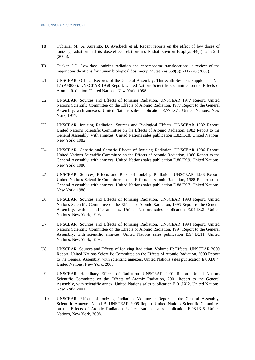- T8 Tubiana, M., A. Aurengo, D. Averbeck et al. Recent reports on the effect of low doses of ionizing radiation and its dose-effect relationship. Radiat Environ Biophys 44(4): 245-251 (2006).
- T9 Tucker, J.D. Low-dose ionizing radiation and chromosome translocations: a review of the major considerations for human biological dosimetry. Mutat Res 659(3): 211-220 (2008).
- U1 UNSCEAR. Official Records of the General Assembly, Thirteenth Session, Supplement No. 17 (A/3838). UNSCEAR 1958 Report. United Nations Scientific Committee on the Effects of Atomic Radiation. United Nations, New York, 1958.
- U2 UNSCEAR. Sources and Effects of Ionizing Radiation. UNSCEAR 1977 Report. United Nations Scientific Committee on the Effects of Atomic Radiation, 1977 Report to the General Assembly, with annexes. United Nations sales publication E.77.IX.1. United Nations, New York, 1977.
- U3 UNSCEAR. Ionizing Radiation: Sources and Biological Effects. UNSCEAR 1982 Report. United Nations Scientific Committee on the Effects of Atomic Radiation, 1982 Report to the General Assembly, with annexes. United Nations sales publication E.82.IX.8. United Nations, New York, 1982.
- U4 UNSCEAR. Genetic and Somatic Effects of Ionizing Radiation. UNSCEAR 1986 Report. United Nations Scientific Committee on the Effects of Atomic Radiation, 1986 Report to the General Assembly, with annexes. United Nations sales publication E.86.IX.9. United Nations, New York, 1986.
- U5 UNSCEAR. Sources, Effects and Risks of Ionizing Radiation. UNSCEAR 1988 Report. United Nations Scientific Committee on the Effects of Atomic Radiation, 1988 Report to the General Assembly, with annexes. United Nations sales publication E.88.IX.7. United Nations, New York, 1988.
- U6 UNSCEAR. Sources and Effects of Ionizing Radiation. UNSCEAR 1993 Report. United Nations Scientific Committee on the Effects of Atomic Radiation, 1993 Report to the General Assembly, with scientific annexes. United Nations sales publication E.94.IX.2. United Nations, New York, 1993.
- U7 UNSCEAR. Sources and Effects of Ionizing Radiation. UNSCEAR 1994 Report. United Nations Scientific Committee on the Effects of Atomic Radiation, 1994 Report to the General Assembly, with scientific annexes. United Nations sales publication E.94.IX.11. United Nations, New York, 1994.
- U8 UNSCEAR. Sources and Effects of Ionizing Radiation. Volume II: Effects. UNSCEAR 2000 Report. United Nations Scientific Committee on the Effects of Atomic Radiation, 2000 Report to the General Assembly, with scientific annexes. United Nations sales publication E.00.IX.4. United Nations, New York, 2000.
- U9 UNSCEAR. Hereditary Effects of Radiation. UNSCEAR 2001 Report. United Nations Scientific Committee on the Effects of Atomic Radiation, 2001 Report to the General Assembly, with scientific annex. United Nations sales publication E.01.IX.2. United Nations, New York, 2001.
- U10 UNSCEAR. Effects of Ionizing Radiation. Volume I: Report to the General Assembly, Scientific Annexes A and B. UNSCEAR 2006 Report. United Nations Scientific Committee on the Effects of Atomic Radiation. United Nations sales publication E.08.IX.6. United Nations, New York, 2008.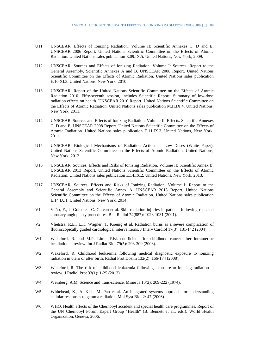- U11 UNSCEAR. Effects of Ionizing Radiation. Volume II: Scientific Annexes C, D and E. UNSCEAR 2006 Report. United Nations Scientific Committee on the Effects of Atomic Radiation. United Nations sales publication E.09.IX.5. United Nations, New York, 2009.
- U12 UNSCEAR. Sources and Effects of Ionizing Radiation. Volume I: Sources: Report to the General Assembly, Scientific Annexes A and B. UNSCEAR 2008 Report. United Nations Scientific Committee on the Effects of Atomic Radiation. United Nations sales publication E.10.XI.3. United Nations, New York, 2010.
- U13 UNSCEAR. Report of the United Nations Scientific Committee on the Effects of Atomic Radiation 2010. Fifty-seventh session, includes Scientific Report: Summary of low-dose radiation effects on health. UNSCEAR 2010 Report. United Nations Scientific Committee on the Effects of Atomic Radiation. United Nations sales publication M.II.IX.4. United Nations, New York, 2011.
- U14 UNSCEAR. Sources and Effects of Ionizing Radiation. Volume II: Effects. Scientific Annexes C, D and E. UNSCEAR 2008 Report. United Nations Scientific Committee on the Effects of Atomic Radiation. United Nations sales publication E.11.IX.3. United Nations, New York, 2011.
- U15 UNSCEAR. Biological Mechanisms of Radiation Actions at Low Doses (White Paper). United Nations Scientific Committee on the Effects of Atomic Radiation. United Nations, New York, 2012.
- U16 UNSCEAR. Sources, Effects and Risks of Ionizing Radiation. Volume II: Scientific Annex B. UNSCEAR 2013 Report. United Nations Scientific Committee on the Effects of Atomic Radiation. United Nations sales publication E.14.IX.2. United Nations, New York, 2013.
- U17 UNSCEAR. Sources, Effects and Risks of Ionizing Radiation. Volume I: Report to the General Assembly and Scientific Annex A. UNSCEAR 2013 Report. United Nations Scientific Committee on the Effects of Atomic Radiation. United Nations sales publication E.14.IX.1. United Nations, New York, 2014.
- V1 Vaño, E., J. Goicolea, C. Galvan et al. Skin radiation injuries in patients following repeated coronary angioplasty procedures. Br J Radiol 74(887): 1023-1031 (2001).
- V2 Vlietstra, R.E., L.K. Wagner, T. Koenig et al. Radiation burns as a severe complication of fluoroscopically guided cardiological interventions. J Interv Cardiol 17(3): 131-142 (2004).
- W1 Wakeford, R. and M.P. Little. Risk coefficients for childhood cancer after intrauterine irradiation: a review. Int J Radiat Biol 79(5): 293-309 (2003).
- W2 Wakeford, R. Childhood leukaemia following medical diagnostic exposure to ionizing radiation in utero or after birth. Radiat Prot Dosim 132(2): 166-174 (2008).
- W3 Wakeford, R. The risk of childhood leukaemia following exposure to ionising radiation--a review. J Radiol Prot 33(1): 1-25 (2013).
- W<sub>4</sub> Weinberg, A.M. Science and trans-science. Minerva 10(2): 209-222 (1974).
- W5 Whitehead, K., A. Kish, M. Pan et al. An integrated systems approach for understanding cellular responses to gamma radiation. Mol Syst Biol 2: 47 (2006).
- W6 WHO. Health effects of the Chernobyl accident and special health care programmes. Report of the UN Chernobyl Forum Expert Group "Health" (B. Bennett et al., eds.). World Health Organization, Geneva, 2006.